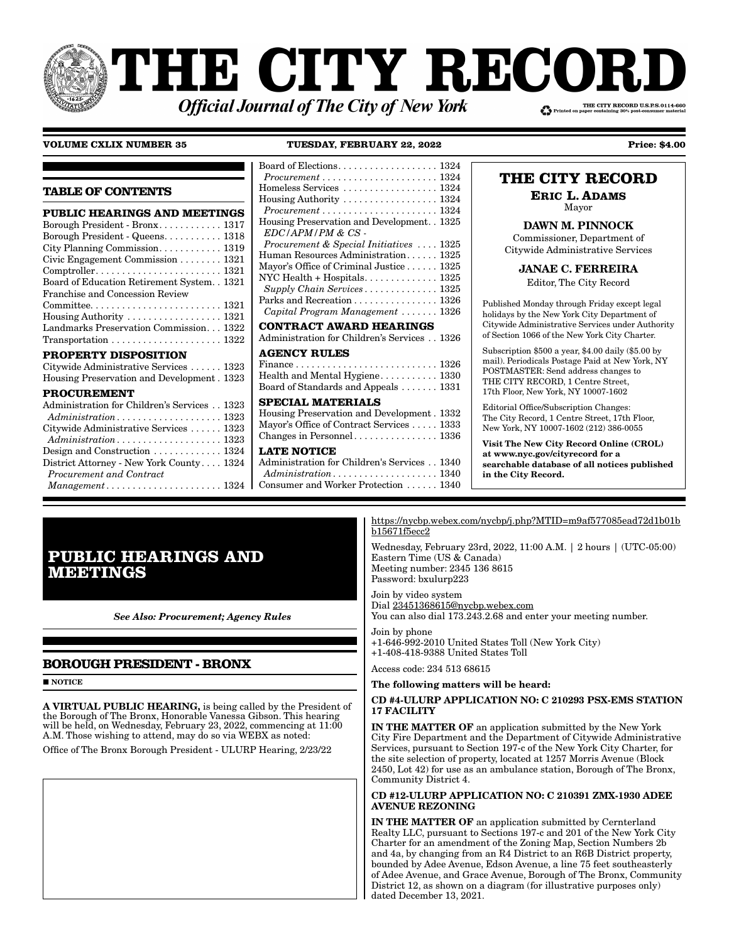# **THE CITY RECORI** THE CITY RECORD U.S.P.S.0114-660 **Official Journal of The City of New York**

## **VOLUME CXLIX NUMBER 35**

TUESDAY, FEBRUARY 22, 2022

H

 $\rm I$ **TABLE OF CONTENTS**  $\mathbf{F}$ PUBLIC HEARINGS AND MEETINGS  $\mathbf{F}$ Borough President - Bronx........... 1317 Borough President - Queens. . . . . . . . . . 1318 City Planning Commission........... 1319  $\mathbf{F}$ Civic Engagement Commission . . . . . . . . 1321  $Comptroller. \ldots \ldots \ldots \ldots \ldots \ldots \ldots 1321$  $\mathbb{R}$ Board of Education Retirement System. . 1321 Franchise and Concession Review  $\mathbf{F}$  ${\tt Committee.}\dots\dots\dots\dots\dots\dots\dots\dots 1321$ Landmarks Preservation Commission. . . 1322 C  $\label{eq:transposition} {\small\textbf{Transportation}}\; \dots\; \dots\; \dots\; \dots\; \dots\; \dots\; \dots\; \textbf{1322}$  $\overline{A}$ PROPERTY DISPOSITION Citywide Administrative Services ...... 1323  $\mathsf{F}$ Housing Preservation and Development . 1323 E **PROCUREMENT** f. Administration for Children's Services . . 1323 T  $\mathbf{A}$ Citywide Administrative Services ...... 1323  $\epsilon$ Administration.................... 1323 Design and Construction ............ 1324  $\mathbf I$ District Attorney - New York County.... 1324 - 1 Procurement and Contract Management..................... 1324

| $3$ oard of Elections. 1324                                                          |
|--------------------------------------------------------------------------------------|
| $Procurrent \ldots \ldots \ldots \ldots \ldots \ldots \ldots 1324$                   |
| Homeless Services  1324                                                              |
| Housing Authority  1324                                                              |
| $Procurrent \ldots \ldots \ldots \ldots \ldots \ldots \ldots 1324$                   |
| Housing Preservation and Development. . 1325                                         |
| $EDC/APM/PM \& CS$                                                                   |
| Procurement & Special Initiatives  1325                                              |
| Human Resources Administration 1325                                                  |
| Mayor's Office of Criminal Justice 1325                                              |
| NYC Health + Hospitals $1325$                                                        |
| Supply Chain Services 1325                                                           |
| Parks and Recreation 1326                                                            |
| Capital Program Management  1326                                                     |
| CONTRACT AWARD HEARINGS                                                              |
| Administration for Children's Services 1326                                          |
| <b>AGENCY RULES</b>                                                                  |
| $\text{Finance} \ldots \ldots \ldots \ldots \ldots \ldots \ldots \ldots \ldots 1326$ |
| Health and Mental Hygiene 1330                                                       |
| Board of Standards and Appeals  1331                                                 |
| <b>SPECIAL MATERIALS</b>                                                             |
| Housing Preservation and Development. 1332                                           |
| Mayor's Office of Contract Services 1333                                             |
|                                                                                      |
| <b>LATE NOTICE</b>                                                                   |
| Administration for Children's Services 1340                                          |
| $Administration \dots \dots \dots \dots \dots \dots \dots 1340$                      |
| Consumer and Worker Protection  1340                                                 |
|                                                                                      |

# THE CITY RECORD

**Price: \$4.00** 

**ERIC L. ADAMS** 

Mayor **DAWN M. PINNOCK** 

Commissioner, Department of Citywide Administrative Services

**JANAE C. FERREIRA** 

Editor, The City Record

Published Monday through Friday except legal holidays by the New York City Department of Citywide Administrative Services under Authority of Section 1066 of the New York City Charter.

Subscription \$500 a year, \$4.00 daily (\$5.00 by mail). Periodicals Postage Paid at New York, NY POSTMASTER: Send address changes to THE CITY RECORD, 1 Centre Street, 17th Floor, New York, NY 10007-1602

Editorial Office/Subscription Changes: The City Record, 1 Centre Street, 17th Floor, New York, NY 10007-1602 (212) 386-0055

Visit The New City Record Online (CROL) at www.nyc.gov/cityrecord for a searchable database of all notices published in the City Record.

# **PUBLIC HEARINGS AND MEETINGS**

**See Also: Procurement; Agency Rules** 

# **BOROUGH PRESIDENT - BRONX**

 $\blacksquare$  NOTICE

A VIRTUAL PUBLIC HEARING, is being called by the President of the Brough of The Bronx, Honorable Vanessa Gibson. This hearing<br>will be held, on Wednesday, February 23, 2022, commencing at 11:00 A.M. Those wishing to attend, may do so via WEBX as noted:

Office of The Bronx Borough President - ULURP Hearing, 2/23/22

https://nycbp.webex.com/nycbp/j.php?MTID=m9af577085ead72d1b01b b15671f5ecc2

Wednesday, February 23rd, 2022, 11:00 A.M. | 2 hours | (UTC-05:00) Eastern Time (US & Canada) Meeting number: 2345 136 8615 Password: bxulurp223

Join by video system Dial 23451368615@nycbp.webex.com You can also dial 173.243.2.68 and enter your meeting number.

Join by phone +1-646-992-2010 United States Toll (New York City) +1-408-418-9388 United States Toll

Access code: 234 513 68615

## The following matters will be heard:

# CD #4-ULURP APPLICATION NO: C 210293 PSX-EMS STATION **17 FACILITY**

IN THE MATTER OF an application submitted by the New York City Fire Department and the Department of Citywide Administrative Services, pursuant to Section 197-c of the New York City Charter, for the site selection of property, located at 1257 Morris Avenue (Block 2450, Lot 42) for use as an ambulance station, Borough of The Bronx, Community District 4.

## CD #12-ULURP APPLICATION NO: C 210391 ZMX-1930 ADEE **AVENUE REZONING**

IN THE MATTER OF an application submitted by Cernterland Realty LLC, pursuant to Sections 197-c and 201 of the New York City Charter for an amendment of the Zoning Map, Section Numbers 2b and 4a, by changing from an R4 District to an R6B District property, bounded by Adee Avenue, Edson Avenue, a line 75 feet southeasterly of Adee Avenue, and Grace Avenue, Borough of The Bronx, Community District 12, as shown on a diagram (for illustrative purposes only) dated December 13, 2021.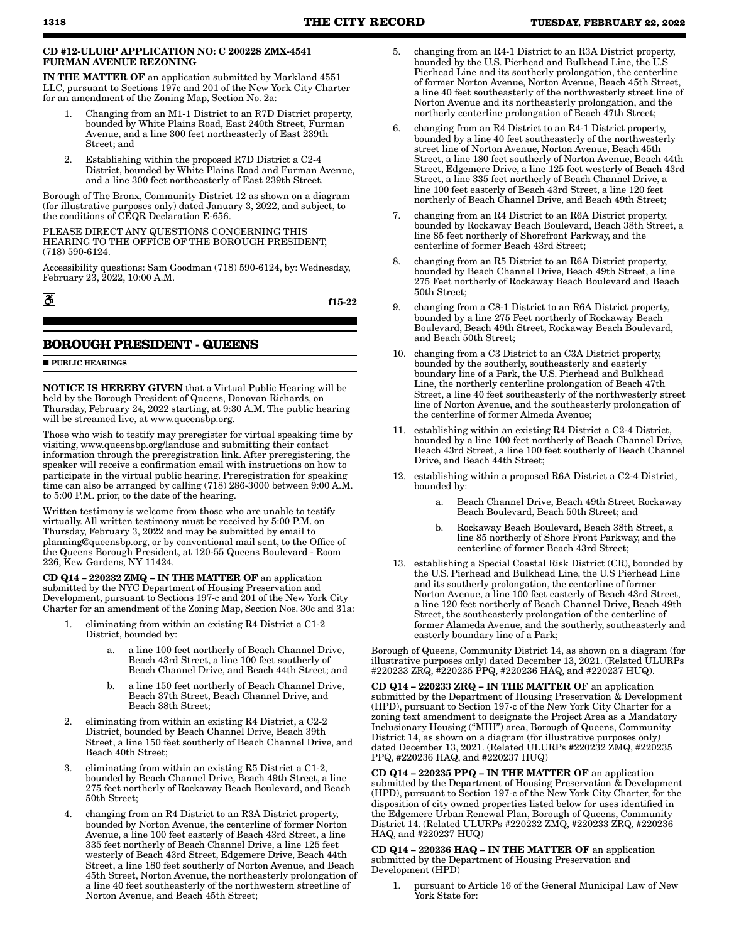#### CD #12-ULURP APPLICATION NO: C 200228 ZMX-4541 FURMAN AVENUE REZONING

IN THE MATTER OF an application submitted by Markland 4551 LLC, pursuant to Sections 197c and 201 of the New York City Charter for an amendment of the Zoning Map, Section No. 2a:

- 1. Changing from an M1-1 District to an R7D District property, bounded by White Plains Road, East 240th Street, Furman Avenue, and a line 300 feet northeasterly of East 239th Street; and
- 2. Establishing within the proposed R7D District a C2-4 District, bounded by White Plains Road and Furman Avenue, and a line 300 feet northeasterly of East 239th Street.

Borough of The Bronx, Community District 12 as shown on a diagram (for illustrative purposes only) dated January 3, 2022, and subject, to the conditions of CEQR Declaration E-656.

PLEASE DIRECT ANY QUESTIONS CONCERNING THIS HEARING TO THE OFFICE OF THE BOROUGH PRESIDENT, (718) 590-6124.

Accessibility questions: Sam Goodman (718) 590-6124, by: Wednesday, February 23, 2022, 10:00 A.M.

f15-22

# **BOROUGH PRESIDENT - QUEENS**

#### **PUBLIC HEARINGS**

 $\mathbf{a}$ 

NOTICE IS HEREBY GIVEN that a Virtual Public Hearing will be held by the Borough President of Queens, Donovan Richards, on Thursday, February 24, 2022 starting, at 9:30 A.M. The public hearing will be streamed live, at www.queensbp.org.

Those who wish to testify may preregister for virtual speaking time by visiting, www.queensbp.org/landuse and submitting their contact information through the preregistration link. After preregistering, the speaker will receive a confirmation email with instructions on how to participate in the virtual public hearing. Preregistration for speaking time can also be arranged by calling (718) 286-3000 between 9:00 A.M. to 5:00 P.M. prior, to the date of the hearing.

Written testimony is welcome from those who are unable to testify virtually. All written testimony must be received by 5:00 P.M. on Thursday, February 3, 2022 and may be submitted by email to planning@queensbp.org, or by conventional mail sent, to the Office of the Queens Borough President, at 120-55 Queens Boulevard - Room 226, Kew Gardens, NY 11424.

CD Q14 – 220232 ZMQ – IN THE MATTER OF an application submitted by the NYC Department of Housing Preservation and Development, pursuant to Sections 197-c and 201 of the New York City Charter for an amendment of the Zoning Map, Section Nos. 30c and 31a:

- 1. eliminating from within an existing R4 District a C1-2 District, bounded by:
	- a. a line 100 feet northerly of Beach Channel Drive, Beach 43rd Street, a line 100 feet southerly of Beach Channel Drive, and Beach 44th Street; and
	- b. a line 150 feet northerly of Beach Channel Drive, Beach 37th Street, Beach Channel Drive, and Beach 38th Street;
- 2. eliminating from within an existing R4 District, a C2-2 District, bounded by Beach Channel Drive, Beach 39th Street, a line 150 feet southerly of Beach Channel Drive, and Beach 40th Street;
- 3. eliminating from within an existing R5 District a C1-2, bounded by Beach Channel Drive, Beach 49th Street, a line 275 feet northerly of Rockaway Beach Boulevard, and Beach 50th Street;
- 4. changing from an R4 District to an R3A District property, bounded by Norton Avenue, the centerline of former Norton Avenue, a line 100 feet easterly of Beach 43rd Street, a line 335 feet northerly of Beach Channel Drive, a line 125 feet westerly of Beach 43rd Street, Edgemere Drive, Beach 44th Street, a line 180 feet southerly of Norton Avenue, and Beach 45th Street, Norton Avenue, the northeasterly prolongation of a line 40 feet southeasterly of the northwestern streetline of Norton Avenue, and Beach 45th Street;
- 5. changing from an R4-1 District to an R3A District property, bounded by the U.S. Pierhead and Bulkhead Line, the U.S Pierhead Line and its southerly prolongation, the centerline of former Norton Avenue, Norton Avenue, Beach 45th Street, a line 40 feet southeasterly of the northwesterly street line of Norton Avenue and its northeasterly prolongation, and the northerly centerline prolongation of Beach 47th Street;
- 6. changing from an R4 District to an R4-1 District property, bounded by a line 40 feet southeasterly of the northwesterly street line of Norton Avenue, Norton Avenue, Beach 45th Street, a line 180 feet southerly of Norton Avenue, Beach 44th Street, Edgemere Drive, a line 125 feet westerly of Beach 43rd Street, a line 335 feet northerly of Beach Channel Drive, a line 100 feet easterly of Beach 43rd Street, a line 120 feet northerly of Beach Channel Drive, and Beach 49th Street;
- 7. changing from an R4 District to an R6A District property, bounded by Rockaway Beach Boulevard, Beach 38th Street, a line 85 feet northerly of Shorefront Parkway, and the centerline of former Beach 43rd Street;
- 8. changing from an R5 District to an R6A District property, bounded by Beach Channel Drive, Beach 49th Street, a line 275 Feet northerly of Rockaway Beach Boulevard and Beach 50th Street;
- 9. changing from a C8-1 District to an R6A District property, bounded by a line 275 Feet northerly of Rockaway Beach Boulevard, Beach 49th Street, Rockaway Beach Boulevard, and Beach 50th Street;
- 10. changing from a C3 District to an C3A District property, bounded by the southerly, southeasterly and easterly boundary line of a Park, the U.S. Pierhead and Bulkhead Line, the northerly centerline prolongation of Beach 47th Street, a line 40 feet southeasterly of the northwesterly street line of Norton Avenue, and the southeasterly prolongation of the centerline of former Almeda Avenue;
- 11. establishing within an existing R4 District a C2-4 District, bounded by a line 100 feet northerly of Beach Channel Drive, Beach 43rd Street, a line 100 feet southerly of Beach Channel Drive, and Beach 44th Street;
- 12. establishing within a proposed R6A District a C2-4 District, bounded by:
	- a. Beach Channel Drive, Beach 49th Street Rockaway Beach Boulevard, Beach 50th Street; and
	- b. Rockaway Beach Boulevard, Beach 38th Street, a line 85 northerly of Shore Front Parkway, and the centerline of former Beach 43rd Street;
- 13. establishing a Special Coastal Risk District (CR), bounded by the U.S. Pierhead and Bulkhead Line, the U.S Pierhead Line and its southerly prolongation, the centerline of former Norton Avenue, a line 100 feet easterly of Beach 43rd Street, a line 120 feet northerly of Beach Channel Drive, Beach 49th Street, the southeasterly prolongation of the centerline of former Alameda Avenue, and the southerly, southeasterly and easterly boundary line of a Park;

Borough of Queens, Community District 14, as shown on a diagram (for illustrative purposes only) dated December 13, 2021. (Related ULURPs #220233 ZRQ, #220235 PPQ, #220236 HAQ, and #220237 HUQ).

CD Q14 – 220233 ZRQ – IN THE MATTER OF an application submitted by the Department of Housing Preservation & Development (HPD), pursuant to Section 197-c of the New York City Charter for a zoning text amendment to designate the Project Area as a Mandatory Inclusionary Housing ("MIH") area, Borough of Queens, Community District 14, as shown on a diagram (for illustrative purposes only) dated December 13, 2021. (Related ULURPs #220232 ZMQ, #220235 PPQ, #220236 HAQ, and #220237 HUQ)

CD Q14 – 220235 PPQ – IN THE MATTER OF an application submitted by the Department of Housing Preservation & Development (HPD), pursuant to Section 197-c of the New York City Charter, for the disposition of city owned properties listed below for uses identified in the Edgemere Urban Renewal Plan, Borough of Queens, Community District 14. (Related ULURPs #220232 ZMQ, #220233 ZRQ, #220236 HAQ, and #220237 HUQ)

CD  $Q14 - 220236$  HA $Q$  – IN THE MATTER OF an application submitted by the Department of Housing Preservation and Development (HPD)

1. pursuant to Article 16 of the General Municipal Law of New York State for: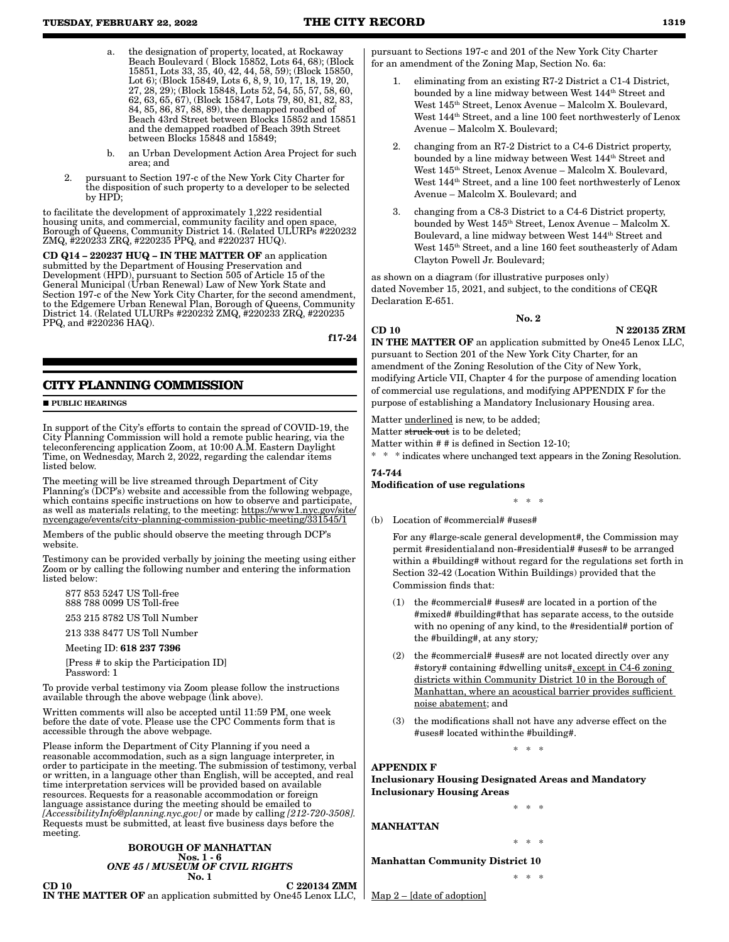- the designation of property, located, at Rockaway Beach Boulevard ( Block 15852, Lots 64, 68); (Block 15851, Lots 33, 35, 40, 42, 44, 58, 59); (Block 15850, Lot 6); (Block 15849, Lots 6, 8, 9, 10, 17, 18, 19, 20, 27, 28, 29); (Block 15848, Lots 52, 54, 55, 57, 58, 60, 62, 63, 65, 67), (Block 15847, Lots 79, 80, 81, 82, 83, 84, 85, 86, 87, 88, 89), the demapped roadbed of Beach 43rd Street between Blocks 15852 and 15851 and the demapped roadbed of Beach 39th Street between Blocks 15848 and 15849;
- b. an Urban Development Action Area Project for such area; and
- 2. pursuant to Section 197-c of the New York City Charter for the disposition of such property to a developer to be selected by HPD;

to facilitate the development of approximately 1,222 residential housing units, and commercial, community facility and open space, Borough of Queens, Community District 14. (Related ULURPs #220232 ZMQ, #220233 ZRQ, #220235 PPQ, and #220237 HUQ).

CD Q14 – 220237 HUQ – IN THE MATTER OF an application submitted by the Department of Housing Preservation and Development (HPD), pursuant to Section 505 of Article 15 of the General Municipal (Urban Renewal) Law of New York State and Section 197-c of the New York City Charter, for the second amendment, to the Edgemere Urban Renewal Plan, Borough of Queens, Community District 14. (Related ULURPs #220232 ZMQ, #220233 ZRQ, #220235 PPQ, and #220236 HAQ).

f17-24

# **CITY PLANNING COMMISSION**

**PURLIC HEARINGS** 

In support of the City's efforts to contain the spread of COVID-19, the City Planning Commission will hold a remote public hearing, via the teleconferencing application Zoom, at 10:00 A.M. Eastern Daylight Time, on Wednesday, March 2, 2022, regarding the calendar items listed below.

The meeting will be live streamed through Department of City Planning's (DCP's) website and accessible from the following webpage, which contains specific instructions on how to observe and participate, as well as materials relating, to the meeting: https://www1.nyc.gov/site/ nycengage/events/city-planning-commission-public-meeting/331545/1

Members of the public should observe the meeting through DCP's website.

Testimony can be provided verbally by joining the meeting using either Zoom or by calling the following number and entering the information listed below:

877 853 5247 US Toll-free 888 788 0099 US Toll-free

253 215 8782 US Toll Number

213 338 8477 US Toll Number

Meeting ID: 618 237 7396

[Press # to skip the Participation ID] Password: 1

To provide verbal testimony via Zoom please follow the instructions available through the above webpage (link above).

Written comments will also be accepted until 11:59 PM, one week before the date of vote. Please use the CPC Comments form that is accessible through the above webpage.

Please inform the Department of City Planning if you need a reasonable accommodation, such as a sign language interpreter, in order to participate in the meeting. The submission of testimony, verbal or written, in a language other than English, will be accepted, and real time interpretation services will be provided based on available resources. Requests for a reasonable accommodation or foreign language assistance during the meeting should be emailed to *[AccessibilityInfo@planning.nyc.gov]* or made by calling *[212-720-3508].* Requests must be submitted, at least five business days before the meeting.

#### BOROUGH OF MANHATTAN Nos. 1 - 6 *ONE 45 / MUSEUM OF CIVIL RIGHTS* No. 1

 $CD 10$   $C 220134 ZMM$ IN THE MATTER OF an application submitted by One45 Lenox LLC,

pursuant to Sections 197-c and 201 of the New York City Charter for an amendment of the Zoning Map, Section No. 6a:

- 1. eliminating from an existing R7-2 District a C1-4 District, bounded by a line midway between West 144<sup>th</sup> Street and West 145th Street, Lenox Avenue – Malcolm X. Boulevard, West  $144<sup>th</sup> Street$ , and a line 100 feet northwesterly of Lenox Avenue – Malcolm X. Boulevard;
- 2. changing from an R7-2 District to a C4-6 District property, bounded by a line midway between West 144th Street and West 145th Street, Lenox Avenue – Malcolm X. Boulevard, West  $144<sup>th</sup> Street$ , and a line 100 feet northwesterly of Lenox Avenue – Malcolm X. Boulevard; and
- 3. changing from a C8-3 District to a C4-6 District property, bounded by West 145th Street, Lenox Avenue – Malcolm X. Boulevard, a line midway between West 144th Street and West 145th Street, and a line 160 feet southeasterly of Adam Clayton Powell Jr. Boulevard;

as shown on a diagram (for illustrative purposes only) dated November 15, 2021, and subject, to the conditions of CEQR Declaration E-651.

CD 10 N 220135 ZRM IN THE MATTER OF an application submitted by One45 Lenox LLC, pursuant to Section 201 of the New York City Charter, for an amendment of the Zoning Resolution of the City of New York, modifying Article VII, Chapter 4 for the purpose of amending location of commercial use regulations, and modifying APPENDIX F for the purpose of establishing a Mandatory Inclusionary Housing area.

No. 2

Matter underlined is new, to be added;

Matter struck out is to be deleted;

Matter within # # is defined in Section 12-10;

\* \* \* indicates where unchanged text appears in the Zoning Resolution.

# 74-744

# Modification of use regulations

\* \* \* (b) Location of #commercial# #uses#

> For any #large-scale general development#, the Commission may permit #residential and non-#residential# #uses# to be arranged within a #building# without regard for the regulations set forth in Section 32-42 (Location Within Buildings) provided that the Commission finds that:

- (1) the #commercial# #uses# are located in a portion of the #mixed# #building# that has separate access, to the outside with no opening of any kind, to the #residential# portion of the #building#, at any story*;*
- (2) the #commercial# #uses# are not located directly over any #story# containing #dwelling units#, except in C4-6 zoning districts within Community District 10 in the Borough of Manhattan, where an acoustical barrier provides sufficient noise abatement; and
- (3) the modifications shall not have any adverse effect on the #uses# located within the #building#. \* \* \*

Inclusionary Housing Designated Areas and Mandatory Inclusionary Housing Areas

MANHATTAN

APPENDIX F

Manhattan Community District 10

\* \* \*

\* \* \*

\* \* \*

Map 2 – [date of adoption]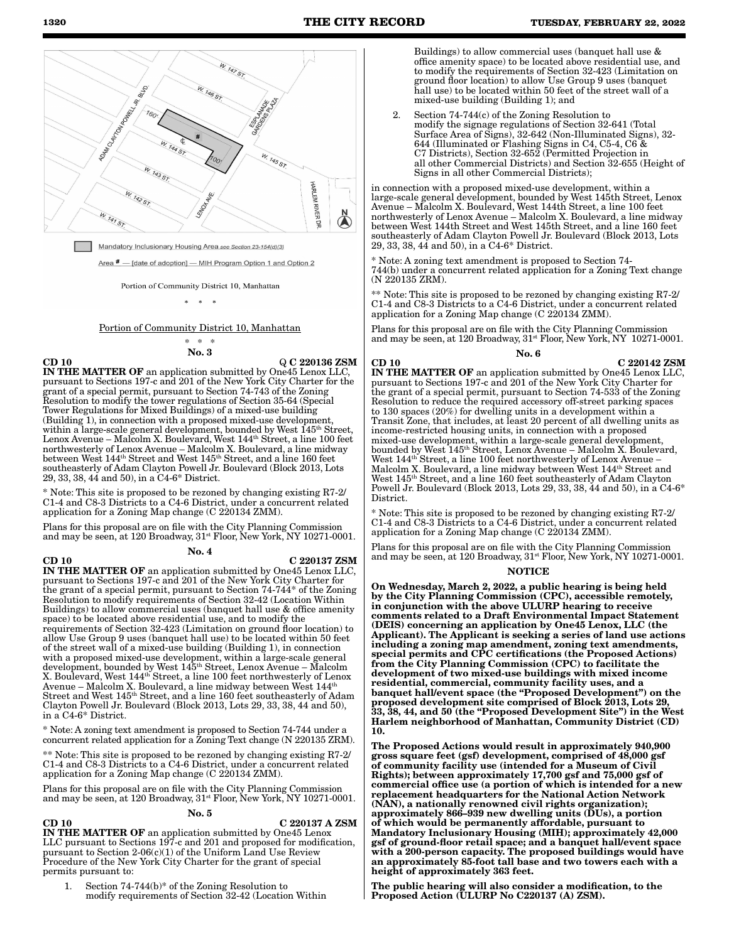

 $\frac{1}{2}$ 

#### Portion of Community District 10, Manhattan

\* \* \* No. 3

 $CD 10$  Q C 220136 ZSM

IN THE MATTER OF an application submitted by One45 Lenox LLC, pursuant to Sections 197-c and 201 of the New York City Charter for the grant of a special permit, pursuant to Section 74-743 of the Zoning Resolution to modify the tower regulations of Section 35-64 (Special Tower Regulations for Mixed Buildings) of a mixed-use building (Building 1), in connection with a proposed mixed-use development, within a large-scale general development, bounded by West 145<sup>th</sup> Street, Lenox Avenue – Malcolm X. Boulevard, West 144th Street, a line 100 feet northwesterly of Lenox Avenue – Malcolm X. Boulevard, a line midway between West 144<sup>th</sup> Street and West 145<sup>th</sup> Street, and a line 160 feet southeasterly of Adam Clayton Powell Jr. Boulevard (Block 2013, Lots 29, 33, 38, 44 and 50), in a C4-6\* District.

\* Note: This site is proposed to be rezoned by changing existing R7-2/ C1-4 and C8-3 Districts to a C4-6 District, under a concurrent related application for a Zoning Map change (C 220134 ZMM).

Plans for this proposal are on file with the City Planning Commission and may be seen, at 120 Broadway,  $31^{st}$  Floor, New York, NY 10271-0001. No. 4

## CD 10 C 220137 ZSM

IN THE MATTER OF an application submitted by One45 Lenox LLC, pursuant to Sections 197-c and 201 of the New York City Charter for the grant of a special permit, pursuant to Section 74-744\* of the Zoning Resolution to modify requirements of Section 32-42 (Location Within Buildings) to allow commercial uses (banquet hall use & office amenity space) to be located above residential use, and to modify the requirements of Section 32-423 (Limitation on ground floor location) to allow Use Group 9 uses (banquet hall use) to be located within 50 feet of the street wall of a mixed-use building (Building 1), in connection with a proposed mixed-use development, within a large-scale general development, bounded by West 145th Street, Lenox Avenue – Malcolm X. Boulevard, West 144th Street, a line 100 feet northwesterly of Lenox Avenue – Malcolm X. Boulevard, a line midway between West 144th Street and West 145<sup>th</sup> Street, and a line 160 feet southeasterly of Adam Clayton Powell Jr. Boulevard (Block 2013, Lots 29, 33, 38, 44 and 50), in a C4-6\* District.

\* Note: A zoning text amendment is proposed to Section 74-744 under a concurrent related application for a Zoning Text change (N 220135 ZRM).

\*\* Note: This site is proposed to be rezoned by changing existing R7-2/ C1-4 and C8-3 Districts to a C4-6 District, under a concurrent related application for a Zoning Map change (C 220134 ZMM).

Plans for this proposal are on file with the City Planning Commission and may be seen, at 120 Broadway,  $31^{st}$  Floor, New York, NY 10271-0001.

#### No. 5

#### $CD$  10 C 220137 A ZSM

IN THE MATTER OF an application submitted by One45 Lenox LLC pursuant to Sections 197-c and 201 and proposed for modification, pursuant to Section 2-06(c)(1) of the Uniform Land Use Review Procedure of the New York City Charter for the grant of special permits pursuant to:

1. Section 74-744(b)\* of the Zoning Resolution to modify requirements of Section 32-42 (Location Within

Buildings) to allow commercial uses (banquet hall use & office amenity space) to be located above residential use, and to modify the requirements of Section 32-423 (Limitation on ground floor location) to allow Use Group 9 uses (banquet hall use) to be located within 50 feet of the street wall of a mixed-use building (Building 1); and

2. Section 74-744(c) of the Zoning Resolution to modify the signage regulations of Section 32-641 (Total Surface Area of Signs), 32-642 (Non-Illuminated Signs), 32- 644 (Illuminated or Flashing Signs in C4, C5-4, C6 & C7 Districts), Section 32-652 (Permitted Projection in all other Commercial Districts) and Section 32-655 (Height of Signs in all other Commercial Districts);

in connection with a proposed mixed-use development, within a large-scale general development, bounded by West 145th Street, Lenox Avenue – Malcolm X. Boulevard, West 144th Street, a line 100 feet northwesterly of Lenox Avenue – Malcolm X. Boulevard, a line midway between West 144th Street and West 145th Street, and a line 160 feet southeasterly of Adam Clayton Powell Jr. Boulevard (Block 2013, Lots) 29, 33, 38, 44 and 50), in a C4-6\* District. 

\* Note: A zoning text amendment is proposed to Section 74- 744(b) under a concurrent related application for a Zoning Text change (N 220135 ZRM). 

\*\* Note: This site is proposed to be rezoned by changing existing R7-2/ C1-4 and C8-3 Districts to a C4-6 District, under a concurrent related application for a Zoning Map change (C 220134 ZMM). 

Plans for this proposal are on file with the City Planning Commission and may be seen, at 120 Broadway, 31<sup>st</sup> Floor, New York, NY 10271-0001. No. 6

 $CD 10$   $C 220142 ZSM$ IN THE MATTER OF an application submitted by One45 Lenox LLC, pursuant to Sections 197-c and 201 of the New York City Charter for the grant of a special permit, pursuant to Section 74-533 of the Zoning Resolution to reduce the required accessory off-street parking spaces to 130 spaces (20%) for dwelling units in a development within a Transit Zone, that includes, at least 20 percent of all dwelling units as income-restricted housing units, in connection with a proposed mixed-use development, within a large-scale general development, bounded by West 145<sup>th</sup> Street, Lenox Avenue – Malcolm X. Boulevard, West 144th Street, a line 100 feet northwesterly of Lenox Avenue – Malcolm X. Boulevard, a line midway between West 144th Street and West 145th Street, and a line 160 feet southeasterly of Adam Clayton Powell Jr. Boulevard (Block 2013, Lots 29, 33, 38, 44 and 50), in a C4-6\* District.

\* Note: This site is proposed to be rezoned by changing existing R7-2/ C1-4 and C8-3 Districts to a C4-6 District, under a concurrent related application for a Zoning Map change (C 220134 ZMM).

Plans for this proposal are on file with the City Planning Commission and may be seen, at 120 Broadway,  $31^{st}$  Floor, New York, NY 10271-0001.

#### NOTI

On Wednesday, March 2, 2022, a public hearing is being held by the City Planning Commission (CPC), accessible remotely, in conjunction with the above ULURP hearing to receive comments related to a Draft Environmental Impact Statement (DEIS) concerning an application by One45 Lenox, LLC (the Applicant). The Applicant is seeking a series of land use actions including a zoning map amendment, zoning text amendments, special permits and CPC certifications (the Proposed Actions) from the City Planning Commission (CPC) to facilitate the development of two mixed-use buildings with mixed income residential, commercial, community facility uses, and a banquet hall/event space (the "Proposed Development") on the proposed development site comprised of Block 2013, Lots 29, 33, 38, 44, and 50 (the "Proposed Development Site") in the West Harlem neighborhood of Manhattan, Community District (CD) 10.

The Proposed Actions would result in approximately 940,900 gross square feet (gsf) development, comprised of 48,000 gsf of community facility use (intended for a Museum of Civil Rights); between approximately 17,700 gsf and 75,000 gsf of commercial office use (a portion of which is intended for a new replacement headquarters for the National Action Network (NAN), a nationally renowned civil rights organization); approximately 866–939 new dwelling units (DUs), a portion of which would be permanently affordable, pursuant to Mandatory Inclusionary Housing (MIH); approximately 42,000 gsf of ground-floor retail space; and a banquet hall/event space with a 200-person capacity. The proposed buildings would have an approximately 85-foot tall base and two towers each with a height of approximately 363 feet.

The public hearing will also consider a modification, to the Proposed Action (ULURP No C220137 (A) ZSM).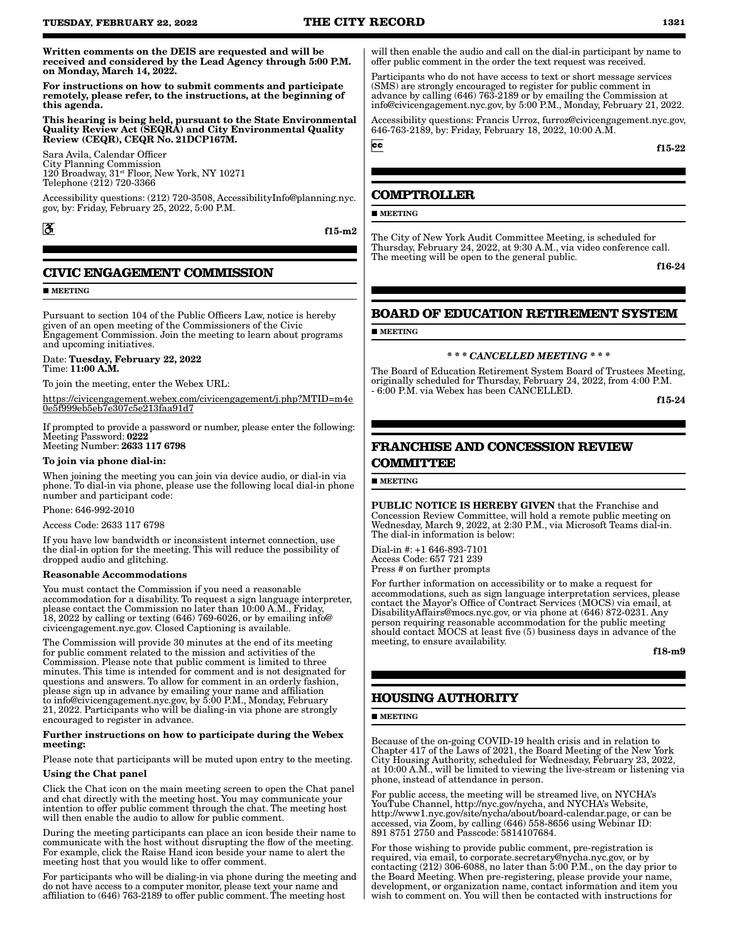Written comments on the DEIS are requested and will be received and considered by the Lead Agency through 5:00 P.M. on Monday, March 14, 2022.

For instructions on how to submit comments and participate remotely, please refer, to the instructions, at the beginning of this agenda.

This hearing is being held, pursuant to the State Environmental Quality Review Act (SEQRA) and City Environmental Quality Review (CEQR), CEQR No. 21DCP167M.

Sara Avila, Calendar Officer City Planning Commission 120 Broadway, 31st Floor, New York, NY 10271 Telephone (212) 720-3366

Accessibility questions: (212) 720-3508, AccessibilityInfo@planning.nyc. gov, by: Friday, February 25, 2022, 5:00 P.M.

 $\mathbf{\mathcal{E}}$ 

f15-m2

# **CIVIC ENGAGEMENT COMMISSION**

**MEETING** 

Pursuant to section 104 of the Public Officers Law, notice is hereby given of an open meeting of the Commissioners of the Civic Engagement Commission. Join the meeting to learn about programs and upcoming initiatives.

#### Date: Tuesday, February 22, 2022 Time: 11:00 A.M.

To join the meeting, enter the Webex URL:

https://civicengagement.webex.com/civicengagement/j.php?MTID=m4e 0e5f999eb5eb7e307c5e213faa91d7

If prompted to provide a password or number, please enter the following: Meeting Password: 0222

Meeting Number: 2633 117 6798

#### To join via phone dial-in:

When joining the meeting you can join via device audio, or dial-in via phone. To dial-in via phone, please use the following local dial-in phone number and participant code:

Phone: 646-992-2010

Access Code: 2633 117 6798

If you have low bandwidth or inconsistent internet connection, use the dial-in option for the meeting. This will reduce the possibility of dropped audio and glitching.

#### Reasonable Accommodations

You must contact the Commission if you need a reasonable accommodation for a disability. To request a sign language interpreter, please contact the Commission no later than 10:00 A.M., Friday, 18, 2022 by calling or texting (646) 769-6026, or by emailing info@ civicengagement.nyc.gov. Closed Captioning is available.

The Commission will provide 30 minutes at the end of its meeting for public comment related to the mission and activities of the Commission. Please note that public comment is limited to three minutes. This time is intended for comment and is not designated for questions and answers. To allow for comment in an orderly fashion, please sign up in advance by emailing your name and affiliation to info@civicengagement.nyc.gov, by 5:00 P.M., Monday, February 21, 2022. Participants who will be dialing-in via phone are strongly encouraged to register in advance.

#### Further instructions on how to participate during the Webex meeting:

Please note that participants will be muted upon entry to the meeting.

#### Using the Chat panel

Click the Chat icon on the main meeting screen to open the Chat panel and chat directly with the meeting host. You may communicate your intention to offer public comment through the chat. The meeting host will then enable the audio to allow for public comment.

During the meeting participants can place an icon beside their name to communicate with the host without disrupting the flow of the meeting. For example, click the Raise Hand icon beside your name to alert the meeting host that you would like to offer comment.

For participants who will be dialing-in via phone during the meeting and do not have access to a computer monitor, please text your name and affiliation to (646) 763-2189 to offer public comment. The meeting host

will then enable the audio and call on the dial-in participant by name to offer public comment in the order the text request was received.

Participants who do not have access to text or short message services (SMS) are strongly encouraged to register for public comment in advance by calling (646) 763-2189 or by emailing the Commission at info@civicengagement.nyc.gov, by 5:00 P.M., Monday, February 21, 2022.

Accessibility questions: Francis Urroz, furroz@civicengagement.nyc.gov, 646-763-2189, by: Friday, February 18, 2022, 10:00 A.M.

f15-22

### **COMPTROLLER**

**MEETING** 

 $cc$ 

The City of New York Audit Committee Meeting, is scheduled for Thursday, February 24, 2022, at 9:30 A.M., via video conference call. The meeting will be open to the general public.

f16-24

# **BOARD OF EDUCATION RETIREMENT SYSTEM**

**MEETING** 

#### *\* \* \* CANCELLED MEETING \* \* \**

The Board of Education Retirement System Board of Trustees Meeting, originally scheduled for Thursday, February 24, 2022, from 4:00 P.M. - 6:00 P.M. via Webex has been CANCELLED.

f15-24

# **FRANCHISE AND CONCESSION REVIEW COMMITTEE**

### **MEETING**

PUBLIC NOTICE IS HEREBY GIVEN that the Franchise and Concession Review Committee, will hold a remote public meeting on Wednesday, March 9, 2022, at 2:30 P.M., via Microsoft Teams dial-in. The dial-in information is below:

Dial-in #: +1 646-893-7101 Access Code: 657 721 239 Press # on further prompts

For further information on accessibility or to make a request for accommodations, such as sign language interpretation services, please contact the Mayor's Office of Contract Services (MOCS) via email, at DisabilityAffairs@mocs.nyc.gov, or via phone at (646) 872-0231. Any person requiring reasonable accommodation for the public meeting should contact MOCS at least five (5) business days in advance of the meeting, to ensure availability.

f18-m9

# **HOUSING AUTHORITY**

#### **MEETING**

Because of the on-going COVID-19 health crisis and in relation to Chapter 417 of the Laws of 2021, the Board Meeting of the New York City Housing Authority, scheduled for Wednesday, February 23, 2022, at 10:00 A.M., will be limited to viewing the live-stream or listening via phone, instead of attendance in person.

For public access, the meeting will be streamed live, on NYCHA's YouTube Channel, http://nyc.gov/nycha, and NYCHA's Website, http://www1.nyc.gov/site/nycha/about/board-calendar.page, or can be accessed, via Zoom, by calling (646) 558-8656 using Webinar ID: 891 8751 2750 and Passcode: 5814107684.

For those wishing to provide public comment, pre-registration is required, via email, to corporate.secretary@nycha.nyc.gov, or by contacting (212) 306-6088, no later than 5:00 P.M., on the day prior to the Board Meeting. When pre-registering, please provide your name, development, or organization name, contact information and item you wish to comment on. You will then be contacted with instructions for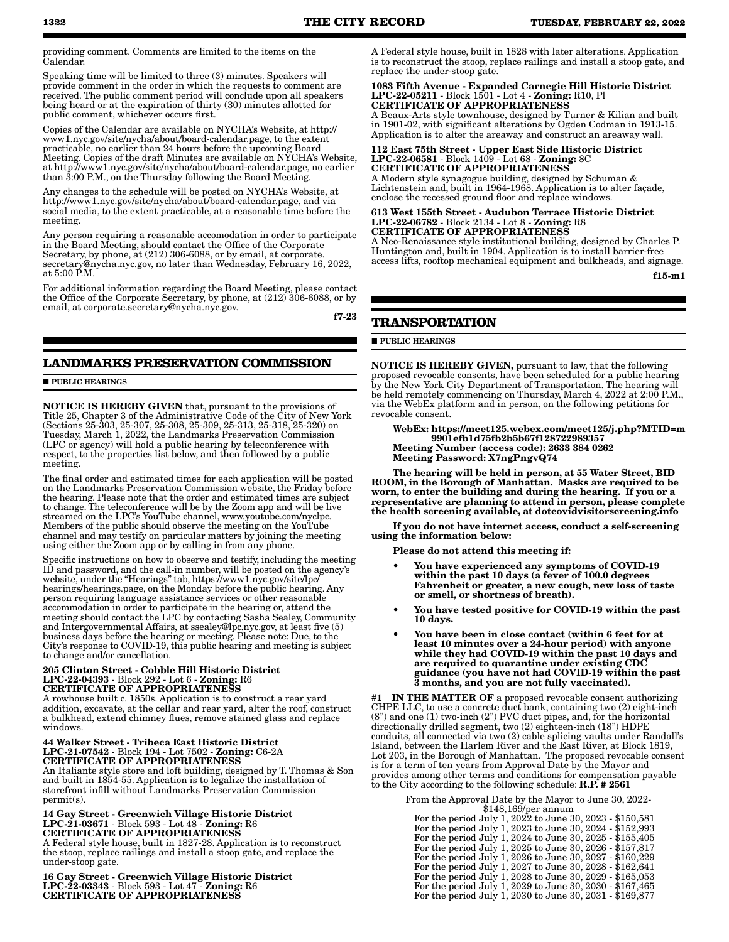providing comment. Comments are limited to the items on the Calendar.

Speaking time will be limited to three (3) minutes. Speakers will provide comment in the order in which the requests to comment are received. The public comment period will conclude upon all speakers being heard or at the expiration of thirty (30) minutes allotted for public comment, whichever occurs first.

Copies of the Calendar are available on NYCHA's Website, at http:// www1.nyc.gov/site/nycha/about/board-calendar.page, to the extent practicable, no earlier than 24 hours before the upcoming Board Meeting. Copies of the draft Minutes are available on NYCHA's Website, at http://www1.nyc.gov/site/nycha/about/board-calendar.page, no earlier than 3:00 P.M., on the Thursday following the Board Meeting.

Any changes to the schedule will be posted on NYCHA's Website, at http://www1.nyc.gov/site/nycha/about/board-calendar.page, and via social media, to the extent practicable, at a reasonable time before the meeting.

Any person requiring a reasonable accomodation in order to participate in the Board Meeting, should contact the Office of the Corporate Secretary, by phone, at (212) 306-6088, or by email, at corporate. secretary@nycha.nyc.gov, no later than Wednesday, February 16, 2022, at 5:00 P.M.

For additional information regarding the Board Meeting, please contact the Office of the Corporate Secretary, by phone, at (212) 306-6088, or by email, at corporate.secretary@nycha.nyc.gov.

f7-23

# **LANDMARKS PRESERVATION COMMISSION**

**PUBLIC HEARINGS** 

NOTICE IS HEREBY GIVEN that, pursuant to the provisions of Title 25, Chapter 3 of the Administrative Code of the City of New York (Sections 25-303, 25-307, 25-308, 25-309, 25-313, 25-318, 25-320) on Tuesday, March 1, 2022, the Landmarks Preservation Commission (LPC or agency) will hold a public hearing by teleconference with respect, to the properties list below, and then followed by a public meeting.

The final order and estimated times for each application will be posted on the Landmarks Preservation Commission website, the Friday before the hearing. Please note that the order and estimated times are subject to change. The teleconference will be by the Zoom app and will be live streamed on the LPC's YouTube channel, www.youtube.com/nyclpc. Members of the public should observe the meeting on the YouTube channel and may testify on particular matters by joining the meeting using either the Zoom app or by calling in from any phone.

Specific instructions on how to observe and testify, including the meeting ID and password, and the call-in number, will be posted on the agency's website, under the "Hearings" tab, https://www1.nyc.gov/site/lpc/ hearings/hearings.page, on the Monday before the public hearing. Any person requiring language assistance services or other reasonable accommodation in order to participate in the hearing or, attend the meeting should contact the LPC by contacting Sasha Sealey, Community and Intergovernmental Affairs, at ssealey@lpc.nyc.gov, at least five (5) business days before the hearing or meeting. Please note: Due, to the City's response to COVID-19, this public hearing and meeting is subject to change and/or cancellation.

# 205 Clinton Street - Cobble Hill Historic District LPC-22-04393 - Block 292 - Lot 6 - Zoning: R6 CERTIFICATE OF APPROPRIATENESS

A rowhouse built c. 1850s. Application is to construct a rear yard addition, excavate, at the cellar and rear yard, alter the roof, construct a bulkhead, extend chimney flues, remove stained glass and replace windows.

#### 44 Walker Street - Tribeca East Historic District LPC-21-07542 - Block 194 - Lot 7502 - Zoning: C6-2A CERTIFICATE OF APPROPRIATENESS

An Italiante style store and loft building, designed by T. Thomas & Son and built in 1854-55. Application is to legalize the installation of storefront infill without Landmarks Preservation Commission permit(s).

# 14 Gay Street - Greenwich Village Historic District LPC-21-03671 - Block 593 - Lot 48 - Zoning: R6 CERTIFICATE OF APPROPRIATENESS

A Federal style house, built in 1827-28. Application is to reconstruct the stoop, replace railings and install a stoop gate, and replace the under-stoop gate.

16 Gay Street - Greenwich Village Historic District LPC-22-03343 - Block 593 - Lot 47 - Zoning: R6 CERTIFICATE OF APPROPRIATENESS

A Federal style house, built in 1828 with later alterations. Application is to reconstruct the stoop, replace railings and install a stoop gate, and replace the under-stoop gate.

#### 1083 Fifth Avenue - Expanded Carnegie Hill Historic District LPC-22-05211 - Block 1501 - Lot 4 - Zoning: R10, Pl CERTIFICATE OF APPROPRIATENESS

A Beaux-Arts style townhouse, designed by Turner & Kilian and built in 1901-02, with significant alterations by Ogden Codman in 1913-15. Application is to alter the areaway and construct an areaway wall.

112 East 75th Street - Upper East Side Historic District LPC-22-06581 - Block 1409 - Lot 68 - Zoning: 8C CERTIFICATE OF APPROPRIATENESS

A Modern style synagogue building, designed by Schuman & Lichtenstein and, built in 1964-1968. Application is to alter façade, enclose the recessed ground floor and replace windows.

613 West 155th Street - Audubon Terrace Historic District LPC-22-06782 - Block 2134 - Lot 8 - Zoning: R8 CERTIFICATE OF APPROPRIATENESS

A Neo-Renaissance style institutional building, designed by Charles P. Huntington and, built in 1904. Application is to install barrier-free access lifts, rooftop mechanical equipment and bulkheads, and signage.

f15-m1

# **TRANSPORTATION**

**PUBLIC HEARINGS** 

NOTICE IS HEREBY GIVEN, pursuant to law, that the following proposed revocable consents, have been scheduled for a public hearing by the New York City Department of Transportation. The hearing will be held remotely commencing on Thursday, March 4, 2022 at 2:00 P.M., via the WebEx platform and in person, on the following petitions for revocable consent.

WebEx: https://meet125.webex.com/meet125/j.php?MTID=m 9901efb1d75fb2b5b67f128722989357 Meeting Number (access code): 2633 384 0262 Meeting Password: X7ngPngvQ74

The hearing will be held in person, at 55 Water Street, BID ROOM, in the Borough of Manhattan. Masks are required to be worn, to enter the building and during the hearing. If you or a representative are planning to attend in person, please complete the health screening available, at dotcovidvisitorscreening.info

If you do not have internet access, conduct a self-screening using the information below:

Please do not attend this meeting if:

- You have experienced any symptoms of COVID-19 within the past 10 days (a fever of 100.0 degrees Fahrenheit or greater, a new cough, new loss of taste or smell, or shortness of breath).
- You have tested positive for COVID-19 within the past 10 days.
- You have been in close contact (within 6 feet for at least 10 minutes over a 24-hour period) with anyone while they had COVID-19 within the past 10 days and are required to quarantine under existing CDC guidance (you have not had COVID-19 within the past 3 months, and you are not fully vaccinated).

#1 IN THE MATTER OF a proposed revocable consent authorizing CHPE LLC, to use a concrete duct bank, containing two (2) eight-inch (8") and one (1) two-inch (2") PVC duct pipes, and, for the horizontal directionally drilled segment, two (2) eighteen-inch (18") HDPE conduits, all connected via two (2) cable splicing vaults under Randall's Island, between the Harlem River and the East River, at Block 1819, Lot 203, in the Borough of Manhattan. The proposed revocable consent is for a term of ten years from Approval Date by the Mayor and provides among other terms and conditions for compensation payable to the City according to the following schedule: **R.P.** # 2561

From the Approval Date by the Mayor to June 30, 2022-

| $$148,169$ /per annum                                    |
|----------------------------------------------------------|
| For the period July 1, 2022 to June 30, 2023 - \$150,581 |
| For the period July 1, 2023 to June 30, 2024 - \$152,993 |
| For the period July 1, 2024 to June 30, 2025 - \$155,405 |
| For the period July 1, 2025 to June 30, 2026 - \$157,817 |
| For the period July 1, 2026 to June 30, 2027 - \$160,229 |
| For the period July 1, 2027 to June 30, 2028 - \$162,641 |
| For the period July 1, 2028 to June 30, 2029 - \$165,053 |
| For the period July 1, 2029 to June 30, 2030 - \$167,465 |
| For the period July 1, 2030 to June 30, 2031 - \$169,877 |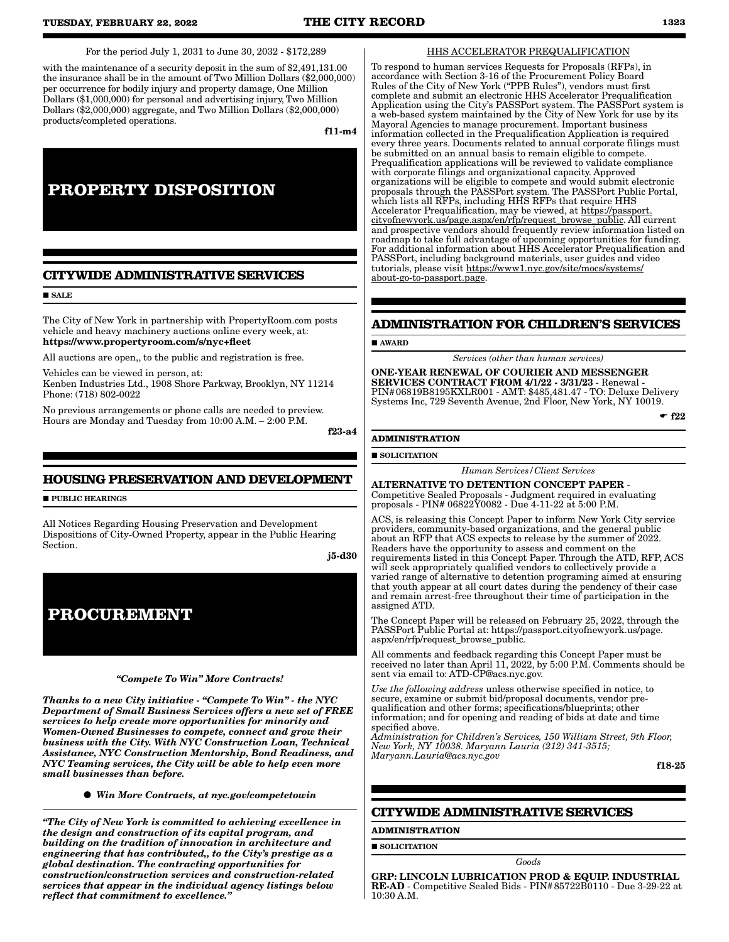For the period July 1, 2031 to June 30, 2032 - \$172,289

with the maintenance of a security deposit in the sum of \$2,491,131.00 the insurance shall be in the amount of Two Million Dollars (\$2,000,000) per occurrence for bodily injury and property damage, One Million Dollars (\$1,000,000) for personal and advertising injury, Two Million Dollars (\$2,000,000) aggregate, and Two Million Dollars (\$2,000,000) products/completed operations.

f11-m4

# **PROPERTY DISPOSITION**

# **CITYWIDE ADMINISTRATIVE SERVICES**

**SALE** 

The City of New York in partnership with PropertyRoom.com posts vehicle and heavy machinery auctions online every week, at: https://www.propertyroom.com/s/nyc+fleet

All auctions are open,, to the public and registration is free.

Vehicles can be viewed in person, at: Kenben Industries Ltd., 1908 Shore Parkway, Brooklyn, NY 11214 Phone: (718) 802-0022

No previous arrangements or phone calls are needed to preview. Hours are Monday and Tuesday from 10:00 A.M. – 2:00 P.M.

f23-a4

# **HOUSING PRESERVATION AND DEVELOPMENT**

**PUBLIC HEARINGS** 

All Notices Regarding Housing Preservation and Development Dispositions of City-Owned Property, appear in the Public Hearing Section.

j5-d30

# **PROCUREMENT**

### *"Compete To Win" More Contracts!*

*Thanks to a new City initiative - "Compete To Win" - the NYC Department of Small Business Services offers a new set of FREE services to help create more opportunities for minority and Women-Owned Businesses to compete, connect and grow their business with the City. With NYC Construction Loan, Technical Assistance, NYC Construction Mentorship, Bond Readiness, and NYC Teaming services, the City will be able to help even more small businesses than before.*

*Win More Contracts, at nyc.gov/competetowin*

*"The City of New York is committed to achieving excellence in the design and construction of its capital program, and building on the tradition of innovation in architecture and engineering that has contributed,, to the City's prestige as a global destination. The contracting opportunities for construction/construction services and construction-related services that appear in the individual agency listings below reflect that commitment to excellence."*

#### HHS ACCELERATOR PREQUALIFICATION

To respond to human services Requests for Proposals (RFPs), in accordance with Section 3-16 of the Procurement Policy Board Rules of the City of New York ("PPB Rules"), vendors must first complete and submit an electronic HHS Accelerator Prequalification Application using the City's PASSPort system. The PASSPort system is a web-based system maintained by the City of New York for use by its Mayoral Agencies to manage procurement. Important business information collected in the Prequalification Application is required every three years. Documents related to annual corporate filings must be submitted on an annual basis to remain eligible to compete. Prequalification applications will be reviewed to validate compliance with corporate filings and organizational capacity. Approved organizations will be eligible to compete and would submit electronic proposals through the PASSPort system. The PASSPort Public Portal, which lists all RFPs, including HHS RFPs that require HHS Accelerator Prequalification, may be viewed, at https://passport. cityofnewyork.us/page.aspx/en/rfp/request\_browse\_public. All current and prospective vendors should frequently review information listed on roadmap to take full advantage of upcoming opportunities for funding. For additional information about HHS Accelerator Prequalification and PASSPort, including background materials, user guides and video tutorials, please visit https://www1.nyc.gov/site/mocs/systems/ about-go-to-passport.page.

#### **ADMINISTRATION FOR CHILDREN'S SERVICES**

#### **AWARD**

*Services (other than human services)*

ONE-YEAR RENEWAL OF COURIER AND MESSENGER SERVICES CONTRACT FROM 4/1/22 - 3/31/23 - Renewal - PIN#06819B8195KXLR001 - AMT: \$485,481.47 - TO: Deluxe Delivery Systems Inc, 729 Seventh Avenue, 2nd Floor, New York, NY 10019.

 $-$ f22

#### **ADMINISTRATION**

**SOLICITATION** 

*Human Services/Client Services*

ALTERNATIVE TO DETENTION CONCEPT PAPER - Competitive Sealed Proposals - Judgment required in evaluating proposals - PIN# 06822Y0082 - Due 4-11-22 at 5:00 P.M.

ACS, is releasing this Concept Paper to inform New York City service providers, community-based organizations, and the general public about an RFP that ACS expects to release by the summer of 2022. Readers have the opportunity to assess and comment on the requirements listed in this Concept Paper. Through the ATD, RFP, ACS will seek appropriately qualified vendors to collectively provide a varied range of alternative to detention programing aimed at ensuring that youth appear at all court dates during the pendency of their case and remain arrest-free throughout their time of participation in the assigned ATD.

The Concept Paper will be released on February 25, 2022, through the PASSPort Public Portal at: https://passport.cityofnewyork.us/page. aspx/en/rfp/request\_browse\_public.

All comments and feedback regarding this Concept Paper must be received no later than April 11, 2022, by 5:00 P.M. Comments should be sent via email to: ATD-CP@acs.nyc.gov.

*Use the following address* unless otherwise specified in notice, to secure, examine or submit bid/proposal documents, vendor prequalification and other forms; specifications/blueprints; other information; and for opening and reading of bids at date and time specified above.

*Administration for Children's Services, 150 William Street, 9th Floor, New York, NY 10038. Maryann Lauria (212) 341-3515; Maryann.Lauria@acs.nyc.gov*

f18-25

## **CITYWIDE ADMINISTRATIVE SERVICES**

# **ADMINISTRATION**

**SOLICITATION** 

*Goods*

GRP: LINCOLN LUBRICATION PROD & EQUIP. INDUSTRIAL RE-AD - Competitive Sealed Bids - PIN#85722B0110 - Due 3-29-22 at 10:30 A.M.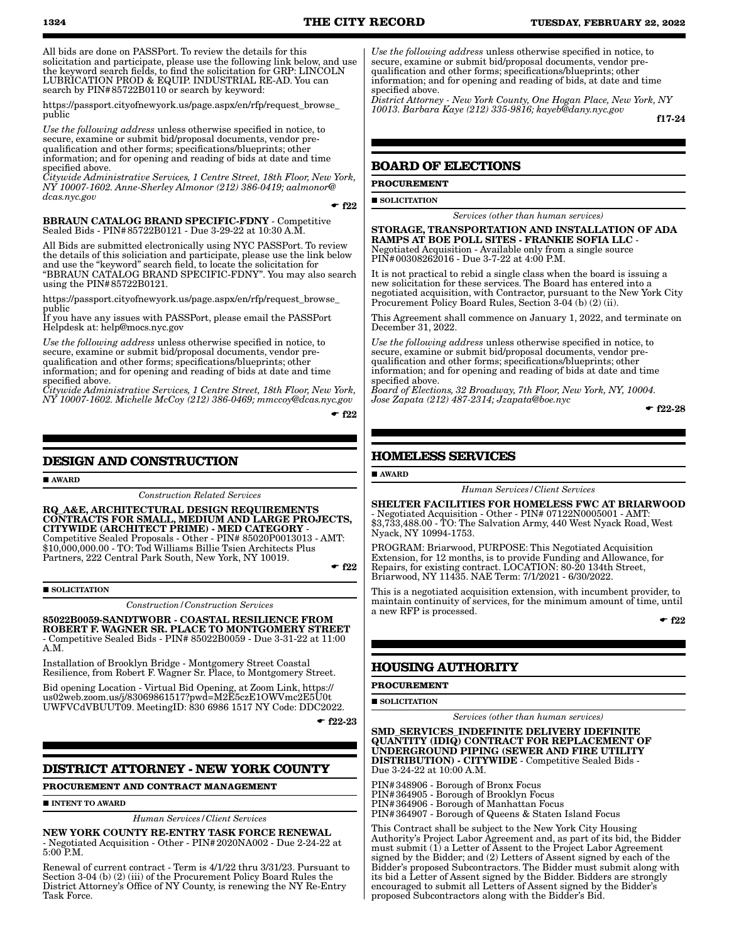https://passport.cityofnewyork.us/page.aspx/en/rfp/request\_browse\_ public

*Use the following address* unless otherwise specified in notice, to secure, examine or submit bid/proposal documents, vendor prequalification and other forms; specifications/blueprints; other information; and for opening and reading of bids at date and time specified above.

*Citywide Administrative Services, 1 Centre Street, 18th Floor, New York, NY 10007-1602. Anne-Sherley Almonor (212) 386-0419; aalmonor@ dcas.nyc.gov*  $-$  f<sub>22</sub>

BBRAUN CATALOG BRAND SPECIFIC-FDNY - Competitive Sealed Bids - PIN#85722B0121 - Due 3-29-22 at 10:30 A.M.

All Bids are submitted electronically using NYC PASSPort. To review the details of this soliciation and participate, please use the link below and use the "keyword" search field, to locate the solicitation for "BBRAUN CATALOG BRAND SPECIFIC-FDNY". You may also search using the PIN#85722B0121.

https://passport.cityofnewyork.us/page.aspx/en/rfp/request\_browse\_ public

If you have any issues with PASSPort, please email the PASSPort Helpdesk at: help@mocs.nyc.gov

*Use the following address* unless otherwise specified in notice, to secure, examine or submit bid/proposal documents, vendor prequalification and other forms; specifications/blueprints; other information; and for opening and reading of bids at date and time specified above.

*Citywide Administrative Services, 1 Centre Street, 18th Floor, New York, NY 10007-1602. Michelle McCoy (212) 386-0469; mmccoy@dcas.nyc.gov*

 $-$ f $22$ 

# **DESIGN AND CONSTRUCTION**

#### **AWARD**

*Construction Related Services*

RQ\_A&E, ARCHITECTURAL DESIGN REQUIREMENTS CONTRACTS FOR SMALL, MEDIUM AND LARGE PROJECTS, CITYWIDE (ARCHITECT PRIME) - MED CATEGORY - Competitive Sealed Proposals - Other - PIN# 85020P0013013 - AMT: \$10,000,000.00 - TO: Tod Williams Billie Tsien Architects Plus Partners, 222 Central Park South, New York, NY 10019.

 $-$ f22

#### **SOLICITATION**

*Construction/Construction Services*

85022B0059-SANDTWOBR - COASTAL RESILIENCE FROM ROBERT F. WAGNER SR. PLACE TO MONTGOMERY STREET - Competitive Sealed Bids - PIN# 85022B0059 - Due 3-31-22 at 11:00 A.M.

Installation of Brooklyn Bridge - Montgomery Street Coastal Resilience, from Robert F. Wagner Sr. Place, to Montgomery Street.

Bid opening Location - Virtual Bid Opening, at Zoom Link, https:// us02web.zoom.us/j/83069861517?pwd=M2E5czE1OWVmc2E5U0t UWFVCdVBUUT09. MeetingID: 830 6986 1517 NY Code: DDC2022.

 $-$ f22-23

# **DISTRICT ATTORNEY - NEW YORK COUNTY**

**PROCUREMENT AND CONTRACT MANAGEMENT**

**INTENT TO AWARD** 

*Human Services/Client Services*

NEW YORK COUNTY RE-ENTRY TASK FORCE RENEWAL - Negotiated Acquisition - Other - PIN#2020NA002 - Due 2-24-22 at 5:00 P.M.

Renewal of current contract - Term is 4/1/22 thru 3/31/23. Pursuant to Section 3-04 (b) (2) (iii) of the Procurement Policy Board Rules the District Attorney's Office of NY County, is renewing the NY Re-Entry Task Force.

*Use the following address* unless otherwise specified in notice, to secure, examine or submit bid/proposal documents, vendor prequalification and other forms; specifications/blueprints; other information; and for opening and reading of bids, at date and time specified above.

*District Attorney - New York County, One Hogan Place, New York, NY 10013. Barbara Kaye (212) 335-9816; kayeb@dany.nyc.gov*

f17-24

## **BOARD OF ELECTIONS**

#### **PROCUREMENT**

#### **SOLICITATION**

*Services (other than human services)*

STORAGE, TRANSPORTATION AND INSTALLATION OF ADA RAMPS AT BOE POLL SITES - FRANKIE SOFIA LLC - Negotiated Acquisition - Available only from a single source PIN#00308262016 - Due 3-7-22 at 4:00 P.M.

It is not practical to rebid a single class when the board is issuing a new solicitation for these services. The Board has entered into a negotiated acquisition, with Contractor, pursuant to the New York City Procurement Policy Board Rules, Section 3-04 (b) (2) (ii).

This Agreement shall commence on January 1, 2022, and terminate on December 31, 2022.

*Use the following address* unless otherwise specified in notice, to secure, examine or submit bid/proposal documents, vendor prequalification and other forms; specifications/blueprints; other information; and for opening and reading of bids at date and time specified above. *Board of Elections, 32 Broadway, 7th Floor, New York, NY, 10004.* 

*Jose Zapata (212) 487-2314; Jzapata@boe.nyc*

 $-$  f<sub>22-28</sub>

# **HOMELESS SERVICES**

AWARD

*Human Services/Client Services*

SHELTER FACILITIES FOR HOMELESS FWC AT BRIARWOOD - Negotiated Acquisition - Other - PIN# 07122N0005001 - AMT: \$3,733,488.00 - TO: The Salvation Army, 440 West Nyack Road, West Nyack, NY 10994-1753.

PROGRAM: Briarwood, PURPOSE: This Negotiated Acquisition Extension, for 12 months, is to provide Funding and Allowance, for Repairs, for existing contract. LOCATION: 80-20 134th Street, Briarwood, NY 11435. NAE Term: 7/1/2021 - 6/30/2022.

This is a negotiated acquisition extension, with incumbent provider, to maintain continuity of services, for the minimum amount of time, until a new RFP is processed.

 $-622$ 

# **HOUSING AUTHORITY**

**PROCUREMENT**

**SOLICITATION** 

*Services (other than human services)*

SMD\_SERVICES\_INDEFINITE DELIVERY IDEFINITE QUANTITY (IDIQ) CONTRACT FOR REPLACEMENT OF UNDERGROUND PIPING (SEWER AND FIRE UTILITY DISTRIBUTION) - CITYWIDE - Competitive Sealed Bids - Due 3-24-22 at 10:00 A.M.

PIN#348906 - Borough of Bronx Focus PIN#364905 - Borough of Brooklyn Focus PIN#364906 - Borough of Manhattan Focus

PIN#364907 - Borough of Queens & Staten Island Focus

This Contract shall be subject to the New York City Housing Authority's Project Labor Agreement and, as part of its bid, the Bidder must submit (1) a Letter of Assent to the Project Labor Agreement signed by the Bidder; and (2) Letters of Assent signed by each of the Bidder's proposed Subcontractors. The Bidder must submit along with its bid a Letter of Assent signed by the Bidder. Bidders are strongly encouraged to submit all Letters of Assent signed by the Bidder's proposed Subcontractors along with the Bidder's Bid.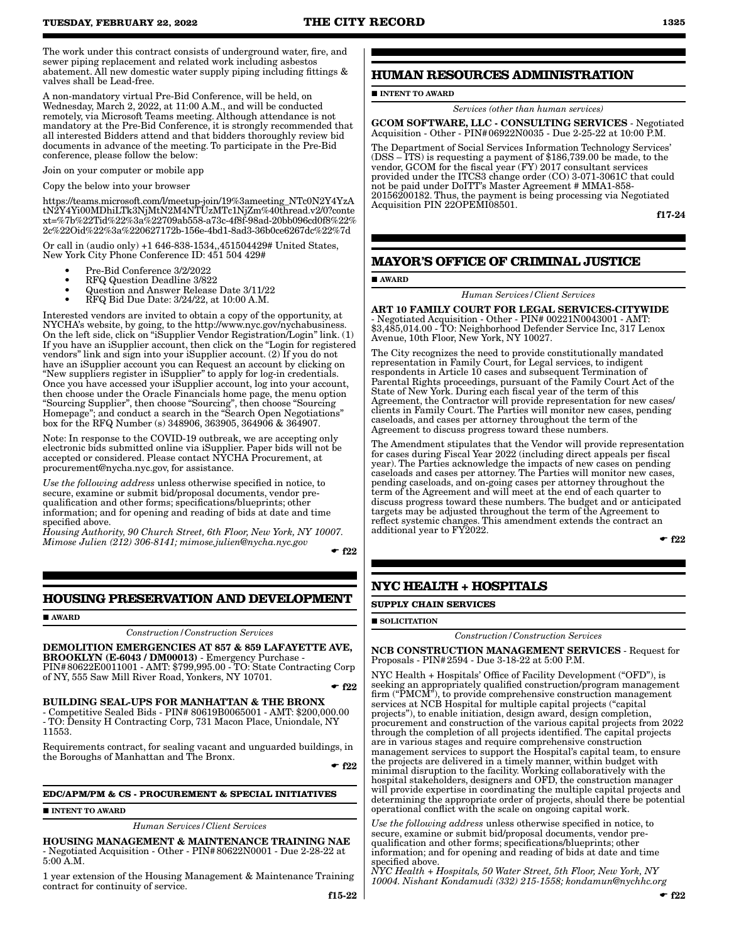The work under this contract consists of underground water, fire, and sewer piping replacement and related work including asbestos abatement. All new domestic water supply piping including fittings & valves shall be Lead-free.

A non-mandatory virtual Pre-Bid Conference, will be held, on Wednesday, March 2, 2022, at 11:00 A.M., and will be conducted remotely, via Microsoft Teams meeting. Although attendance is not mandatory at the Pre-Bid Conference, it is strongly recommended that all interested Bidders attend and that bidders thoroughly review bid documents in advance of the meeting. To participate in the Pre-Bid conference, please follow the below:

Join on your computer or mobile app

#### Copy the below into your browser

https://teams.microsoft.com/l/meetup-join/19%3ameeting\_NTc0N2Y4YzA tN2Y4Yi00MDhiLTk3NjMtN2M4NTUzMTc1NjZm%40thread.v2/0?conte xt=%7b%22Tid%22%3a%22709ab558-a73c-4f8f-98ad-20bb096cd0f8%22% 2c%22Oid%22%3a%220627172b-156e-4bd1-8ad3-36b0ce6267dc%22%7d

Or call in (audio only) +1 646-838-1534,,451504429# United States, New York City Phone Conference ID: 451 504 429#

- Pre-Bid Conference 3/2/2022
- RFQ Question Deadline 3/822
- Question and Answer Release Date 3/11/22
- RFQ Bid Due Date: 3/24/22, at 10:00 A.M.

Interested vendors are invited to obtain a copy of the opportunity, at NYCHA's website, by going, to the http://www.nyc.gov/nychabusiness. On the left side, click on "iSupplier Vendor Registration/Login" link. (1) If you have an iSupplier account, then click on the "Login for registered vendors" link and sign into your iSupplier account. (2) If you do not have an iSupplier account you can Request an account by clicking on "New suppliers register in iSupplier" to apply for log-in credentials. Once you have accessed your iSupplier account, log into your account, then choose under the Oracle Financials home page, the menu option "Sourcing Supplier", then choose "Sourcing", then choose "Sourcing Homepage"; and conduct a search in the "Search Open Negotiations" box for the RFQ Number (s) 348906, 363905, 364906 & 364907.

Note: In response to the COVID-19 outbreak, we are accepting only electronic bids submitted online via iSupplier. Paper bids will not be accepted or considered. Please contact NYCHA Procurement, at procurement@nycha.nyc.gov, for assistance.

*Use the following address* unless otherwise specified in notice, to secure, examine or submit bid/proposal documents, vendor prequalification and other forms; specifications/blueprints; other information; and for opening and reading of bids at date and time specified above.

*Housing Authority, 90 Church Street, 6th Floor, New York, NY 10007. Mimose Julien (212) 306-8141; mimose.julien@nycha.nyc.gov*

 $-$ f22

# **HOUSING PRESERVATION AND DEVELOPMENT**

AWARD

*Construction/Construction Services*

DEMOLITION EMERGENCIES AT 857 & 859 LAFAYETTE AVE, BROOKLYN (E-6043 / DM00013) - Emergency Purchase -PIN#80622E0011001 - AMT: \$799,995.00 - TO: State Contracting Corp of NY, 555 Saw Mill River Road, Yonkers, NY 10701.

 $\cdot$  f22

BUILDING SEAL-UPS FOR MANHATTAN & THE BRONX - Competitive Sealed Bids - PIN# 80619B0065001 - AMT: \$200,000.00 - TO: Density H Contracting Corp, 731 Macon Place, Uniondale, NY 11553.

Requirements contract, for sealing vacant and unguarded buildings, in the Boroughs of Manhattan and The Bronx.

 $-$ f22

#### **EDC/APM/PM & CS - PROCUREMENT & SPECIAL INITIATIVES**

#### **INTENT TO AWARD**

*Human Services/Client Services*

HOUSING MANAGEMENT & MAINTENANCE TRAINING NAE - Negotiated Acquisition - Other - PIN#80622N0001 - Due 2-28-22 at 5:00 A.M.

1 year extension of the Housing Management & Maintenance Training contract for continuity of service.

# **HUMAN RESOURCES ADMINISTRATION**

### **INTENT TO AWARD**

*Services (other than human services)*

GCOM SOFTWARE, LLC - CONSULTING SERVICES - Negotiated Acquisition - Other - PIN#06922N0035 - Due 2-25-22 at 10:00 P.M.

The Department of Social Services Information Technology Services' (DSS – ITS) is requesting a payment of \$186,739.00 be made, to the vendor, GCOM for the fiscal year (FY) 2017 consultant services provided under the ITCS3 change order (CO) 3-071-3061C that could not be paid under DoITT's Master Agreement # MMA1-858- 20156200182. Thus, the payment is being processing via Negotiated Acquisition PIN 22OPEMI08501.

f17-24

# **MAYOR'S OFFICE OF CRIMINAL JUSTICE**

AWARD

*Human Services/Client Services*

ART 10 FAMILY COURT FOR LEGAL SERVICES-CITYWIDE - Negotiated Acquisition - Other - PIN# 00221N0043001 - AMT: \$3,485,014.00 - TO: Neighborhood Defender Service Inc, 317 Lenox Avenue, 10th Floor, New York, NY 10027.

The City recognizes the need to provide constitutionally mandated representation in Family Court, for Legal services, to indigent respondents in Article 10 cases and subsequent Termination of Parental Rights proceedings, pursuant of the Family Court Act of the State of New York. During each fiscal year of the term of this Agreement, the Contractor will provide representation for new cases/ clients in Family Court. The Parties will monitor new cases, pending caseloads, and cases per attorney throughout the term of the Agreement to discuss progress toward these numbers.

The Amendment stipulates that the Vendor will provide representation for cases during Fiscal Year 2022 (including direct appeals per fiscal year). The Parties acknowledge the impacts of new cases on pending caseloads and cases per attorney. The Parties will monitor new cases, pending caseloads, and on-going cases per attorney throughout the term of the Agreement and will meet at the end of each quarter to discuss progress toward these numbers. The budget and or anticipated targets may be adjusted throughout the term of the Agreement to reflect systemic changes. This amendment extends the contract an additional year to FY2022.

 $\blacktriangleright$  f22

# **NYC HEALTH + HOSPITALS**

**SUPPLY CHAIN SERVICES**

#### **SOLICITATION**

*Construction/Construction Services*

NCB CONSTRUCTION MANAGEMENT SERVICES - Request for Proposals - PIN#2594 - Due 3-18-22 at 5:00 P.M.

NYC Health + Hospitals' Office of Facility Development ("OFD"), is seeking an appropriately qualified construction/program management firm ("PMCM"), to provide comprehensive construction management services at NCB Hospital for multiple capital projects ("capital projects"), to enable initiation, design award, design completion, procurement and construction of the various capital projects from 2022 through the completion of all projects identified. The capital projects are in various stages and require comprehensive construction management services to support the Hospital's capital team, to ensure the projects are delivered in a timely manner, within budget with minimal disruption to the facility. Working collaboratively with the hospital stakeholders, designers and OFD, the construction manager will provide expertise in coordinating the multiple capital projects and determining the appropriate order of projects, should there be potential operational conflict with the scale on ongoing capital work.

*Use the following address* unless otherwise specified in notice, to secure, examine or submit bid/proposal documents, vendor prequalification and other forms; specifications/blueprints; other information; and for opening and reading of bids at date and time specified above.

*NYC Health + Hospitals, 50 Water Street, 5th Floor, New York, NY 10004. Nishant Kondamudi (332) 215-1558; kondamun@nychhc.org*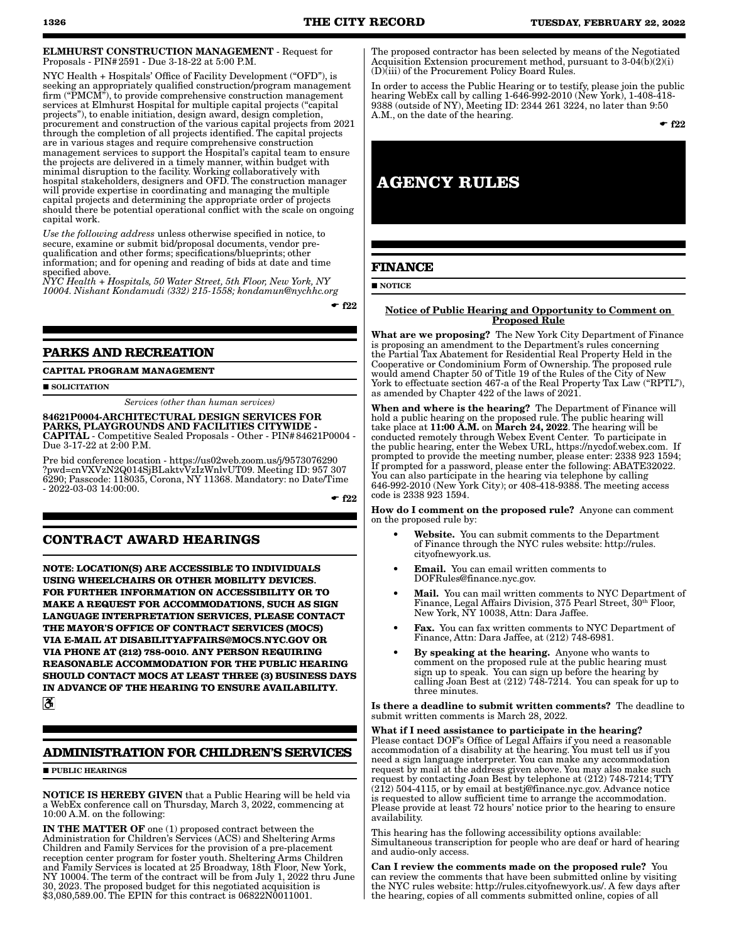ELMHURST CONSTRUCTION MANAGEMENT - Request for Proposals - PIN#2591 - Due 3-18-22 at 5:00 P.M.

NYC Health + Hospitals' Office of Facility Development ("OFD"), is seeking an appropriately qualified construction/program management firm ("PMCM"), to provide comprehensive construction management services at Elmhurst Hospital for multiple capital projects ("capital projects"), to enable initiation, design award, design completion, procurement and construction of the various capital projects from 2021 through the completion of all projects identified. The capital projects are in various stages and require comprehensive construction management services to support the Hospital's capital team to ensure the projects are delivered in a timely manner, within budget with minimal disruption to the facility. Working collaboratively with hospital stakeholders, designers and OFD. The construction manager will provide expertise in coordinating and managing the multiple capital projects and determining the appropriate order of projects should there be potential operational conflict with the scale on ongoing capital work.

*Use the following address* unless otherwise specified in notice, to secure, examine or submit bid/proposal documents, vendor prequalification and other forms; specifications/blueprints; other information; and for opening and reading of bids at date and time specified above.

*NYC Health + Hospitals, 50 Water Street, 5th Floor, New York, NY 10004. Nishant Kondamudi (332) 215-1558; kondamun@nychhc.org*

 $-$ f22

# **PARKS AND RECREATION**

**CAPITAL PROGRAM MANAGEMENT**

SOLICITATION

*Services (other than human services)*

84621P0004-ARCHITECTURAL DESIGN SERVICES FOR PARKS, PLAYGROUNDS AND FACILITIES CITYWIDE - CAPITAL - Competitive Sealed Proposals - Other - PIN#84621P0004 - Due 3-17-22 at 2:00 P.M.

Pre bid conference location - https://us02web.zoom.us/j/9573076290 ?pwd=cnVXVzN2Q014SjBLaktvVzIzWnlvUT09. Meeting ID: 957 307 6290; Passcode: 118035, Corona, NY 11368. Mandatory: no Date/Time - 2022-03-03 14:00:00.

 $-$ f22

# **CONTRACT AWARD HEARINGS**

**NOTE: LOCATION(S) ARE ACCESSIBLE TO INDIVIDUALS USING WHEELCHAIRS OR OTHER MOBILITY DEVICES. FOR FURTHER INFORMATION ON ACCESSIBILITY OR TO MAKE A REQUEST FOR ACCOMMODATIONS, SUCH AS SIGN LANGUAGE INTERPRETATION SERVICES, PLEASE CONTACT THE MAYOR'S OFFICE OF CONTRACT SERVICES (MOCS) VIA E-MAIL AT DISABILITYAFFAIRS@MOCS.NYC.GOV OR VIA PHONE AT (212) 788-0010. ANY PERSON REQUIRING REASONABLE ACCOMMODATION FOR THE PUBLIC HEARING SHOULD CONTACT MOCS AT LEAST THREE (3) BUSINESS DAYS IN ADVANCE OF THE HEARING TO ENSURE AVAILABILITY.**  $\mathbf{\mathcal{E}}$ 

# **ADMINISTRATION FOR CHILDREN'S SERVICES**

**PUBLIC HEARINGS** 

NOTICE IS HEREBY GIVEN that a Public Hearing will be held via a WebEx conference call on Thursday, March 3, 2022, commencing at 10:00 A.M. on the following:

IN THE MATTER OF one (1) proposed contract between the Administration for Children's Services (ACS) and Sheltering Arms Children and Family Services for the provision of a pre-placement reception center program for foster youth. Sheltering Arms Children and Family Services is located at 25 Broadway, 18th Floor, New York, NY 10004. The term of the contract will be from July 1, 2022 thru June 30, 2023. The proposed budget for this negotiated acquisition is \$3,080,589.00. The EPIN for this contract is 06822N0011001.

The proposed contractor has been selected by means of the Negotiated Acquisition Extension procurement method, pursuant to 3-04(b)(2)(i) (D)(iii) of the Procurement Policy Board Rules.

In order to access the Public Hearing or to testify, please join the public hearing WebEx call by calling 1-646-992-2010 (New York), 1-408-418- 9388 (outside of NY), Meeting ID: 2344 261 3224, no later than 9:50 A.M., on the date of the hearing.

 $-$ f22

# **AGENCY RULES**

# **FINANCE**

**NOTICE** 

#### Notice of Public Hearing and Opportunity to Comment on Proposed Rule

What are we proposing? The New York City Department of Finance is proposing an amendment to the Department's rules concerning the Partial Tax Abatement for Residential Real Property Held in the Cooperative or Condominium Form of Ownership. The proposed rule would amend Chapter 50 of Title 19 of the Rules of the City of New York to effectuate section 467-a of the Real Property Tax Law ("RPTL"), as amended by Chapter 422 of the laws of 2021.

When and where is the hearing? The Department of Finance will hold a public hearing on the proposed rule. The public hearing will take place at  $11:00$  A.M. on March 24, 2022. The hearing will be conducted remotely through Webex Event Center. To participate in the public hearing, enter the Webex URL, https://nycdof.webex.com. If prompted to provide the meeting number, please enter: 2338 923 1594; If prompted for a password, please enter the following: ABATE32022. You can also participate in the hearing via telephone by calling 646-992-2010 (New York City); or 408-418-9388. The meeting access code is 2338 923 1594.

How do I comment on the proposed rule? Anyone can comment on the proposed rule by:

- Website. You can submit comments to the Department of Finance through the NYC rules website: http://rules. cityofnewyork.us.
- Email. You can email written comments to DOFRules@finance.nyc.gov.
- Mail. You can mail written comments to NYC Department of Finance, Legal Affairs Division, 375 Pearl Street, 30<sup>th</sup> Floor, New York, NY 10038, Attn: Dara Jaffee.
- Fax. You can fax written comments to NYC Department of Finance, Attn: Dara Jaffee, at (212) 748-6981.
- By speaking at the hearing. Anyone who wants to comment on the proposed rule at the public hearing must sign up to speak. You can sign up before the hearing by calling Joan Best at (212) 748-7214. You can speak for up to three minutes.

Is there a deadline to submit written comments? The deadline to submit written comments is March 28, 2022.

What if I need assistance to participate in the hearing? Please contact DOF's Office of Legal Affairs if you need a reasonable accommodation of a disability at the hearing. You must tell us if you need a sign language interpreter. You can make any accommodation request by mail at the address given above. You may also make such request by contacting Joan Best by telephone at (212) 748-7214; TTY (212) 504-4115, or by email at bestj@finance.nyc.gov. Advance notice is requested to allow sufficient time to arrange the accommodation. Please provide at least 72 hours' notice prior to the hearing to ensure availability.

This hearing has the following accessibility options available: Simultaneous transcription for people who are deaf or hard of hearing and audio-only access.

Can I review the comments made on the proposed rule? You can review the comments that have been submitted online by visiting the NYC rules website: http://rules.cityofnewyork.us/. A few days after the hearing, copies of all comments submitted online, copies of all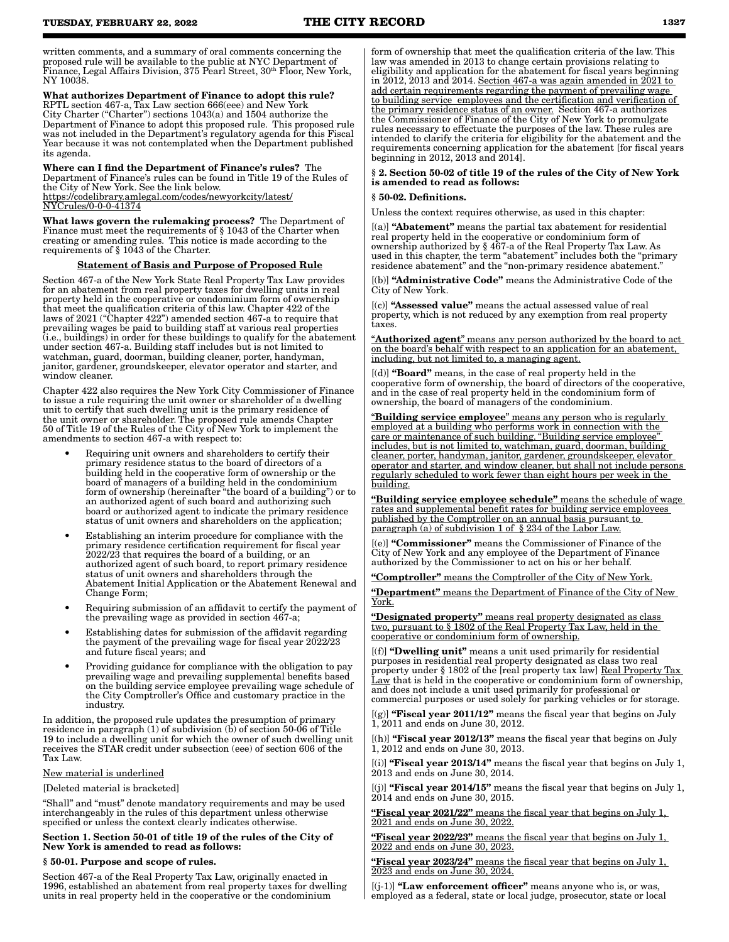written comments, and a summary of oral comments concerning the proposed rule will be available to the public at NYC Department of Finance, Legal Affairs Division, 375 Pearl Street, 30th Floor, New York, NY 10038.

What authorizes Department of Finance to adopt this rule? RPTL section 467-a, Tax Law section 666(eee) and New York City Charter ("Charter") sections 1043(a) and 1504 authorize the Department of Finance to adopt this proposed rule. This proposed rule was not included in the Department's regulatory agenda for this Fiscal Year because it was not contemplated when the Department published its agenda.

Where can I find the Department of Finance's rules? The Department of Finance's rules can be found in Title 19 of the Rules of the City of New York. See the link below. https://codelibrary.amlegal.com/codes/newyorkcity/latest/ <u>Crules/0-0-0-41374</u>

What laws govern the rulemaking process? The Department of Finance must meet the requirements of § 1043 of the Charter when creating or amending rules. This notice is made according to the requirements of § 1043 of the Charter.

#### Statement of Basis and Purpose of Proposed Rule

Section 467-a of the New York State Real Property Tax Law provides for an abatement from real property taxes for dwelling units in real property held in the cooperative or condominium form of ownership that meet the qualification criteria of this law. Chapter 422 of the laws of 2021 ("Chapter 422") amended section 467-a to require that prevailing wages be paid to building staff at various real properties (i.e., buildings) in order for these buildings to qualify for the abatement under section 467-a. Building staff includes but is not limited to watchman, guard, doorman, building cleaner, porter, handyman, janitor, gardener, groundskeeper, elevator operator and starter, and window cleaner.

Chapter 422 also requires the New York City Commissioner of Finance to issue a rule requiring the unit owner or shareholder of a dwelling unit to certify that such dwelling unit is the primary residence of the unit owner or shareholder. The proposed rule amends Chapter 50 of Title 19 of the Rules of the City of New York to implement the amendments to section 467-a with respect to:

- Requiring unit owners and shareholders to certify their primary residence status to the board of directors of a building held in the cooperative form of ownership or the board of managers of a building held in the condominium form of ownership (hereinafter "the board of a building") or to an authorized agent of such board and authorizing such board or authorized agent to indicate the primary residence status of unit owners and shareholders on the application;
- Establishing an interim procedure for compliance with the primary residence certification requirement for fiscal year 2022/23 that requires the board of a building, or an authorized agent of such board, to report primary residence status of unit owners and shareholders through the Abatement Initial Application or the Abatement Renewal and Change Form;
- Requiring submission of an affidavit to certify the payment of the prevailing wage as provided in section 467-a;
- Establishing dates for submission of the affidavit regarding the payment of the prevailing wage for fiscal year 2022/23 and future fiscal years; and
- Providing guidance for compliance with the obligation to pay prevailing wage and prevailing supplemental benefits based on the building service employee prevailing wage schedule of the City Comptroller's Office and customary practice in the industry.

In addition, the proposed rule updates the presumption of primary residence in paragraph (1) of subdivision (b) of section 50-06 of Title 19 to include a dwelling unit for which the owner of such dwelling unit receives the STAR credit under subsection (eee) of section 606 of the Tax Law.

#### New material is underlined

[Deleted material is bracketed]

"Shall" and "must" denote mandatory requirements and may be used interchangeably in the rules of this department unless otherwise specified or unless the context clearly indicates otherwise.

#### Section 1. Section 50-01 of title 19 of the rules of the City of New York is amended to read as follows:

#### § 50-01. Purpose and scope of rules.

Section 467-a of the Real Property Tax Law, originally enacted in 1996, established an abatement from real property taxes for dwelling units in real property held in the cooperative or the condominium

form of ownership that meet the qualification criteria of the law. This law was amended in 2013 to change certain provisions relating to eligibility and application for the abatement for fiscal years beginning in 2012, 2013 and 2014. Section 467-a was again amended in 2021 to add certain requirements regarding the payment of prevailing wage to building service employees and the certification and verification of the primary residence status of an owner. Section 467-a authorizes the Commissioner of Finance of the City of New York to promulgate rules necessary to effectuate the purposes of the law. These rules are intended to clarify the criteria for eligibility for the abatement and the requirements concerning application for the abatement [for fiscal years beginning in 2012, 2013 and 2014].

#### § 2. Section 50-02 of title 19 of the rules of the City of New York is amended to read as follows:

#### § 50-02. Definitions.

Unless the context requires otherwise, as used in this chapter:

[(a)] "Abatement" means the partial tax abatement for residential real property held in the cooperative or condominium form of ownership authorized by § 467-a of the Real Property Tax Law. As used in this chapter, the term "abatement" includes both the "primary residence abatement" and the "non-primary residence abatement."

[(b)] "Administrative Code" means the Administrative Code of the City of New York.

[(c)] "Assessed value" means the actual assessed value of real property, which is not reduced by any exemption from real property taxes.

"Authorized agent" means any person authorized by the board to act on the board's behalf with respect to an application for an abatement, including, but not limited to, a managing agent.

[(d)] "Board" means, in the case of real property held in the cooperative form of ownership, the board of directors of the cooperative, and in the case of real property held in the condominium form of ownership, the board of managers of the condominium.

"Building service employee" means any person who is regularly employed at a building who performs work in connection with the care or maintenance of such building. "Building service employee" includes, but is not limited to, watchman, guard, doorman, building cleaner, porter, handyman, janitor, gardener, groundskeeper, elevator operator and starter, and window cleaner, but shall not include persons regularly scheduled to work fewer than eight hours per week in the building.

"Building service employee schedule" means the schedule of wage rates and supplemental benefit rates for building service employees published by the Comptroller on an annual basis pursuant to paragraph (a) of subdivision 1 of § 234 of the Labor Law.

[(e)] "Commissioner" means the Commissioner of Finance of the City of New York and any employee of the Department of Finance authorized by the Commissioner to act on his or her behalf.

"Comptroller" means the Comptroller of the City of New York.

"Department" means the Department of Finance of the City of New York.

"Designated property" means real property designated as class two, pursuant to § 1802 of the Real Property Tax Law, held in the cooperative or condominium form of ownership.

[(f)] "Dwelling unit" means a unit used primarily for residential purposes in residential real property designated as class two real property under § 1802 of the [real property tax law] Real Property Tax Law that is held in the cooperative or condominium form of ownership, and does not include a unit used primarily for professional or commercial purposes or used solely for parking vehicles or for storage.

 $[(g)]$  "Fiscal year 2011/12" means the fiscal year that begins on July 1, 2011 and ends on June 30, 2012.

[(h)] "Fiscal year 2012/13" means the fiscal year that begins on July 1, 2012 and ends on June 30, 2013.

 $[(i)]$  "Fiscal year 2013/14" means the fiscal year that begins on July 1, 2013 and ends on June 30, 2014.

 $[{\rm (i)}]$  "Fiscal year 2014/15" means the fiscal year that begins on July 1, 2014 and ends on June 30, 2015.

"Fiscal year 2021/22" means the fiscal year that begins on July 1, 2021 and ends on June 30, 2022.

"Fiscal year 2022/23" means the fiscal year that begins on July 1, 2022 and ends on June 30, 2023.

"Fiscal year 2023/24" means the fiscal year that begins on July 1, 2023 and ends on June 30, 2024.

 $[(i-1)]$  "Law enforcement officer" means anyone who is, or was, employed as a federal, state or local judge, prosecutor, state or local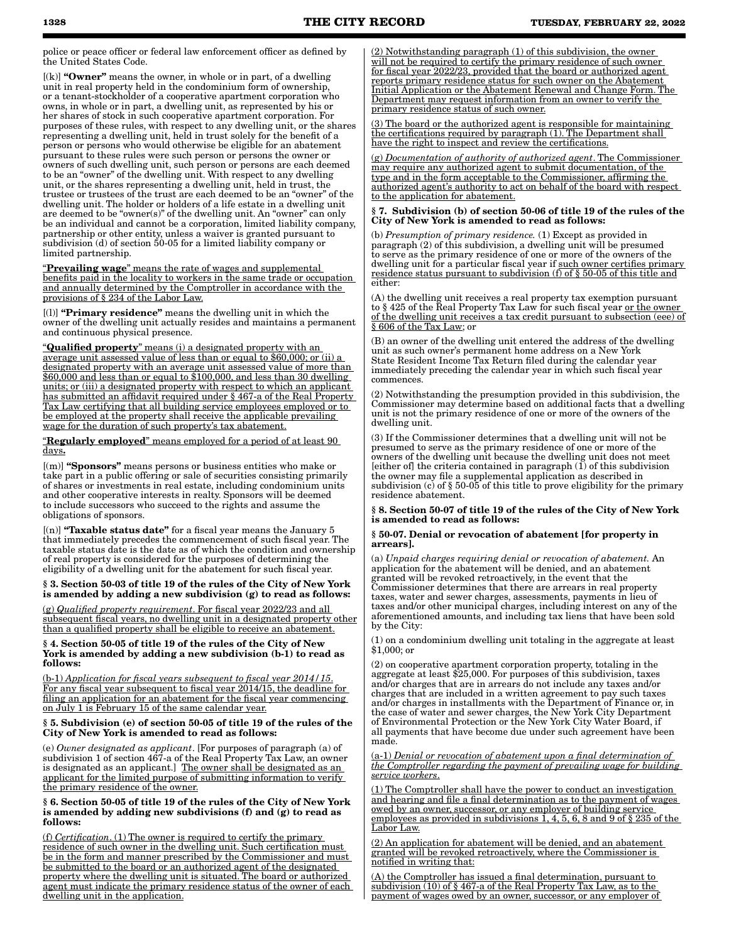police or peace officer or federal law enforcement officer as defined by the United States Code.

[(k)] "Owner" means the owner, in whole or in part, of a dwelling unit in real property held in the condominium form of ownership, or a tenant-stockholder of a cooperative apartment corporation who owns, in whole or in part, a dwelling unit, as represented by his or her shares of stock in such cooperative apartment corporation. For purposes of these rules, with respect to any dwelling unit, or the shares representing a dwelling unit, held in trust solely for the benefit of a person or persons who would otherwise be eligible for an abatement pursuant to these rules were such person or persons the owner or owners of such dwelling unit, such person or persons are each deemed to be an "owner" of the dwelling unit. With respect to any dwelling unit, or the shares representing a dwelling unit, held in trust, the trustee or trustees of the trust are each deemed to be an "owner" of the dwelling unit. The holder or holders of a life estate in a dwelling unit are deemed to be "owner(s)" of the dwelling unit. An "owner" can only be an individual and cannot be a corporation, limited liability company, partnership or other entity, unless a waiver is granted pursuant to subdivision (d) of section 50-05 for a limited liability company or limited partnership.

"Prevailing wage" means the rate of wages and supplemental benefits paid in the locality to workers in the same trade or occupation and annually determined by the Comptroller in accordance with the provisions of § 234 of the Labor Law.

[(l)] "Primary residence" means the dwelling unit in which the owner of the dwelling unit actually resides and maintains a permanent and continuous physical presence.

"Qualified property" means (i) a designated property with an average unit assessed value of less than or equal to \$60,000; or (ii) a designated property with an average unit assessed value of more than \$60,000 and less than or equal to \$100,000, and less than 30 dwelling units; or (iii) a designated property with respect to which an applicant has submitted an affidavit required under § 467-a of the Real Property Tax Law certifying that all building service employees employed or to be employed at the property shall receive the applicable prevailing wage for the duration of such property's tax abatement.

"Regularly employed" means employed for a period of at least 90 days.

[(m)] "Sponsors" means persons or business entities who make or take part in a public offering or sale of securities consisting primarily of shares or investments in real estate, including condominium units and other cooperative interests in realty. Sponsors will be deemed to include successors who succeed to the rights and assume the obligations of sponsors.

 $[$ (n)] "Taxable status date" for a fiscal year means the January 5 that immediately precedes the commencement of such fiscal year. The taxable status date is the date as of which the condition and ownership of real property is considered for the purposes of determining the eligibility of a dwelling unit for the abatement for such fiscal year.

§ 3. Section 50-03 of title 19 of the rules of the City of New York is amended by adding a new subdivision (g) to read as follows:

(g) *Qualified property requirement*. For fiscal year 2022/23 and all subsequent fiscal years, no dwelling unit in a designated property other than a qualified property shall be eligible to receive an abatement.

§ 4. Section 50-05 of title 19 of the rules of the City of New York is amended by adding a new subdivision (b-1) to read as follows:

(b-1) *Application for fiscal years subsequent to fiscal year 2014/15*. For any fiscal year subsequent to fiscal year 2014/15, the deadline for filing an application for an abatement for the fiscal year commencing on July 1 is February 15 of the same calendar year.

#### § 5. Subdivision (e) of section 50-05 of title 19 of the rules of the City of New York is amended to read as follows:

(e) *Owner designated as applicant*. [For purposes of paragraph (a) of subdivision 1 of section 467-a of the Real Property Tax Law, an owner is designated as an applicant.] The owner shall be designated as an applicant for the limited purpose of submitting information to verify the primary residence of the owner.

#### § 6. Section 50-05 of title 19 of the rules of the City of New York is amended by adding new subdivisions (f) and (g) to read as follows:

(f) *Certification*. (1) The owner is required to certify the primary residence of such owner in the dwelling unit. Such certification must be in the form and manner prescribed by the Commissioner and must be submitted to the board or an authorized agent of the designated property where the dwelling unit is situated. The board or authorized agent must indicate the primary residence status of the owner of each dwelling unit in the application.

(2) Notwithstanding paragraph (1) of this subdivision, the owner will not be required to certify the primary residence of such owner for fiscal year 2022/23, provided that the board or authorized agent reports primary residence status for such owner on the Abatement Initial Application or the Abatement Renewal and Change Form. The Department may request information from an owner to verify the primary residence status of such owner.

(3) The board or the authorized agent is responsible for maintaining the certifications required by paragraph (1). The Department shall have the right to inspect and review the certifications.

(g) *Documentation of authority of authorized agent*. The Commissioner may require any authorized agent to submit documentation, of the type and in the form acceptable to the Commissioner, affirming the authorized agent's authority to act on behalf of the board with respect to the application for abatement.

#### § 7. Subdivision (b) of section 50-06 of title 19 of the rules of the City of New York is amended to read as follows:

(b) *Presumption of primary residence.* (1) Except as provided in paragraph (2) of this subdivision, a dwelling unit will be presumed to serve as the primary residence of one or more of the owners of the dwelling unit for a particular fiscal year if <u>such owner certifies primary</u> residence status pursuant to subdivision (f) of § 50-05 of this title and either:

(A) the dwelling unit receives a real property tax exemption pursuant to § 425 of the Real Property Tax Law for such fiscal year <u>or the owner</u> of the dwelling unit receives a tax credit pursuant to subsection (eee) of § 606 of the Tax Law; or

(B) an owner of the dwelling unit entered the address of the dwelling unit as such owner's permanent home address on a New York State Resident Income Tax Return filed during the calendar year immediately preceding the calendar year in which such fiscal year commences.

(2) Notwithstanding the presumption provided in this subdivision, the Commissioner may determine based on additional facts that a dwelling unit is not the primary residence of one or more of the owners of the dwelling unit.

(3) If the Commissioner determines that a dwelling unit will not be presumed to serve as the primary residence of one or more of the owners of the dwelling unit because the dwelling unit does not meet [either of] the criteria contained in paragraph (1) of this subdivision the owner may file a supplemental application as described in subdivision (c) of  $\S 50-05$  of this title to prove eligibility for the primary residence abatement.

§ 8. Section 50-07 of title 19 of the rules of the City of New York is amended to read as follows:

#### § 50-07. Denial or revocation of abatement [for property in arrears].

(a) *Unpaid charges requiring denial or revocation of abatement.* An application for the abatement will be denied, and an abatement granted will be revoked retroactively, in the event that the Commissioner determines that there are arrears in real property taxes, water and sewer charges, assessments, payments in lieu of taxes and/or other municipal charges, including interest on any of the aforementioned amounts, and including tax liens that have been sold by the City:

(1) on a condominium dwelling unit totaling in the aggregate at least \$1,000; or

(2) on cooperative apartment corporation property, totaling in the aggregate at least \$25,000. For purposes of this subdivision, taxes and/or charges that are in arrears do not include any taxes and/or charges that are included in a written agreement to pay such taxes and/or charges in installments with the Department of Finance or, in the case of water and sewer charges, the New York City Department of Environmental Protection or the New York City Water Board, if all payments that have become due under such agreement have been made.

(a-1) *Denial or revocation of abatement upon a final determination of the Comptroller regarding the payment of prevailing wage for building service workers*.

(1) The Comptroller shall have the power to conduct an investigation and hearing and file a final determination as to the payment of wages owed by an owner, successor, or any employer of building service employees as provided in subdivisions 1, 4, 5, 6, 8 and 9 of § 235 of the Labor Law.

(2) An application for abatement will be denied, and an abatement granted will be revoked retroactively, where the Commissioner is notified in writing that:

(A) the Comptroller has issued a final determination, pursuant to subdivision (10) of § 467-a of the Real Property Tax Law, as to the payment of wages owed by an owner, successor, or any employer of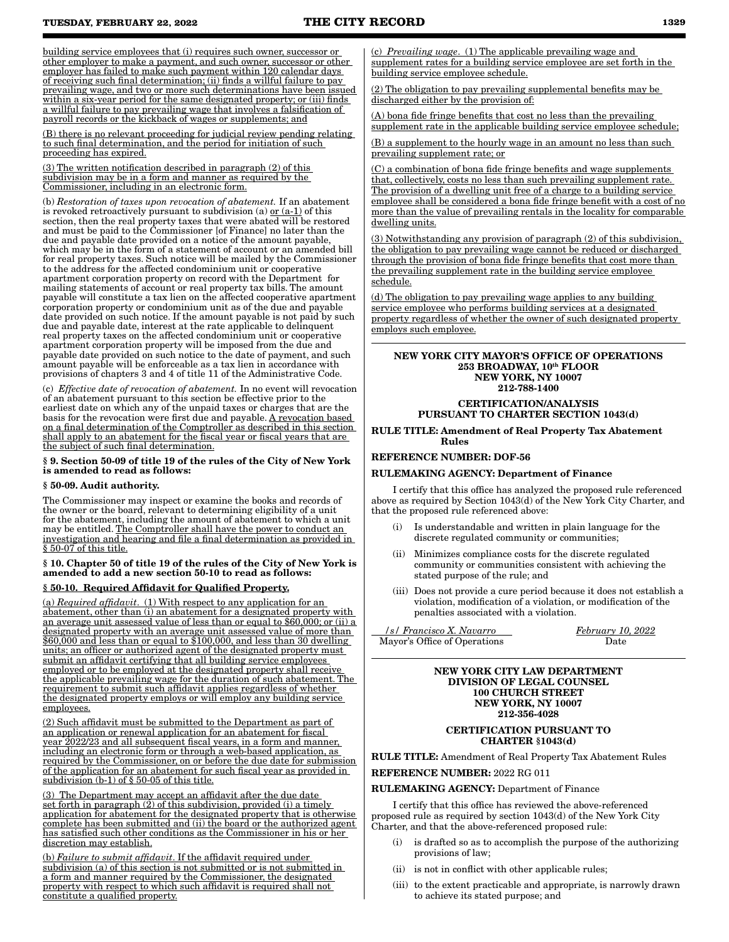building service employees that (i) requires such owner, successor or other employer to make a payment, and such owner, successor or other employer has failed to make such payment within 120 calendar days of receiving such final determination; (ii) finds a willful failure to pay prevailing wage, and two or more such determinations have been issued within a six-year period for the same designated property; or (iii) finds a willful failure to pay prevailing wage that involves a falsification of payroll records or the kickback of wages or supplements; and

(B) there is no relevant proceeding for judicial review pending relating to such final determination, and the period for initiation of such proceeding has expired.

(3) The written notification described in paragraph (2) of this subdivision may be in a form and manner as required by the Commissioner, including in an electronic form.

(b) *Restoration of taxes upon revocation of abatement.* If an abatement is revoked retroactively pursuant to subdivision (a) <u>or (a-1)</u> of this section, then the real property taxes that were abated will be restored and must be paid to the Commissioner [of Finance] no later than the due and payable date provided on a notice of the amount payable, which may be in the form of a statement of account or an amended bill for real property taxes. Such notice will be mailed by the Commissioner to the address for the affected condominium unit or cooperative apartment corporation property on record with the Department for mailing statements of account or real property tax bills. The amount payable will constitute a tax lien on the affected cooperative apartment corporation property or condominium unit as of the due and payable date provided on such notice. If the amount payable is not paid by such due and payable date, interest at the rate applicable to delinquent real property taxes on the affected condominium unit or cooperative apartment corporation property will be imposed from the due and payable date provided on such notice to the date of payment, and such amount payable will be enforceable as a tax lien in accordance with provisions of chapters 3 and 4 of title 11 of the Administrative Code.

(c) *Effective date of revocation of abatement.* In no event will revocation of an abatement pursuant to this section be effective prior to the earliest date on which any of the unpaid taxes or charges that are the basis for the revocation were first due and payable. A revocation based on a final determination of the Comptroller as described in this section shall apply to an abatement for the fiscal year or fiscal years that are the subject of such final determination.

#### § 9. Section 50-09 of title 19 of the rules of the City of New York is amended to read as follows:

#### § 50-09. Audit authority.

The Commissioner may inspect or examine the books and records of the owner or the board, relevant to determining eligibility of a unit for the abatement, including the amount of abatement to which a unit may be entitled. The Comptroller shall have the power to conduct an investigation and hearing and file a final determination as provided in § 50-07 of this title.

### § 10. Chapter 50 of title 19 of the rules of the City of New York is amended to add a new section 50-10 to read as follows:

#### § 50-10. Required Affidavit for Qualified Property.

(a) *Required affidavit*. (1) With respect to any application for an abatement, other than (i) an abatement for a designated property with an average unit assessed value of less than or equal to  $$60,000$ ; or (ii) a designated property with an average unit assessed value of more than \$60,000 and less than or equal to \$100,000, and less than 30 dwelling units; an officer or authorized agent of the designated property must submit an affidavit certifying that all building service employees employed or to be employed at the designated property shall receive the applicable prevailing wage for the duration of such abatement. The requirement to submit such affidavit applies regardless of whether the designated property employs or will employ any building service employees.

(2) Such affidavit must be submitted to the Department as part of an application or renewal application for an abatement for fiscal year 2022/23 and all subsequent fiscal years, in a form and manner, including an electronic form or through a web-based application, as required by the Commissioner, on or before the due date for submission of the application for an abatement for such fiscal year as provided in subdivision  $(b-1)$  of  $\S 50-05$  of this title.

(3) The Department may accept an affidavit after the due date set forth in paragraph (2) of this subdivision, provided (i) a timely application for abatement for the designated property that is otherwise complete has been submitted and (ii) the board or the authorized agent has satisfied such other conditions as the Commissioner in his or her discretion may establish.

(b) *Failure to submit affidavit*. If the affidavit required under subdivision (a) of this section is not submitted or is not submitted in a form and manner required by the Commissioner, the designated property with respect to which such affidavit is required shall not constitute a qualified property.

(c) *Prevailing wage*. (1) The applicable prevailing wage and supplement rates for a building service employee are set forth in the building service employee schedule.

(2) The obligation to pay prevailing supplemental benefits may be discharged either by the provision of:

(A) bona fide fringe benefits that cost no less than the prevailing supplement rate in the applicable building service employee schedule;

(B) a supplement to the hourly wage in an amount no less than such prevailing supplement rate; or

(C) a combination of bona fide fringe benefits and wage supplements that, collectively, costs no less than such prevailing supplement rate. The provision of a dwelling unit free of a charge to a building service employee shall be considered a bona fide fringe benefit with a cost of no more than the value of prevailing rentals in the locality for comparable dwelling units.

(3) Notwithstanding any provision of paragraph (2) of this subdivision, the obligation to pay prevailing wage cannot be reduced or discharged through the provision of bona fide fringe benefits that cost more than the prevailing supplement rate in the building service employee schedule.

(d) The obligation to pay prevailing wage applies to any building service employee who performs building services at a designated property regardless of whether the owner of such designated property employs such employee.

#### NEW YORK CITY MAYOR'S OFFICE OF OPERATIONS 253 BROADWAY, 10th FLOOR NEW YORK, NY 10007 212-788-1400

#### CERTIFICATION/ANALYSIS PURSUANT TO CHARTER SECTION 1043(d)

RULE TITLE: Amendment of Real Property Tax Abatement Rules

#### REFERENCE NUMBER: DOF-56

#### RULEMAKING AGENCY: Department of Finance

I certify that this office has analyzed the proposed rule referenced above as required by Section 1043(d) of the New York City Charter, and that the proposed rule referenced above:

- (i) Is understandable and written in plain language for the discrete regulated community or communities;
- (ii) Minimizes compliance costs for the discrete regulated community or communities consistent with achieving the stated purpose of the rule; and
- (iii) Does not provide a cure period because it does not establish a violation, modification of a violation, or modification of the penalties associated with a violation.

 */s/ Francisco X. Navarro February 10, 2022* Mayor's Office of Operations Date

#### NEW YORK CITY LAW DEPARTMENT DIVISION OF LEGAL COUNSEL 100 CHURCH STREET NEW YORK, NY 10007 212-356-4028

#### CERTIFICATION PURSUANT TO CHARTER §1043(d)

RULE TITLE: Amendment of Real Property Tax Abatement Rules

REFERENCE NUMBER: 2022 RG 011

#### RULEMAKING AGENCY: Department of Finance

I certify that this office has reviewed the above-referenced proposed rule as required by section 1043(d) of the New York City Charter, and that the above-referenced proposed rule:

- (i) is drafted so as to accomplish the purpose of the authorizing provisions of law;
- (ii) is not in conflict with other applicable rules;
- (iii) to the extent practicable and appropriate, is narrowly drawn to achieve its stated purpose; and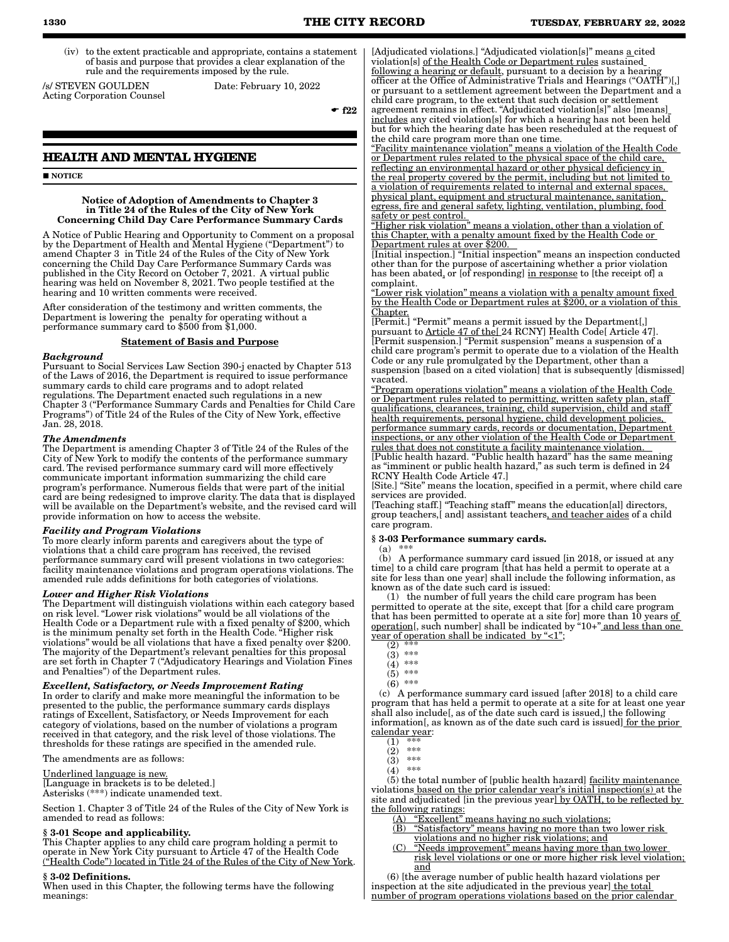- **1330 THE CITY RECORD TUESDAY, FEBRUARY 22, 2022**
	- (iv) to the extent practicable and appropriate, contains a statement of basis and purpose that provides a clear explanation of the rule and the requirements imposed by the rule.

/s/ STEVEN GOULDEN Date: February 10, 2022 Acting Corporation Counsel

 $-$ f22

# **HEALTH AND MENTAL HYGIENE**

**NOTICE** 

#### Notice of Adoption of Amendments to Chapter 3 in Title 24 of the Rules of the City of New York Concerning Child Day Care Performance Summary Cards

A Notice of Public Hearing and Opportunity to Comment on a proposal by the Department of Health and Mental Hygiene ("Department") to amend Chapter 3 in Title 24 of the Rules of the City of New York concerning the Child Day Care Performance Summary Cards was published in the City Record on October 7, 2021. A virtual public hearing was held on November 8, 2021. Two people testified at the hearing and 10 written comments were received.

After consideration of the testimony and written comments, the Department is lowering the penalty for operating without a performance summary card to \$500 from \$1,000.

#### Statement of Basis and Purpose

#### *Background*

Pursuant to Social Services Law Section 390-j enacted by Chapter 513 of the Laws of 2016, the Department is required to issue performance summary cards to child care programs and to adopt related regulations. The Department enacted such regulations in a new Chapter 3 ("Performance Summary Cards and Penalties for Child Care Programs") of Title 24 of the Rules of the City of New York, effective Jan. 28, 2018.

#### *The Amendments*

The Department is amending Chapter 3 of Title 24 of the Rules of the City of New York to modify the contents of the performance summary card. The revised performance summary card will more effectively communicate important information summarizing the child care program's performance. Numerous fields that were part of the initial card are being redesigned to improve clarity. The data that is displayed will be available on the Department's website, and the revised card will provide information on how to access the website.

#### *Facility and Program Violations*

To more clearly inform parents and caregivers about the type of violations that a child care program has received, the revised performance summary card will present violations in two categories: facility maintenance violations and program operations violations. The amended rule adds definitions for both categories of violations.

# *Lower and Higher Risk Violations*

The Department will distinguish violations within each category based on risk level. "Lower risk violations" would be all violations of the Health Code or a Department rule with a fixed penalty of \$200, which is the minimum penalty set forth in the Health Code. "Higher risk violations" would be all violations that have a fixed penalty over \$200. The majority of the Department's relevant penalties for this proposal are set forth in Chapter 7 ("Adjudicatory Hearings and Violation Fines and Penalties") of the Department rules.

#### *Excellent, Satisfactory, or Needs Improvement Rating*

In order to clarify and make more meaningful the information to be presented to the public, the performance summary cards displays ratings of Excellent, Satisfactory, or Needs Improvement for each category of violations, based on the number of violations a program received in that category, and the risk level of those violations. The thresholds for these ratings are specified in the amended rule.

The amendments are as follows:

#### Underlined language is new.

[Language in brackets is to be deleted.] Asterisks (\*\*\*) indicate unamended text.

Section 1. Chapter 3 of Title 24 of the Rules of the City of New York is amended to read as follows:

#### § 3-01 Scope and applicability.

This Chapter applies to any child care program holding a permit to operate in New York City pursuant to Article 47 of the Health Code ("Health Code") located in Title 24 of the Rules of the City of New York.

#### § 3-02 Definitions.

When used in this Chapter, the following terms have the following meanings:

[Adjudicated violations.] "Adjudicated violation[s]" means a cited violation[s] of the Health Code or Department rules sustained following a hearing or default, pursuant to a decision by a hearing officer at the Office of Administrative Trials and Hearings ("OATH")[,] or pursuant to a settlement agreement between the Department and a child care program, to the extent that such decision or settlement agreement remains in effect. "Adjudicated violation[s]" also [means] includes any cited violation[s] for which a hearing has not been held but for which the hearing date has been rescheduled at the request of the child care program more than one time.

"Facility maintenance violation" means a violation of the Health Code or Department rules related to the physical space of the child care, reflecting an environmental hazard or other physical deficiency in the real property covered by the permit, including but not limited to a violation of requirements related to internal and external spaces, physical plant, equipment and structural maintenance, sanitation, egress, fire and general safety, lighting, ventilation, plumbing, food safety or pest control.

"Higher risk violation" means a violation, other than a violation of this Chapter, with a penalty amount fixed by the Health Code or Department rules at over \$200.

[Initial inspection.] "Initial inspection" means an inspection conducted other than for the purpose of ascertaining whether a prior violation has been abated, or [of responding] in response to [the receipt of] a complaint.

"Lower risk violation" means a violation with a penalty amount fixed by the Health Code or Department rules at \$200, or a violation of this Chapter.

[Permit.] "Permit" means a permit issued by the Department[,] pursuant to <u>Article 47 of the[</u> 24 RCNY] Health Code[ Article 47]. [Permit suspension.] "Permit suspension" means a suspension of a child care program's permit to operate due to a violation of the Health Code or any rule promulgated by the Department, other than a suspension [based on a cited violation] that is subsequently [dismissed] vacated.

"Program operations violation" means a violation of the Health Code or Department rules related to permitting, written safety plan, staff qualifications, clearances, training, child supervision, child and staff health requirements, personal hygiene, child development policies, performance summary cards, records or documentation, Department inspections, or any other violation of the Health Code or Department rules that does not constitute a facility maintenance violation.

[Public health hazard. "Public health hazard" has the same meaning as "imminent or public health hazard," as such term is defined in 24 RCNY Health Code Article 47.]

[Site.] "Site" means the location, specified in a permit, where child care services are provided.

[Teaching staff.] "Teaching staff" means the education[al] directors, group teachers, and assistant teachers, and teacher aides of a child care program.

#### § 3-03 Performance summary cards.

 $(a)$ 

 (b) A performance summary card issued [in 2018, or issued at any time] to a child care program [that has held a permit to operate at a site for less than one year] shall include the following information, as known as of the date such card is issued:

 (1) the number of full years the child care program has been permitted to operate at the site, except that [for a child care program that has been permitted to operate at a site for] more than  $10$  years <u>of</u> operation[, such number] shall be indicated by "10+" and less than one year of operation shall be indicated by "<1";<br>(2) \*\*\*

- $(3)$  \*\*\*  $(4)$  \*\*\*
	- $(5)$  \*\*\*
	- (6) \*\*\*

 (c) A performance summary card issued [after 2018] to a child care program that has held a permit to operate at a site for at least one year shall also include[, as of the date such card is issued,] the following information[, as known as of the date such card is issued] for the prior calendar year:

- (2) \*\*\*
- $(3)$  \*\*\*<br> $(4)$  \*\*\*
- $(4)$

 (5) the total number of [public health hazard] facility maintenance violations based on the prior calendar year's initial inspection(s) at the site and adjudicated [in the previous year] by OATH, to be reflected by the following ratings:

- $\frac{(\mathbf{A}) \cdot \mathbf{''}$  Excellent" means having no such violations;<br>(B) "Satisfactory" means having no more than two
	- "Satisfactory" means having no more than two lower risk
	- violations and no higher risk violations; and
- (C) "Needs improvement" means having more than two lower risk level violations or one or more higher risk level violation; and

 $(6)$  [the average number of public health hazard violations per inspection at the site adjudicated in the previous year] the total number of program operations violations based on the prior calendar

 $(2)$  \*\*\*

 $(1)$  \*\*\*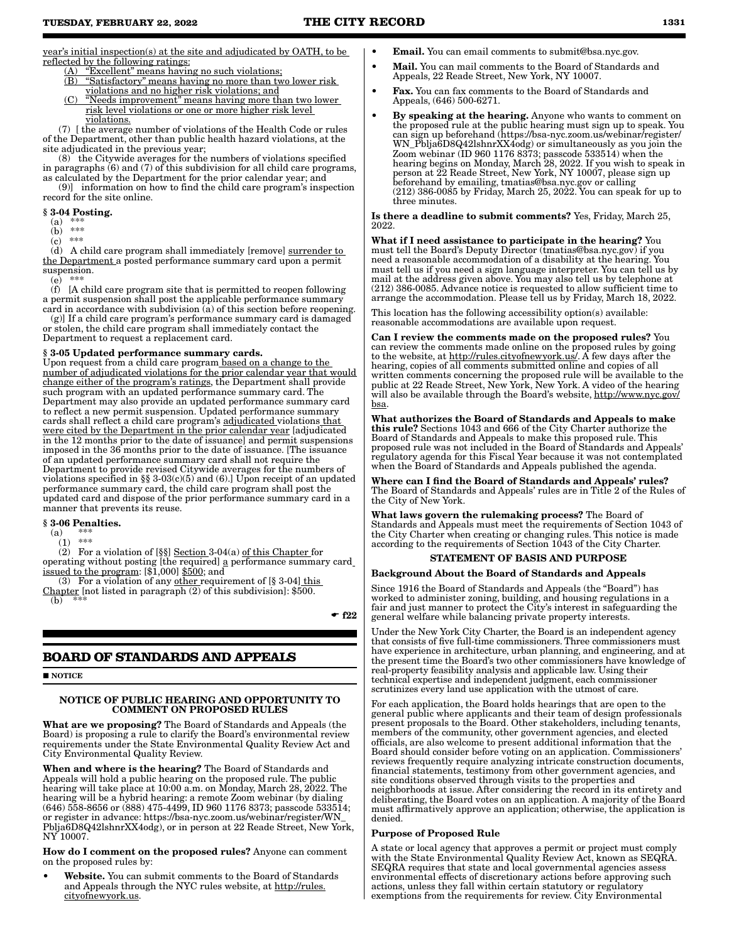year's initial inspection(s) at the site and adjudicated by OATH, to be reflected by the following ratings:

- (A) "Excellent" means having no such violations;
- (B) "Satisfactory" means having no more than two lower risk
- violations and no higher risk violations; and (C) "Needs improvement" means having more than two lower risk level violations or one or more higher risk level
- violations.

 (7) [ the average number of violations of the Health Code or rules of the Department, other than public health hazard violations, at the site adjudicated in the previous year;

 (8) the Citywide averages for the numbers of violations specified in paragraphs (6) and (7) of this subdivision for all child care programs, as calculated by the Department for the prior calendar year; and

 (9)] information on how to find the child care program's inspection record for the site online.

- $§ 3.04$  Posting.<br>(a) \*\*\*  $(a)$  \*\*\*
- $(b)$  \*\*\*
- $(c)$  \*\*\*

 (d) A child care program shall immediately [remove] surrender to the Department a posted performance summary card upon a permit suspension.

(e) \*\*\*

 (f) [A child care program site that is permitted to reopen following a permit suspension shall post the applicable performance summary card in accordance with subdivision (a) of this section before reopening.

 (g)] If a child care program's performance summary card is damaged or stolen, the child care program shall immediately contact the Department to request a replacement card.

#### § 3-05 Updated performance summary cards.

Upon request from a child care program based on a change to the number of adjudicated violations for the prior calendar year that would change either of the program's ratings, the Department shall provide such program with an updated performance summary card. The Department may also provide an updated performance summary card to reflect a new permit suspension. Updated performance summary cards shall reflect a child care program's adjudicated violations that were cited by the Department in the prior calendar year [adjudicated] in the 12 months prior to the date of issuance] and permit suspensions imposed in the 36 months prior to the date of issuance. [The issuance of an updated performance summary card shall not require the Department to provide revised Citywide averages for the numbers of violations specified in §§ 3-03(c)(5) and (6).] Upon receipt of an updated performance summary card, the child care program shall post the updated card and dispose of the prior performance summary card in a manner that prevents its reuse.

# $§ 3.06$  Penalties.

(a) \*\*\*

 $(1)$  \*\*\*

 (2) For a violation of [§§] Section 3-04(a) of this Chapter for operating without posting [the required] a performance summary card issued to the program: [\$1,000] \$500; and

(3) For a violation of any other requirement of  $\S$  3-04] this Chapter [not listed in paragraph (2) of this subdivision]: \$500.  $(b)$  \*\*\*

 $-$ f22

# **BOARD OF STANDARDS AND APPEALS**

#### **NOTICE**

#### NOTICE OF PUBLIC HEARING AND OPPORTUNITY TO COMMENT ON PROPOSED RULES

What are we proposing? The Board of Standards and Appeals (the Board) is proposing a rule to clarify the Board's environmental review requirements under the State Environmental Quality Review Act and City Environmental Quality Review.

When and where is the hearing? The Board of Standards and Appeals will hold a public hearing on the proposed rule. The public hearing will take place at 10:00 a.m. on Monday, March 28, 2022. The hearing will be a hybrid hearing: a remote Zoom webinar (by dialing (646) 558-8656 or (888) 475-4499, ID 960 1176 8373; passcode 533514; or register in advance: https://bsa-nyc.zoom.us/webinar/register/WN\_ Pblja6D8Q42lshnrXX4odg), or in person at 22 Reade Street, New York, NY 10007.

#### How do I comment on the proposed rules? Anyone can comment on the proposed rules by:

Website. You can submit comments to the Board of Standards and Appeals through the NYC rules website, at http://rules. cityofnewyork.us.

- Email. You can email comments to submit@bsa.nyc.gov.
- Mail. You can mail comments to the Board of Standards and Appeals, 22 Reade Street, New York, NY 10007.
- Fax. You can fax comments to the Board of Standards and Appeals, (646) 500-6271.
- By speaking at the hearing. Anyone who wants to comment on the proposed rule at the public hearing must sign up to speak. You can sign up beforehand (https://bsa-nyc.zoom.us/webinar/register/ WN\_Pblja6D8Q42lshnrXX4odg) or simultaneously as you join the Zoom webinar (ID 960 1176 8373; passcode 533514) when the hearing begins on Monday, March 28, 2022. If you wish to speak in person at 22 Reade Street, New York, NY 10007, please sign up beforehand by emailing, tmatias@bsa.nyc.gov or calling  $(212)$  386-0085 by Friday, March 25, 2022. You can speak for up to three minutes.

Is there a deadline to submit comments? Yes, Friday, March 25, 2022.

What if I need assistance to participate in the hearing? You must tell the Board's Deputy Director (tmatias@bsa.nyc.gov) if you need a reasonable accommodation of a disability at the hearing. You must tell us if you need a sign language interpreter. You can tell us by mail at the address given above. You may also tell us by telephone at (212) 386-0085. Advance notice is requested to allow sufficient time to arrange the accommodation. Please tell us by Friday, March 18, 2022.

This location has the following accessibility option(s) available: reasonable accommodations are available upon request.

Can I review the comments made on the proposed rules? You can review the comments made online on the proposed rules by going to the website, at http://rules.cityofnewyork.us/. A few days after the hearing, copies of all comments submitted online and copies of all written comments concerning the proposed rule will be available to the public at 22 Reade Street, New York, New York. A video of the hearing will also be available through the Board's website, http://www.nyc.gov/ bsa.

What authorizes the Board of Standards and Appeals to make this rule? Sections 1043 and 666 of the City Charter authorize the Board of Standards and Appeals to make this proposed rule. This proposed rule was not included in the Board of Standards and Appeals' regulatory agenda for this Fiscal Year because it was not contemplated when the Board of Standards and Appeals published the agenda.

Where can I find the Board of Standards and Appeals' rules? The Board of Standards and Appeals' rules are in Title 2 of the Rules of the City of New York.

What laws govern the rulemaking process? The Board of Standards and Appeals must meet the requirements of Section 1043 of the City Charter when creating or changing rules. This notice is made according to the requirements of Section 1043 of the City Charter.

#### STATEMENT OF BASIS AND PURPOSE

#### Background About the Board of Standards and Appeals

Since 1916 the Board of Standards and Appeals (the "Board") has worked to administer zoning, building, and housing regulations in a fair and just manner to protect the City's interest in safeguarding the general welfare while balancing private property interests.

Under the New York City Charter, the Board is an independent agency that consists of five full-time commissioners. Three commissioners must have experience in architecture, urban planning, and engineering, and at the present time the Board's two other commissioners have knowledge of real-property feasibility analysis and applicable law. Using their technical expertise and independent judgment, each commissioner scrutinizes every land use application with the utmost of care.

For each application, the Board holds hearings that are open to the general public where applicants and their team of design professionals present proposals to the Board. Other stakeholders, including tenants, members of the community, other government agencies, and elected officials, are also welcome to present additional information that the Board should consider before voting on an application. Commissioners' reviews frequently require analyzing intricate construction documents, financial statements, testimony from other government agencies, and site conditions observed through visits to the properties and neighborhoods at issue. After considering the record in its entirety and deliberating, the Board votes on an application. A majority of the Board must affirmatively approve an application; otherwise, the application is denied.

#### Purpose of Proposed Rule

A state or local agency that approves a permit or project must comply with the State Environmental Quality Review Act, known as SEQRA. SEQRA requires that state and local governmental agencies assess environmental effects of discretionary actions before approving such actions, unless they fall within certain statutory or regulatory exemptions from the requirements for review. City Environmental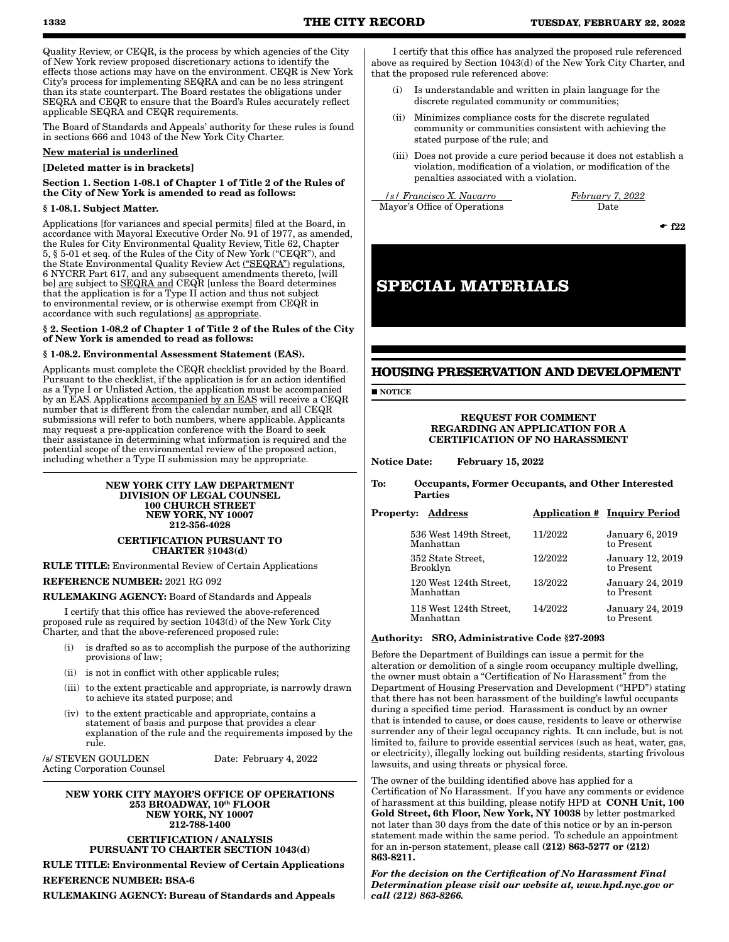Quality Review, or CEQR, is the process by which agencies of the City of New York review proposed discretionary actions to identify the effects those actions may have on the environment. CEQR is New York City's process for implementing SEQRA and can be no less stringent than its state counterpart. The Board restates the obligations under SEQRA and CEQR to ensure that the Board's Rules accurately reflect applicable SEQRA and CEQR requirements.

The Board of Standards and Appeals' authority for these rules is found in sections 666 and 1043 of the New York City Charter.

#### New material is underlined

#### [Deleted matter is in brackets]

Section 1. Section 1-08.1 of Chapter 1 of Title 2 of the Rules of the City of New York is amended to read as follows:

#### § 1-08.1. Subject Matter.

Applications [for variances and special permits] filed at the Board, in accordance with Mayoral Executive Order No. 91 of 1977, as amended, the Rules for City Environmental Quality Review, Title 62, Chapter 5, § 5-01 et seq. of the Rules of the City of New York ("CEQR"), and the State Environmental Quality Review Act ("SEQRA") regulations, 6 NYCRR Part 617, and any subsequent amendments thereto, [will be] are subject to SEQRA and CEQR [unless the Board determines that the application is for a Type II action and thus not subject to environmental review, or is otherwise exempt from CEQR in accordance with such regulations] as appropriate.

#### § 2. Section 1-08.2 of Chapter 1 of Title 2 of the Rules of the City of New York is amended to read as follows:

#### § 1-08.2. Environmental Assessment Statement (EAS).

Applicants must complete the CEQR checklist provided by the Board. Pursuant to the checklist, if the application is for an action identified as a Type I or Unlisted Action, the application must be accompanied by an EAS. Applications accompanied by an EAS will receive a CEQR number that is different from the calendar number, and all CEQR submissions will refer to both numbers, where applicable. Applicants may request a pre-application conference with the Board to seek their assistance in determining what information is required and the potential scope of the environmental review of the proposed action, including whether a Type II submission may be appropriate.

# NEW YORK CITY LAW DEPARTMENT DIVISION OF LEGAL COUNSEL 100 CHURCH STREET NEW YORK, NY 10007 212-356-4028

CERTIFICATION PURSUANT TO CHARTER §1043(d)

RULE TITLE: Environmental Review of Certain Applications REFERENCE NUMBER: 2021 RG 092

RULEMAKING AGENCY: Board of Standards and Appeals

I certify that this office has reviewed the above-referenced proposed rule as required by section 1043(d) of the New York City Charter, and that the above-referenced proposed rule:

- is drafted so as to accomplish the purpose of the authorizing provisions of law;
- (ii) is not in conflict with other applicable rules;
- (iii) to the extent practicable and appropriate, is narrowly drawn to achieve its stated purpose; and
- (iv) to the extent practicable and appropriate, contains a statement of basis and purpose that provides a clear explanation of the rule and the requirements imposed by the rule.

/s/ STEVEN GOULDEN Date: February 4, 2022 Acting Corporation Counsel

#### NEW YORK CITY MAYOR'S OFFICE OF OPERATIONS 253 BROADWAY, 10th FLOOR NEW YORK, NY 10007 212-788-1400 CERTIFICATION / ANALYSIS

PURSUANT TO CHARTER SECTION 1043(d)

RULE TITLE: Environmental Review of Certain Applications REFERENCE NUMBER: BSA-6

RULEMAKING AGENCY: Bureau of Standards and Appeals

I certify that this office has analyzed the proposed rule referenced above as required by Section 1043(d) of the New York City Charter, and that the proposed rule referenced above:

- (i) Is understandable and written in plain language for the discrete regulated community or communities;
- (ii) Minimizes compliance costs for the discrete regulated community or communities consistent with achieving the stated purpose of the rule; and
- (iii) Does not provide a cure period because it does not establish a violation, modification of a violation, or modification of the penalties associated with a violation.

*s* / *Francisco X. Navarro February 7, 2022*<br>Alexandria *February 7, 2022* Mayor's Office of Operations

 $-$ f22

# **SPECIAL MATERIALS**

# **HOUSING PRESERVATION AND DEVELOPMENT**

**NOTICE** 

REQUEST FOR COMMENT REGARDING AN APPLICATION FOR A CERTIFICATION OF NO HARASSMENT

Notice Date: February 15, 2022

To: Occupants, Former Occupants, and Other Interested Parties

| <b>Property: Address</b>             |         | <b>Application # Inquiry Period</b>  |
|--------------------------------------|---------|--------------------------------------|
| 536 West 149th Street,<br>Manhattan  | 11/2022 | <b>January 6, 2019</b><br>to Present |
| 352 State Street,<br><b>Brooklyn</b> | 12/2022 | January 12, 2019<br>to Present       |
| 120 West 124th Street,<br>Manhattan  | 13/2022 | January 24, 2019<br>to Present       |
| 118 West 124th Street,<br>Manhattan  | 14/2022 | January 24, 2019<br>to Present       |
|                                      |         |                                      |

#### Authority: SRO, Administrative Code §27-2093

Before the Department of Buildings can issue a permit for the alteration or demolition of a single room occupancy multiple dwelling, the owner must obtain a "Certification of No Harassment" from the Department of Housing Preservation and Development ("HPD") stating that there has not been harassment of the building's lawful occupants during a specified time period. Harassment is conduct by an owner that is intended to cause, or does cause, residents to leave or otherwise surrender any of their legal occupancy rights. It can include, but is not limited to, failure to provide essential services (such as heat, water, gas, or electricity), illegally locking out building residents, starting frivolous lawsuits, and using threats or physical force.

The owner of the building identified above has applied for a Certification of No Harassment. If you have any comments or evidence of harassment at this building, please notify HPD at CONH Unit, 100 Gold Street, 6th Floor, New York, NY 10038 by letter postmarked not later than 30 days from the date of this notice or by an in-person statement made within the same period. To schedule an appointment for an in-person statement, please call  $(212)$  863-5277 or  $(212)$ 863-8211.

*For the decision on the Certification of No Harassment Final Determination please visit our website at, www.hpd.nyc.gov or call (212) 863-8266.*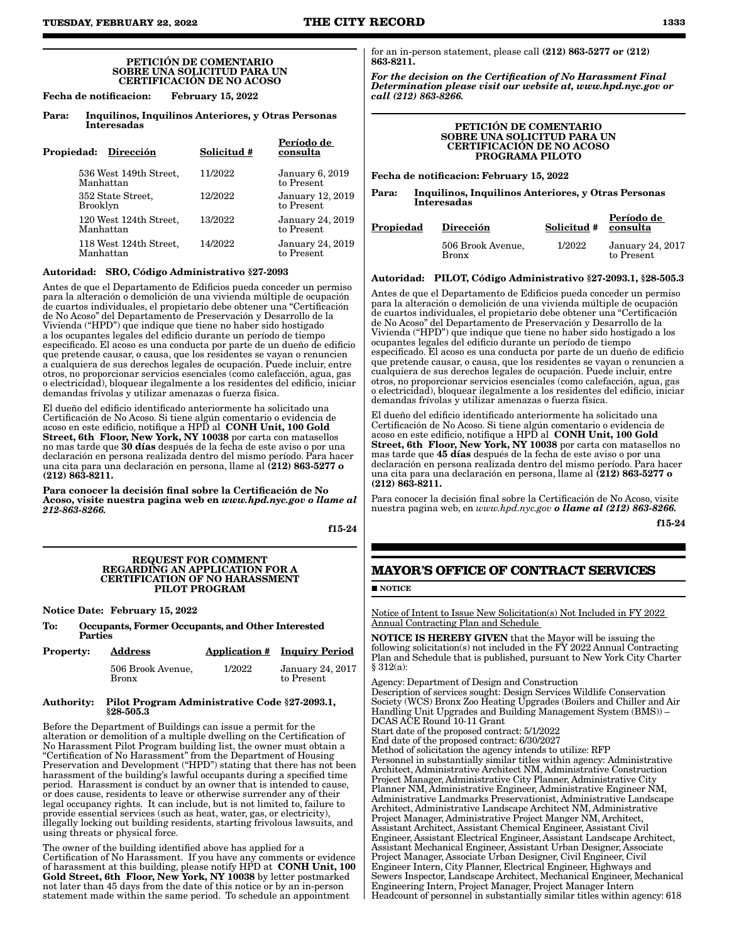#### PETICIÓN DE COMENTARIO SOBRE UNA SOLICITUD PARA UN CERTIFICACIÓN DE NO ACOSO

Fecha de notificacion: February 15, 2022

Para: Inquilinos, Inquilinos Anteriores, y Otras Personas Interesadas

| Propiedad: Dirección                 | Solicitud # | Período de<br>consulta               |
|--------------------------------------|-------------|--------------------------------------|
| 536 West 149th Street,<br>Manhattan  | 11/2022     | <b>January 6, 2019</b><br>to Present |
| 352 State Street,<br><b>Brooklyn</b> | 12/2022     | January 12, 2019<br>to Present       |
| 120 West 124th Street,<br>Manhattan  | 13/2022     | January 24, 2019<br>to Present       |
| 118 West 124th Street,<br>Manhattan  | 14/2022     | January 24, 2019<br>to Present       |

#### Autoridad: SRO, Código Administrativo §27-2093

Antes de que el Departamento de Edificios pueda conceder un permiso para la alteración o demolición de una vivienda múltiple de ocupación de cuartos individuales, el propietario debe obtener una "Certificación de No Acoso" del Departamento de Preservación y Desarrollo de la Vivienda ("HPD") que indique que tiene no haber sido hostigado a los ocupantes legales del edificio durante un período de tiempo especificado. El acoso es una conducta por parte de un dueño de edificio que pretende causar, o causa, que los residentes se vayan o renuncien a cualquiera de sus derechos legales de ocupación. Puede incluir, entre otros, no proporcionar servicios esenciales (como calefacción, agua, gas o electricidad), bloquear ilegalmente a los residentes del edificio, iniciar demandas frívolas y utilizar amenazas o fuerza física.

El dueño del edificio identificado anteriormente ha solicitado una Certificación de No Acoso. Si tiene algún comentario o evidencia de acoso en este edificio, notifique a HPD al  $\,$  CONH Unit, 100 Gold  $\,$ Street, 6th Floor, New York, NY 10038 por carta con matasellos no mas tarde que 30 días después de la fecha de este aviso o por una declaración en persona realizada dentro del mismo período. Para hacer una cita para una declaración en persona, llame al (212) 863-5277 o (212) 863-8211.

Para conocer la decisión final sobre la Certificación de No Acoso, visite nuestra pagina web en *www.hpd.nyc.gov o llame al 212-863-8266.*

f15-24

#### REQUEST FOR COMMENT REGARDING AN APPLICATION FOR A CERTIFICATION OF NO HARASSMENT PILOT PROGRAM

Notice Date: February 15, 2022

To: Occupants, Former Occupants, and Other Interested Parties

| <b>Property:</b> | <b>Address</b>                    |        | <b>Application # Inquiry Period</b> |
|------------------|-----------------------------------|--------|-------------------------------------|
|                  | 506 Brook Avenue,<br><b>Bronx</b> | 1/2022 | January 24, 2017<br>to Present      |

#### Authority: Pilot Program Administrative Code §27-2093.1, §28-505.3

Before the Department of Buildings can issue a permit for the alteration or demolition of a multiple dwelling on the Certification of No Harassment Pilot Program building list, the owner must obtain a "Certification of No Harassment" from the Department of Housing Preservation and Development ("HPD") stating that there has not been harassment of the building's lawful occupants during a specified time period. Harassment is conduct by an owner that is intended to cause, or does cause, residents to leave or otherwise surrender any of their legal occupancy rights. It can include, but is not limited to, failure to provide essential services (such as heat, water, gas, or electricity), illegally locking out building residents, starting frivolous lawsuits, and using threats or physical force.

The owner of the building identified above has applied for a Certification of No Harassment. If you have any comments or evidence of harassment at this building, please notify HPD at  $\rm \,COMH$  Unit, 100 Gold Street, 6th Floor, New York, NY 10038 by letter postmarked not later than 45 days from the date of this notice or by an in-person statement made within the same period. To schedule an appointment

for an in-person statement, please call (212) 863-5277 or (212) 863-8211.

*For the decision on the Certification of No Harassment Final Determination please visit our website at, www.hpd.nyc.gov or call (212) 863-8266.*

#### PETICIÓN DE COMENTARIO SOBRE UNA SOLICITUD PARA UN CERTIFICACIÓN DE NO ACOSO PROGRAMA PILOTO

Fecha de notificacion: February 15, 2022

Para: Inquilinos, Inquilinos Anteriores, y Otras Personas Interesadas

| Propiedad | Dirección                         | Solicitud # | Período de<br>consulta                |
|-----------|-----------------------------------|-------------|---------------------------------------|
|           | 506 Brook Avenue,<br><b>Bronx</b> | 1/2022      | <b>January 24, 2017</b><br>to Present |

#### Autoridad: PILOT, Código Administrativo §27-2093.1, §28-505.3

Antes de que el Departamento de Edificios pueda conceder un permiso para la alteración o demolición de una vivienda múltiple de ocupación de cuartos individuales, el propietario debe obtener una "Certificación de No Acoso" del Departamento de Preservación y Desarrollo de la Vivienda ("HPD") que indique que tiene no haber sido hostigado a los ocupantes legales del edificio durante un período de tiempo especificado. El acoso es una conducta por parte de un dueño de edificio que pretende causar, o causa, que los residentes se vayan o renuncien a cualquiera de sus derechos legales de ocupación. Puede incluir, entre otros, no proporcionar servicios esenciales (como calefacción, agua, gas o electricidad), bloquear ilegalmente a los residentes del edificio, iniciar demandas frívolas y utilizar amenazas o fuerza física.

El dueño del edificio identificado anteriormente ha solicitado una Certificación de No Acoso. Si tiene algún comentario o evidencia de acoso en este edificio, notifique a HPD al CONH Unit, 100 Gold Street, 6th Floor, New York, NY 10038 por carta con matasellos no mas tarde que 45 días después de la fecha de este aviso o por una declaración en persona realizada dentro del mismo período. Para hacer una cita para una declaración en persona, llame al (212) 863-5277 o (212) 863-8211.

Para conocer la decisión final sobre la Certificación de No Acoso, visite nuestra pagina web, en *www.hpd.nyc.gov o llame al (212) 863-8266.*

f15-24

# **MAYOR'S OFFICE OF CONTRACT SERVICES**

#### **NOTICE**

Notice of Intent to Issue New Solicitation(s) Not Included in FY 2022 Annual Contracting Plan and Schedule

NOTICE IS HEREBY GIVEN that the Mayor will be issuing the following solicitation(s) not included in the FY 2022 Annual Contracting Plan and Schedule that is published, pursuant to New York City Charter § 312(a):

Agency: Department of Design and Construction Description of services sought: Design Services Wildlife Conservation Society (WCS) Bronx Zoo Heating Upgrades (Boilers and Chiller and Air Handling Unit Upgrades and Building Management System (BMS)) – DCAS ACE Round 10-11 Grant

Start date of the proposed contract: 5/1/2022

End date of the proposed contract: 6/30/2027

Method of solicitation the agency intends to utilize: RFP Personnel in substantially similar titles within agency: Administrative Architect, Administrative Architect NM, Administrative Construction Project Manager, Administrative City Planner, Administrative City Planner NM, Administrative Engineer, Administrative Engineer NM, Administrative Landmarks Preservationist, Administrative Landscape Architect, Administrative Landscape Architect NM, Administrative Project Manager, Administrative Project Manger NM, Architect, Assistant Architect, Assistant Chemical Engineer, Assistant Civil Engineer, Assistant Electrical Engineer, Assistant Landscape Architect, Assistant Mechanical Engineer, Assistant Urban Designer, Associate Project Manager, Associate Urban Designer, Civil Engineer, Civil Engineer Intern, City Planner, Electrical Engineer, Highways and Sewers Inspector, Landscape Architect, Mechanical Engineer, Mechanical Engineering Intern, Project Manager, Project Manager Intern Headcount of personnel in substantially similar titles within agency: 618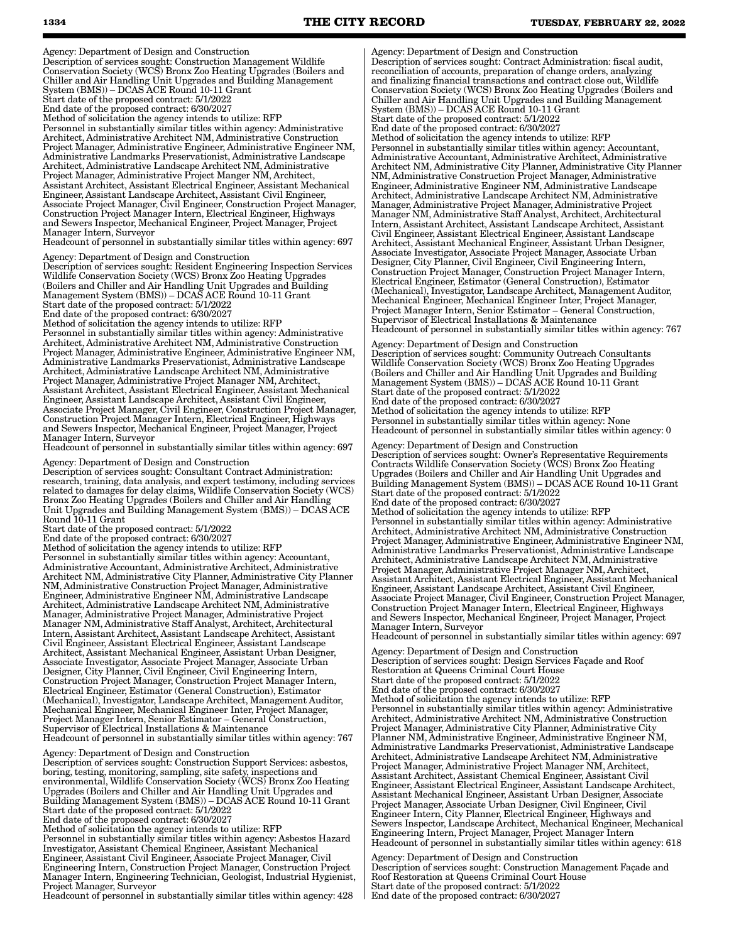Agency: Department of Design and Construction Description of services sought: Construction Management Wildlife Conservation Society (WCS) Bronx Zoo Heating Upgrades (Boilers and Chiller and Air Handling Unit Upgrades and Building Management System (BMS)) – DCAS ACE Round 10-11 Grant Start date of the proposed contract: 5/1/2022 End date of the proposed contract: 6/30/2027 Method of solicitation the agency intends to utilize: RFP Personnel in substantially similar titles within agency: Administrative Architect, Administrative Architect NM, Administrative Construction Project Manager, Administrative Engineer, Administrative Engineer NM, Administrative Landmarks Preservationist, Administrative Landscape Architect, Administrative Landscape Architect NM, Administrative Project Manager, Administrative Project Manger NM, Architect, Assistant Architect, Assistant Electrical Engineer, Assistant Mechanical Engineer, Assistant Landscape Architect, Assistant Civil Engineer, Associate Project Manager, Civil Engineer, Construction Project Manager, Construction Project Manager Intern, Electrical Engineer, Highways and Sewers Inspector, Mechanical Engineer, Project Manager, Project Manager Intern, Surveyor

Headcount of personnel in substantially similar titles within agency: 697

Agency: Department of Design and Construction

Description of services sought: Resident Engineering Inspection Services Wildlife Conservation Society (WCS) Bronx Zoo Heating Upgrades (Boilers and Chiller and Air Handling Unit Upgrades and Building Management System (BMS)) – DCAS ACE Round 10-11 Grant Start date of the proposed contract: 5/1/2022 End date of the proposed contract: 6/30/2027

Method of solicitation the agency intends to utilize: RFP Personnel in substantially similar titles within agency: Administrative Architect, Administrative Architect NM, Administrative Construction Project Manager, Administrative Engineer, Administrative Engineer NM, Administrative Landmarks Preservationist, Administrative Landscape Architect, Administrative Landscape Architect NM, Administrative Project Manager, Administrative Project Manager NM, Architect, Assistant Architect, Assistant Electrical Engineer, Assistant Mechanical Engineer, Assistant Landscape Architect, Assistant Civil Engineer, Associate Project Manager, Civil Engineer, Construction Project Manager, Construction Project Manager Intern, Electrical Engineer, Highways and Sewers Inspector, Mechanical Engineer, Project Manager, Project Manager Intern, Surveyor

Headcount of personnel in substantially similar titles within agency: 697

Agency: Department of Design and Construction

Description of services sought: Consultant Contract Administration: research, training, data analysis, and expert testimony, including services related to damages for delay claims, Wildlife Conservation Society (WCS) Bronx Zoo Heating Upgrades (Boilers and Chiller and Air Handling Unit Upgrades and Building Management System (BMS)) – DCAS ACE Round 10-11 Grant

Start date of the proposed contract: 5/1/2022

End date of the proposed contract: 6/30/2027

Method of solicitation the agency intends to utilize: RFP Personnel in substantially similar titles within agency: Accountant, Administrative Accountant, Administrative Architect, Administrative Architect NM, Administrative City Planner, Administrative City Planner NM, Administrative Construction Project Manager, Administrative Engineer, Administrative Engineer NM, Administrative Landscape Architect, Administrative Landscape Architect NM, Administrative Manager, Administrative Project Manager, Administrative Project Manager NM, Administrative Staff Analyst, Architect, Architectural Intern, Assistant Architect, Assistant Landscape Architect, Assistant Civil Engineer, Assistant Electrical Engineer, Assistant Landscape Architect, Assistant Mechanical Engineer, Assistant Urban Designer, Associate Investigator, Associate Project Manager, Associate Urban Designer, City Planner, Civil Engineer, Civil Engineering Intern, Construction Project Manager, Construction Project Manager Intern, Electrical Engineer, Estimator (General Construction), Estimator (Mechanical), Investigator, Landscape Architect, Management Auditor, Mechanical Engineer, Mechanical Engineer Inter, Project Manager, Project Manager Intern, Senior Estimator – General Construction, Supervisor of Electrical Installations & Maintenance Headcount of personnel in substantially similar titles within agency: 767

Agency: Department of Design and Construction

Description of services sought: Construction Support Services: asbestos, boring, testing, monitoring, sampling, site safety, inspections and environmental, Wildlife Conservation Society (WCS) Bronx Zoo Heating Upgrades (Boilers and Chiller and Air Handling Unit Upgrades and Building Management System (BMS)) – DCAS ACE Round 10-11 Grant Start date of the proposed contract: 5/1/2022 End date of the proposed contract: 6/30/2027

Method of solicitation the agency intends to utilize: RFP

Personnel in substantially similar titles within agency: Asbestos Hazard Investigator, Assistant Chemical Engineer, Assistant Mechanical Engineer, Assistant Civil Engineer, Associate Project Manager, Civil Engineering Intern, Construction Project Manager, Construction Project Manager Intern, Engineering Technician, Geologist, Industrial Hygienist, Project Manager, Surveyor

Headcount of personnel in substantially similar titles within agency: 428

Agency: Department of Design and Construction Description of services sought: Contract Administration: fiscal audit, reconciliation of accounts, preparation of change orders, analyzing and finalizing financial transactions and contract close out, Wildlife Conservation Society (WCS) Bronx Zoo Heating Upgrades (Boilers and Chiller and Air Handling Unit Upgrades and Building Management System (BMS)) – DCAS ACE Round 10-11 Grant Start date of the proposed contract: 5/1/2022 End date of the proposed contract: 6/30/2027

Method of solicitation the agency intends to utilize: RFP Personnel in substantially similar titles within agency: Accountant, Administrative Accountant, Administrative Architect, Administrative Architect NM, Administrative City Planner, Administrative City Planner NM, Administrative Construction Project Manager, Administrative Engineer, Administrative Engineer NM, Administrative Landscape Architect, Administrative Landscape Architect NM, Administrative Manager, Administrative Project Manager, Administrative Project Manager NM, Administrative Staff Analyst, Architect, Architectural Intern, Assistant Architect, Assistant Landscape Architect, Assistant Civil Engineer, Assistant Electrical Engineer, Assistant Landscape Architect, Assistant Mechanical Engineer, Assistant Urban Designer, Associate Investigator, Associate Project Manager, Associate Urban Designer, City Planner, Civil Engineer, Civil Engineering Intern, Construction Project Manager, Construction Project Manager Intern, Electrical Engineer, Estimator (General Construction), Estimator (Mechanical), Investigator, Landscape Architect, Management Auditor, Mechanical Engineer, Mechanical Engineer Inter, Project Manager, Project Manager Intern, Senior Estimator – General Construction, Supervisor of Electrical Installations & Maintenance Headcount of personnel in substantially similar titles within agency: 767

Agency: Department of Design and Construction Description of services sought: Community Outreach Consultants Wildlife Conservation Society (WCS) Bronx Zoo Heating Upgrades (Boilers and Chiller and Air Handling Unit Upgrades and Building Management System (BMS)) – DCAS ACE Round 10-11 Grant Start date of the proposed contract: 5/1/2022 End date of the proposed contract: 6/30/2027 Method of solicitation the agency intends to utilize: RFP Personnel in substantially similar titles within agency: None Headcount of personnel in substantially similar titles within agency: 0

Agency: Department of Design and Construction Description of services sought: Owner's Representative Requirements Contracts Wildlife Conservation Society (WCS) Bronx Zoo Heating Upgrades (Boilers and Chiller and Air Handling Unit Upgrades and Building Management System (BMS)) – DCAS ACE Round 10-11 Grant Start date of the proposed contract: 5/1/2022 End date of the proposed contract: 6/30/2027 Method of solicitation the agency intends to utilize: RFP Personnel in substantially similar titles within agency: Administrative Architect, Administrative Architect NM, Administrative Construction Project Manager, Administrative Engineer, Administrative Engineer NM, Administrative Landmarks Preservationist, Administrative Landscape Architect, Administrative Landscape Architect NM, Administrative Project Manager, Administrative Project Manager NM, Architect, Assistant Architect, Assistant Electrical Engineer, Assistant Mechanical Engineer, Assistant Landscape Architect, Assistant Civil Engineer, Associate Project Manager, Civil Engineer, Construction Project Manager, Construction Project Manager Intern, Electrical Engineer, Highways and Sewers Inspector, Mechanical Engineer, Project Manager, Project Manager Intern, Surveyor

Headcount of personnel in substantially similar titles within agency: 697

Agency: Department of Design and Construction Description of services sought: Design Services Façade and Roof Restoration at Queens Criminal Court House Start date of the proposed contract: 5/1/2022 End date of the proposed contract: 6/30/2027 Method of solicitation the agency intends to utilize: RFP Personnel in substantially similar titles within agency: Administrative Architect, Administrative Architect NM, Administrative Construction Project Manager, Administrative City Planner, Administrative City Planner NM, Administrative Engineer, Administrative Engineer NM, Administrative Landmarks Preservationist, Administrative Landscape Architect, Administrative Landscape Architect NM, Administrative Project Manager, Administrative Project Manager NM, Architect, Assistant Architect, Assistant Chemical Engineer, Assistant Civil Engineer, Assistant Electrical Engineer, Assistant Landscape Architect, Assistant Mechanical Engineer, Assistant Urban Designer, Associate Project Manager, Associate Urban Designer, Civil Engineer, Civil Engineer Intern, City Planner, Electrical Engineer, Highways and Sewers Inspector, Landscape Architect, Mechanical Engineer, Mechanical Engineering Intern, Project Manager, Project Manager Intern Headcount of personnel in substantially similar titles within agency: 618

Agency: Department of Design and Construction Description of services sought: Construction Management Façade and Roof Restoration at Queens Criminal Court House Start date of the proposed contract: 5/1/2022 End date of the proposed contract: 6/30/2027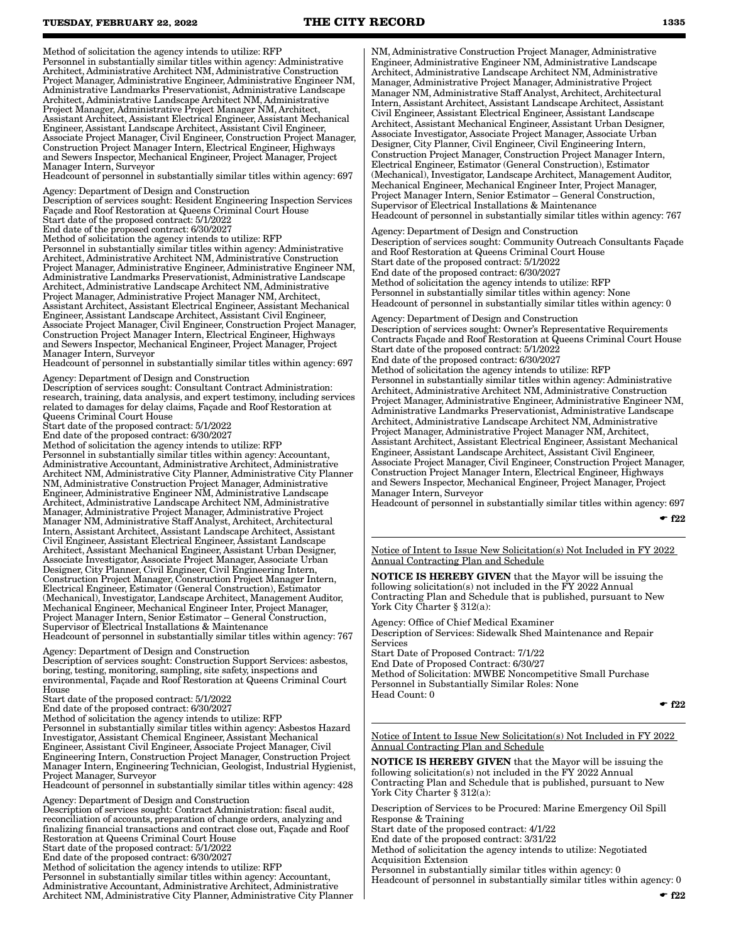Method of solicitation the agency intends to utilize: RFP

Personnel in substantially similar titles within agency: Administrative Architect, Administrative Architect NM, Administrative Construction Project Manager, Administrative Engineer, Administrative Engineer NM, Administrative Landmarks Preservationist, Administrative Landscape Architect, Administrative Landscape Architect NM, Administrative Project Manager, Administrative Project Manager NM, Architect, Assistant Architect, Assistant Electrical Engineer, Assistant Mechanical Engineer, Assistant Landscape Architect, Assistant Civil Engineer, Associate Project Manager, Civil Engineer, Construction Project Manager, Construction Project Manager Intern, Electrical Engineer, Highways and Sewers Inspector, Mechanical Engineer, Project Manager, Project Manager Intern, Surveyor

Headcount of personnel in substantially similar titles within agency: 697

Agency: Department of Design and Construction

Description of services sought: Resident Engineering Inspection Services Façade and Roof Restoration at Queens Criminal Court House Start date of the proposed contract: 5/1/2022

End date of the proposed contract: 6/30/2027

Method of solicitation the agency intends to utilize: RFP Personnel in substantially similar titles within agency: Administrative Architect, Administrative Architect NM, Administrative Construction Project Manager, Administrative Engineer, Administrative Engineer NM, Administrative Landmarks Preservationist, Administrative Landscape Architect, Administrative Landscape Architect NM, Administrative Project Manager, Administrative Project Manager NM, Architect, Assistant Architect, Assistant Electrical Engineer, Assistant Mechanical Engineer, Assistant Landscape Architect, Assistant Civil Engineer, Associate Project Manager, Civil Engineer, Construction Project Manager, Construction Project Manager Intern, Electrical Engineer, Highways and Sewers Inspector, Mechanical Engineer, Project Manager, Project Manager Intern, Surveyor

Headcount of personnel in substantially similar titles within agency: 697

Agency: Department of Design and Construction

Description of services sought: Consultant Contract Administration: research, training, data analysis, and expert testimony, including services related to damages for delay claims, Façade and Roof Restoration at Queens Criminal Court House

Start date of the proposed contract: 5/1/2022

End date of the proposed contract: 6/30/2027

Method of solicitation the agency intends to utilize: RFP Personnel in substantially similar titles within agency: Accountant, Administrative Accountant, Administrative Architect, Administrative Architect NM, Administrative City Planner, Administrative City Planner NM, Administrative Construction Project Manager, Administrative Engineer, Administrative Engineer NM, Administrative Landscape Architect, Administrative Landscape Architect NM, Administrative Manager, Administrative Project Manager, Administrative Project Manager NM, Administrative Staff Analyst, Architect, Architectural Intern, Assistant Architect, Assistant Landscape Architect, Assistant Civil Engineer, Assistant Electrical Engineer, Assistant Landscape Architect, Assistant Mechanical Engineer, Assistant Urban Designer, Associate Investigator, Associate Project Manager, Associate Urban Designer, City Planner, Civil Engineer, Civil Engineering Intern, Construction Project Manager, Construction Project Manager Intern, Electrical Engineer, Estimator (General Construction), Estimator (Mechanical), Investigator, Landscape Architect, Management Auditor, Mechanical Engineer, Mechanical Engineer Inter, Project Manager, Project Manager Intern, Senior Estimator – General Construction, Supervisor of Electrical Installations & Maintenance Headcount of personnel in substantially similar titles within agency: 767

Agency: Department of Design and Construction Description of services sought: Construction Support Services: asbestos, boring, testing, monitoring, sampling, site safety, inspections and environmental, Façade and Roof Restoration at Queens Criminal Court House

Start date of the proposed contract: 5/1/2022

End date of the proposed contract: 6/30/2027

Method of solicitation the agency intends to utilize: RFP

Personnel in substantially similar titles within agency: Asbestos Hazard Investigator, Assistant Chemical Engineer, Assistant Mechanical Engineer, Assistant Civil Engineer, Associate Project Manager, Civil Engineering Intern, Construction Project Manager, Construction Project Manager Intern, Engineering Technician, Geologist, Industrial Hygienist, Project Manager, Surveyor

Headcount of personnel in substantially similar titles within agency: 428

Agency: Department of Design and Construction Description of services sought: Contract Administration: fiscal audit, reconciliation of accounts, preparation of change orders, analyzing and finalizing financial transactions and contract close out, Façade and Roof Restoration at Queens Criminal Court House Start date of the proposed contract: 5/1/2022 End date of the proposed contract: 6/30/2027 Method of solicitation the agency intends to utilize: RFP Personnel in substantially similar titles within agency: Accountant, Administrative Accountant, Administrative Architect, Administrative Architect NM, Administrative City Planner, Administrative City Planner NM, Administrative Construction Project Manager, Administrative Engineer, Administrative Engineer NM, Administrative Landscape Architect, Administrative Landscape Architect NM, Administrative Manager, Administrative Project Manager, Administrative Project Manager NM, Administrative Staff Analyst, Architect, Architectural Intern, Assistant Architect, Assistant Landscape Architect, Assistant Civil Engineer, Assistant Electrical Engineer, Assistant Landscape Architect, Assistant Mechanical Engineer, Assistant Urban Designer, Associate Investigator, Associate Project Manager, Associate Urban Designer, City Planner, Civil Engineer, Civil Engineering Intern, Construction Project Manager, Construction Project Manager Intern, Electrical Engineer, Estimator (General Construction), Estimator (Mechanical), Investigator, Landscape Architect, Management Auditor, Mechanical Engineer, Mechanical Engineer Inter, Project Manager, Project Manager Intern, Senior Estimator – General Construction, Supervisor of Electrical Installations & Maintenance Headcount of personnel in substantially similar titles within agency: 767

Agency: Department of Design and Construction Description of services sought: Community Outreach Consultants Façade and Roof Restoration at Queens Criminal Court House Start date of the proposed contract: 5/1/2022 End date of the proposed contract: 6/30/2027 Method of solicitation the agency intends to utilize: RFP Personnel in substantially similar titles within agency: None Headcount of personnel in substantially similar titles within agency: 0

Agency: Department of Design and Construction Description of services sought: Owner's Representative Requirements Contracts Façade and Roof Restoration at Queens Criminal Court House Start date of the proposed contract: 5/1/2022 End date of the proposed contract: 6/30/2027 Method of solicitation the agency intends to utilize: RFP Personnel in substantially similar titles within agency: Administrative Architect, Administrative Architect NM, Administrative Construction Project Manager, Administrative Engineer, Administrative Engineer NM, Administrative Landmarks Preservationist, Administrative Landscape Architect, Administrative Landscape Architect NM, Administrative Project Manager, Administrative Project Manager NM, Architect, Assistant Architect, Assistant Electrical Engineer, Assistant Mechanical Engineer, Assistant Landscape Architect, Assistant Civil Engineer, Associate Project Manager, Civil Engineer, Construction Project Manager, Construction Project Manager Intern, Electrical Engineer, Highways and Sewers Inspector, Mechanical Engineer, Project Manager, Project Manager Intern, Surveyor

Headcount of personnel in substantially similar titles within agency: 697

 $\cdot$  f<sub>22</sub>

Notice of Intent to Issue New Solicitation(s) Not Included in FY 2022 Annual Contracting Plan and Schedule

NOTICE IS HEREBY GIVEN that the Mayor will be issuing the following solicitation(s) not included in the FY 2022 Annual Contracting Plan and Schedule that is published, pursuant to New York City Charter § 312(a):

Agency: Office of Chief Medical Examiner Description of Services: Sidewalk Shed Maintenance and Repair Services Start Date of Proposed Contract: 7/1/22 End Date of Proposed Contract: 6/30/27

Method of Solicitation: MWBE Noncompetitive Small Purchase Personnel in Substantially Similar Roles: None Head Count: 0

 $-$ f<sub>22</sub>

Notice of Intent to Issue New Solicitation(s) Not Included in FY 2022 Annual Contracting Plan and Schedule

NOTICE IS HEREBY GIVEN that the Mayor will be issuing the following solicitation(s) not included in the FY 2022 Annual Contracting Plan and Schedule that is published, pursuant to New York City Charter § 312(a):

Description of Services to be Procured: Marine Emergency Oil Spill Response & Training

Start date of the proposed contract: 4/1/22

End date of the proposed contract: 3/31/22

Method of solicitation the agency intends to utilize: Negotiated Acquisition Extension

Personnel in substantially similar titles within agency: 0

Headcount of personnel in substantially similar titles within agency: 0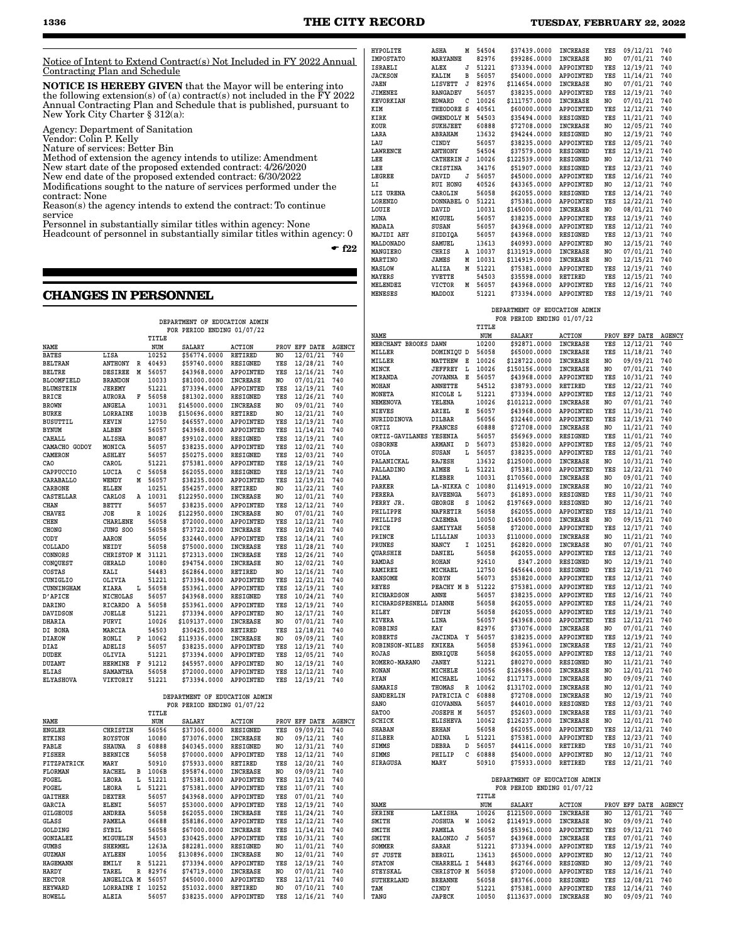Notice of Intent to Extend Contract(s) Not Included in FY 2022 Annual Contracting Plan and Schedule

NOTICE IS HEREBY GIVEN that the Mayor will be entering into the following extension(s) of (a) contract(s) not included in the FY 2022 Annual Contracting Plan and Schedule that is published, pursuant to New York City Charter § 312(a):

Agency: Department of Sanitation

Vendor: Colin P. Kelly

Nature of services: Better Bin

Method of extension the agency intends to utilize: Amendment New start date of the proposed extended contract: 4/26/2020

New end date of the proposed extended contract: 6/30/2022 Modifications sought to the nature of services performed under the

contract: None Reason(s) the agency intends to extend the contract: To continue

service

Personnel in substantially similar titles within agency: None

Headcount of personnel in substantially similar titles within agency: 0

 $-$ f22

## **CHANGES IN PERSONNEL**

| DEPARTMENT OF EDUCATION ADMIN |                 |   |       |                               |                  |     |               |               |
|-------------------------------|-----------------|---|-------|-------------------------------|------------------|-----|---------------|---------------|
|                               |                 |   |       | FOR PERIOD ENDING 01/07/22    |                  |     |               |               |
|                               |                 |   | TITLE |                               |                  |     |               |               |
| NAME                          |                 |   | NUM   | SALARY                        | <b>ACTION</b>    |     | PROV EFF DATE | <b>AGENCY</b> |
| <b>BATES</b>                  | LISA            |   | 10252 | \$56774.0000                  | RETIRED          | NO  | 12/01/21      | 740           |
| <b>BELTRAN</b>                | <b>ANTHONY</b>  | R | 40493 | \$59740.0000                  | <b>RESIGNED</b>  | YES | 12/28/21      | 740           |
| BELTRE                        | <b>DESIREE</b>  | М | 56057 | \$43968.0000                  | <b>APPOINTED</b> | YES | 12/16/21      | 740           |
| <b>BLOOMFIELD</b>             | <b>BRANDON</b>  |   | 10033 | \$81000.0000                  | <b>INCREASE</b>  | NO  | 07/01/21      | 740           |
| <b>BLUMSTEIN</b>              | <b>JEREMY</b>   |   | 51221 | \$73394.0000                  | APPOINTED        | YES | 12/19/21      | 740           |
| BRICE                         | AURORA          | F | 56058 | \$81302.0000                  | RESIGNED         | YES | 12/26/21      | 740           |
| <b>BROWN</b>                  | ANGELA          |   | 10031 | \$145000.0000                 | <b>INCREASE</b>  | NO  | 09/01/21      | 740           |
| <b>BURKE</b>                  | <b>LORRAINE</b> |   | 1003B | \$150696.0000                 | RETIRED          | NO. | 12/21/21      | 740           |
| <b>BUSUTTIL</b>               | KEVIN           |   | 12750 | \$46557.0000                  | APPOINTED        | YES | 12/19/21      | 740           |
| BYNUM                         | ALBEN           |   | 56057 | \$43968.0000                  | APPOINTED        | YES | 11/14/21      | 740           |
| CAHALL                        | <b>ALISHA</b>   |   | B0087 | \$99102.0000                  | RESIGNED         | YES | 12/19/21      | 740           |
| CAMACHO GODOY                 | MONICA          |   | 56057 | \$38235.0000                  | <b>APPOINTED</b> | YES | 12/02/21      | 740           |
| CAMERON                       | <b>ASHLEY</b>   |   | 56057 | \$50275.0000                  | <b>RESIGNED</b>  | YES | 12/03/21      | 740           |
| CAO                           | CAROL           |   | 51221 | \$75381.0000                  | APPOINTED        | YES | 12/19/21      | 740           |
| CAPPUCCIO                     | LUCIA           | с | 56058 | \$62055.0000                  | RESIGNED         | YES | 12/19/21      | 740           |
| CARABALLO                     | WENDY           | М | 56057 | \$38235.0000                  | <b>APPOINTED</b> | YES | 12/19/21      | 740           |
| CARBONE                       | ELLEN           |   | 10251 | \$54257.0000                  | RETIRED          | NO  | 11/22/21      | 740           |
| <b>CASTELLAR</b>              | CARLOS          | А | 10031 | \$122950.0000                 | <b>INCREASE</b>  | NO  | 12/01/21      | 740           |
| <b>CHAN</b>                   | BETTY           |   | 56057 | \$38235.0000                  | <b>APPOINTED</b> | YES | 12/12/21      | 740           |
| <b>CHAVEZ</b>                 | JOE             | R | 10026 | \$122950.0000                 | INCREASE         | NO  | 07/01/21      | 740           |
| CHEN                          | CHARLENE        |   | 56058 | \$72000.0000                  | <b>APPOINTED</b> | YES | 12/12/21      | 740           |
| CHONG                         | JUNG SOO        |   | 56058 | \$73722.0000                  | <b>INCREASE</b>  | YES | 10/28/21      | 740           |
| CODY                          | <b>AARON</b>    |   | 56056 | \$32440.0000                  | <b>APPOINTED</b> | YES | 12/14/21      | 740           |
| COLLADO                       | NEIDY           |   | 56058 | \$75000.0000                  | <b>INCREASE</b>  | YES | 11/28/21      | 740           |
| CONNORS                       | CHRISTOP M      |   | 31121 | \$72313.0000                  | <b>INCREASE</b>  | YES | 12/26/21      | 740           |
| CONQUEST                      | GERALD          |   | 10080 | \$94754.0000                  | INCREASE         | NO  | 12/02/21      | 740           |
| COSTAS                        | KALI            |   | 54483 | \$62864.0000                  | RETIRED          | NO  | 12/16/21      | 740           |
| CUNIGLIO                      | OLIVIA          |   | 51221 | \$73394.0000                  | APPOINTED        | YES | 12/21/21      | 740           |
| CUNNINGHAM                    | KIARA           | L | 56058 | \$53961.0000                  | APPOINTED        | YES | 12/19/21      | 740           |
| <b>D'APICE</b>                | <b>NICHOLAS</b> |   | 56057 | \$43968.0000                  | RESIGNED         | YES | 10/24/21      | 740           |
| DARINO                        | RICARDO         | A | 56058 | \$53961.0000                  | APPOINTED        | YES | 12/19/21      | 740           |
| DAVIDSON                      | JOELLE          |   | 51221 | \$73394.0000                  | APPOINTED        | NO  | 12/17/21      | 740           |
| DHARIA                        | PURVI           |   | 10026 | \$109137.0000                 | INCREASE         | NO  | 07/01/21      | 740           |
| DI BONA                       | MARCIA          |   | 54503 | \$30425.0000                  | RETIRED          | YES | 12/18/21      | 740           |
| <b>DIAKOW</b>                 | RONLI           | P | 10062 | \$119336.0000                 | <b>INCREASE</b>  | NO  | 09/09/21      | 740           |
| DIAZ                          | ADELIS          |   | 56057 | \$38235.0000                  | APPOINTED        | YES | 12/19/21      | 740           |
| <b>DUDEK</b>                  | OLIVIA          |   | 51221 | \$73394.0000                  | <b>APPOINTED</b> | YES | 12/05/21      | 740           |
| DUZANT                        | HERMINE         | F | 91212 | \$45957.0000                  | APPOINTED        | NO  | 12/19/21      | 740           |
| <b>ELIAS</b>                  | SAMANTHA        |   | 56058 | \$72000.0000                  | APPOINTED        | YES | 12/12/21      | 740           |
| <b>ELYASHOVA</b>              | VIKTORIY        |   | 51221 | \$73394.0000                  | APPOINTED        | YES | 12/19/21      | 740           |
|                               |                 |   |       |                               |                  |     |               |               |
|                               |                 |   |       | DEPARTMENT OF EDUCATION ADMIN |                  |     |               |               |
|                               |                 |   |       | FOR PERIOD ENDING 01/07/22    |                  |     |               |               |
|                               |                 |   | TITLE |                               |                  |     |               |               |
| NAME                          |                 |   | NUM   | SALARY                        | <b>ACTION</b>    |     | PROV EFF DATE | <b>AGENCY</b> |
| <b>ENGLER</b>                 | CHRISTIN        |   | 56056 | \$37306.0000                  | RESIGNED         | YES | 09/09/21      | 740           |
| <b>ETKINS</b>                 | <b>ROYSTON</b>  |   | 10080 | \$73076.0000                  | <b>INCREASE</b>  | NO  | 09/12/21      | 740           |
| FABLE                         | <b>SHAUNA</b>   | S | 60888 | \$40345.0000                  | RESIGNED         | NO  | 12/31/21      | 740           |
| FISHER                        | <b>BERNICE</b>  |   | 56058 | \$70000.0000                  | APPOINTED        | YES | 12/12/21      | 740           |
| FITZPATRICK                   | MARY            |   | 50910 | \$75933.0000                  | RETIRED          | YES | 12/20/21      | 740           |
| FLORMAN                       | RACHEL          | в | 1006B | \$95874.0000                  | INCREASE         | NO  | 09/09/21      | 740           |
| FOGEL                         | LEORA           | L | 51221 | \$75381.0000                  | APPOINTED        | YES | 12/19/21      | 740           |
| FOGEL                         | LEORA           | г | 51221 | \$75381.0000                  | APPOINTED        | YES | 11/07/21      | 740           |
| <b>GAITHER</b>                | DEXTER          |   | 56057 | \$43968.0000                  | APPOINTED        | YES | 07/01/21      | 740           |

**GARCIA ELENI 56057 \$53000.0000 APPOINTED YES 12/19/21 740 GILGEOUS ANDREA 56058 \$62055.0000 INCREASE YES 11/24/21 740 GLASS PAMELA 06688 \$58186.0000 APPOINTED YES 12/12/21 740 GOLDING SYBIL 56058 \$67000.0000 INCREASE YES 11/14/21 740**

**GUMBS SHERMEL 1263A \$82281.0000 RESIGNED NO 11/01/21 740 GUZMAN AYLEEN 10056 \$130896.0000 INCREASE NO 12/01/21 740**  $$73394.0000$ **HARDY TAREL R 82976 \$74719.0000 INCREASE NO 07/01/21 740 HECTOR ANGELICA M 56057 \$45000.0000 APPOINTED YES 12/17/21 740 HEYWARD LORRAINE I 10252 \$51032.0000 RETIRED NO 07/10/21 740 HOWELL ALEIA 56057 \$38235.0000 APPOINTED YES 12/16/21 740**

**GONZALEZ MIGUELIN 54503 \$30425.0000 APPOINTED YES 10/31/21 740**

| <b>HYPOLITE</b>  | ASHA              | M | 54504 | \$37439.0000  | <b>INCREASE</b>  | YES        | 09/12/21 | 740 |
|------------------|-------------------|---|-------|---------------|------------------|------------|----------|-----|
| <b>IMPOSTATO</b> | <b>MARYANNE</b>   |   | 82976 | \$99286.0000  | <b>INCREASE</b>  | NO.        | 07/01/21 | 740 |
| <b>ISRAELI</b>   | <b>ALEX</b>       | J | 51221 | \$73394.0000  | <b>APPOINTED</b> | YES        | 12/19/21 | 740 |
| <b>JACKSON</b>   | KALIM             | в | 56057 | \$54000.0000  | <b>APPOINTED</b> | YES        | 11/14/21 | 740 |
| <b>JAEN</b>      | LISVETT           | J | 82976 | \$114654.0000 | <b>INCREASE</b>  | NO         | 07/01/21 | 740 |
| <b>JIMENEZ</b>   | <b>RANGADEV</b>   |   | 56057 | \$38235.0000  | <b>APPOINTED</b> | YES        | 12/19/21 | 740 |
| <b>KEVORKIAN</b> | <b>EDWARD</b>     | C | 10026 | \$111757.0000 | <b>INCREASE</b>  | NO.        | 07/01/21 | 740 |
| KIM              | THEODORE S        |   | 40561 | \$60000.0000  | APPOINTED        | YES        | 12/12/21 | 740 |
| <b>KIRK</b>      | <b>GWENDOLY M</b> |   | 54503 | \$35494.0000  | <b>RESIGNED</b>  | YES        | 11/21/21 | 740 |
| KOUR             | <b>SUKHJEET</b>   |   | 60888 | \$72708.0000  | <b>INCREASE</b>  | NO         | 12/05/21 | 740 |
| LARA             | <b>ABRAHAM</b>    |   | 13632 | \$94244.0000  | <b>RESIGNED</b>  | NO.        | 12/19/21 | 740 |
| LAU              | <b>CINDY</b>      |   | 56057 | \$38235.0000  | <b>APPOINTED</b> | YES        | 12/05/21 | 740 |
| <b>LAWRENCE</b>  | <b>ANTHONY</b>    |   | 54504 | \$37579.0000  | <b>RESIGNED</b>  | YES        | 12/19/21 | 740 |
| LEE              | CATHERIN J        |   | 10026 | \$122539.0000 | <b>RESIGNED</b>  | NO         | 12/12/21 | 740 |
| LEE              | CRISTINA          |   | 34176 | \$51907.0000  | <b>RESIGNED</b>  | YES        | 12/23/21 | 740 |
| LEGREE           | DAVID             | J | 56057 | \$45000.0000  | <b>APPOINTED</b> | <b>YES</b> | 12/16/21 | 740 |
| LI               | <b>RUI HONG</b>   |   | 40526 | \$43365.0000  | <b>APPOINTED</b> | NO         | 12/12/21 | 740 |
| LIZ URENA        | CAROLIN           |   | 56058 | \$62055.0000  | <b>RESIGNED</b>  | YES        | 12/14/21 | 740 |
| <b>LORENZO</b>   | DONNABEL O        |   | 51221 | \$75381.0000  | APPOINTED        | YES        | 12/22/21 | 740 |
| LOUIE            | DAVID             |   | 10031 | \$145000.0000 | <b>INCREASE</b>  | NO.        | 08/01/21 | 740 |
| LUNA             | MIGUEL            |   | 56057 | \$38235.0000  | <b>APPOINTED</b> | YES        | 12/19/21 | 740 |
| MADAIA           | <b>SUSAN</b>      |   | 56057 | \$43968.0000  | <b>APPOINTED</b> | YES        | 12/12/21 | 740 |
| MAJIDI AHY       | SIDDIOA           |   | 56057 | \$43968.0000  | <b>RESIGNED</b>  | YES        | 12/13/21 | 740 |
| <b>MALDONADO</b> | <b>SAMUEL</b>     |   | 13613 | \$40993.0000  | APPOINTED        | NO.        | 12/15/21 | 740 |
| MANGIERO         | CHRIS             | A | 10037 | \$131919.0000 | <b>INCREASE</b>  | NO         | 07/01/21 | 740 |
| <b>MARTINO</b>   | <b>JAMES</b>      | M | 10031 | \$114919.0000 | <b>INCREASE</b>  | NO         | 12/15/21 | 740 |
| <b>MASLOW</b>    | ALIZA             | M | 51221 | \$75381.0000  | <b>APPOINTED</b> | YES        | 12/19/21 | 740 |
| <b>MAYERS</b>    | YVETTE            |   | 54503 | \$35598.0000  | <b>RETIRED</b>   | YES        | 12/15/21 | 740 |
| <b>MELENDEZ</b>  | <b>VICTOR</b>     | M | 56057 | \$43968.0000  | APPOINTED        | YES        | 12/16/21 | 740 |
| <b>MENESES</b>   | MADDOX            |   | 51221 | \$73394.0000  | APPOINTED        | YES        | 12/19/21 | 740 |
|                  |                   |   |       |               |                  |            |          |     |

#### **DEPARTMENT OF EDUCATION ADMIN FOR PERIOD ENDING 01/07/22**

#### **TITLE NAME NUM SALARY ACTION PROV EFF DATE AGENCY MERCHANT BROOKS DAWN 10200 \$92871.0000 INCREASE YES 12/12/21 740 MILLER DOMINIQU D 56058 \$65000.0000 INCREASE YES 11/18/21 740**  $$128722.0000$ **MINCK JEFFREY L 10026 \$150156.0000 INCREASE NO 07/01/21 740 MIRANDA JOVANNA E 56057 \$43968.0000 APPOINTED YES 10/31/21 740**  $12/22/21$ **MONETA NICOLE L 51221 \$73394.0000 APPOINTED YES 12/12/21 740 NEMENOVA YELENA 10026 \$101212.0000 INCREASE NO 07/01/21 740 S43968.0000 NURIDDINOVA DILBAR 56056 \$32440.0000 APPOINTED YES 12/19/21 740 ORTIZ FRANCES 60888 \$72708.0000 INCREASE NO 11/21/21 740 ORTIZ-GAVILANES YESENIA 56057 \$56969.0000 RESIGNED YES 11/01/21 740 OSBORNE ARMANI D 56073 \$53820.0000 APPOINTED YES 12/05/21 740 OYOLA SUSAN L 56057 \$38235.0000 APPOINTED YES 12/01/21 740 PALANICKAL RAJESH 13632 \$125000.0000 INCREASE NO 10/31/21 740 PALLADINO AIMEE L 51221 \$75381.0000 APPOINTED YES 12/22/21 740 PALMA KLEBER 10031 \$170560.0000 INCREASE NO 09/01/21 740 PARKER LA-NIKKA C 10080 \$114919.0000 INCREASE NO 10/22/21 740 PERERA RAVEENGA 56073 \$61893.0000 RESIGNED YES 11/30/21 740 PERRY JR. GEORGE S 10062 \$197669.0000 RESIGNED NO 12/16/21 740**  $$62055.0000$ **PHILLIPS CAZEMBA 10050 \$145000.0000 INCREASE NO 09/15/21 740 PRICE SAMIYYAH 56058 \$72000.0000 APPOINTED YES 12/17/21 740**<br>PRINCE LILLIAN 10033 \$110000.0000 INCREASE NO 11/21/21 740 **PRINCE LILLIAN 10033 \$110000.0000 INCREASE NO 11/21/21 740 PRUNES NANCY I 10251 \$62820.0000 INCREASE NO 07/01/21 740 QUARSHIE DANIEL 56058 \$62055.0000 APPOINTED YES 12/12/21 740 RAMDAS ROHAN 92610 \$347.2000 RESIGNED NO 12/19/21 740 RAMIREZ MICHAEL 12750 \$45644.0000 RESIGNED YES 12/19/21 740 RANSOME ROBYN 56073 \$53820.0000 APPOINTED YES 12/12/21 740 REYES PEACHY M B 51222 \$75381.0000 APPOINTED YES 12/12/21 740**<br>**RICHARDSON ANNE 56057 \$38235.0000 APPOINTED YES 12/16/21 740 RICHARDSON ANNE 56057 \$38235.0000 APPOINTED YES 12/16/21 740 RICHARDSPESNELL DIANNE 56058 \$62055.0000 APPOINTED YES 11/24/21 740 RILEY DEVIN 56058 \$62055.0000 APPOINTED YES 12/19/21 740 RIVERA LINA 56057 \$43968.0000 APPOINTED YES 12/12/21 740 ROBBINS KAY 82976 \$73076.0000 INCREASE NO 07/01/21 740 ROBERTS JACINDA Y 56057** \$38235.0000 APPOINTED YES 12/19/21 740<br>**RNIKEA 56058 \$53961.0000 INCREASE YES 12/21/21 740 ROBINSON-NILES KNIKEA 56058 \$53961.0000 INCREASE YES 12/21/21 740 ENRIQUE 56058 \$62055.0000 APPOINTED YES 12/12/21 740**<br>JANEY 51221 \$80270.0000 RESIGNED NO 11/21/21 740  $ROMERO-MARANO$ **RONAN MICHELE 10056 \$126986.0000 INCREASE NO 12/01/21 740 RYAN MICHAEL 10062 \$117173.0000 INCREASE NO 09/09/21 740 SAMARIS THOMAS R 10062 \$131702.0000 INCREASE NO 12/01/21 740 SANDERLIN PATRICIA C 60888 \$72708.0000 INCREASE NO 12/19/21 740 SANO GIOVANNA 56057 \$44010.0000 RESIGNED YES 12/03/21 740**  $11/03/21$ **SCHICK ELISHEVA 10062 \$126237.0000 INCREASE NO 12/01/21 740 SHABAN ERHAN 56058 \$62055.0000 APPOINTED YES 12/12/21 740 SILBER ADINA L 51221 \$75381.0000 APPOINTED YES 12/23/21 740 SIMMS DEBRA D 56057 \$44116.0000 RETIRED YES 10/31/21 740 SIMMS PHILIP C 60888 \$54000.0000 APPOINTED NO 12/12/21 740**  $$75933.0000$  RETIRED

#### **DEPARTMENT OF EDUCATION ADMIN FOR PERIOD ENDING 01/07/22**

|                 |                |   | TITLE |               |                  |      |          |               |
|-----------------|----------------|---|-------|---------------|------------------|------|----------|---------------|
| NAME            |                |   | NUM   | <b>SALARY</b> | <b>ACTION</b>    | PROV | EFF DATE | <b>AGENCY</b> |
| <b>SKRINE</b>   | <b>LAKISHA</b> |   | 10026 | \$121500.0000 | <b>INCREASE</b>  | NO   | 12/01/21 | 740           |
| SMITH           | JOSHUA         | W | 10062 | \$114919.0000 | <b>INCREASE</b>  | NO   | 09/09/21 | 740           |
| SMITH           | PAMELA         |   | 56058 | \$53961.0000  | <b>APPOINTED</b> | YES  | 09/12/21 | 740           |
| SMITH           | <b>RALONZO</b> | J | 56057 | \$43968,0000  | <b>INCREASE</b>  | YES  | 07/01/21 | 740           |
| SOMMER          | <b>SARAH</b>   |   | 51221 | \$73394.0000  | APPOINTED        | YES  | 12/19/21 | 740           |
| ST JUSTE        | <b>BERGIL</b>  |   | 13613 | \$65000.0000  | APPOINTED        | NO   | 12/12/21 | 740           |
| <b>STATON</b>   | CHARRELL I     |   | 54483 | \$62766.0000  | RESIGNED         | NO   | 12/09/21 | 740           |
| <b>STEYSKAL</b> | CHRISTOP M     |   | 56058 | \$72000.0000  | <b>APPOINTED</b> | YES  | 12/16/21 | 740           |
| SUTHERLAND      | <b>BREANNE</b> |   | 56058 | \$83766,0000  | RESIGNED         | YES  | 12/08/21 | 740           |
| TAM             | CINDY          |   | 51221 | \$75381.0000  | APPOINTED        | YES  | 12/14/21 | 740           |
| TANG            | <b>JAPECK</b>  |   | 10050 | \$113637.0000 | <b>INCREASE</b>  | NO.  | 09/09/21 | 740           |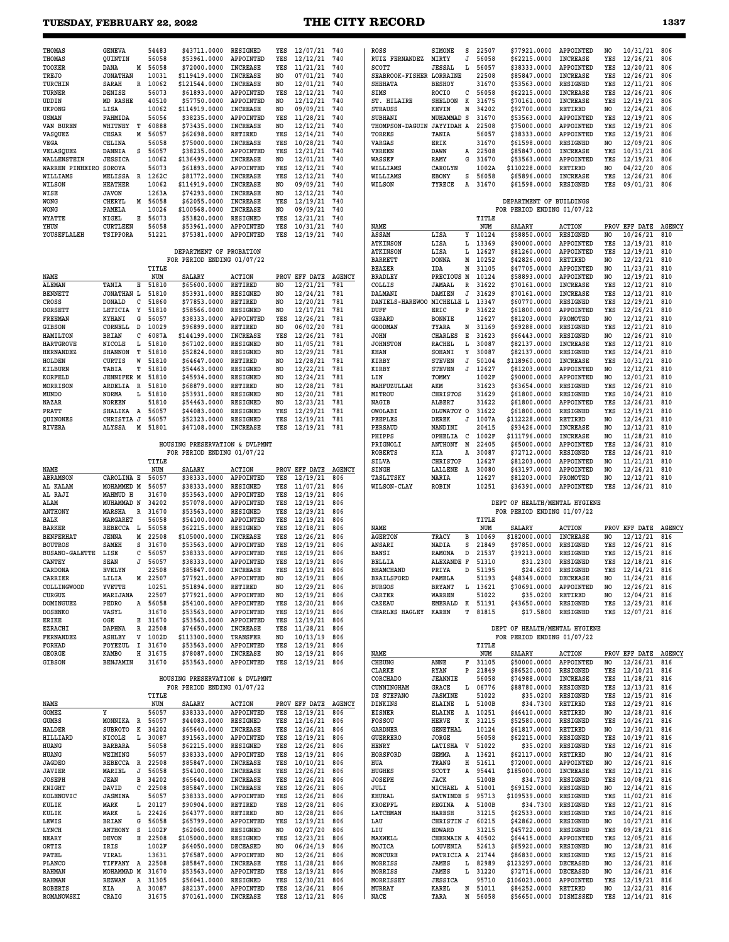|--|--|

| <b>THOMAS</b>                   | <b>GENEVA</b>                      | 54483            | \$43711.0000                                     | RESIGNED                        | YES            | 12/07/21                     | 740           | ROSS                          | SIMONE<br>s                        | 22507              | \$77921.0000                  | APPOINTED                          | NO             | 10/31/21                 | 806           |
|---------------------------------|------------------------------------|------------------|--------------------------------------------------|---------------------------------|----------------|------------------------------|---------------|-------------------------------|------------------------------------|--------------------|-------------------------------|------------------------------------|----------------|--------------------------|---------------|
| <b>THOMAS</b>                   | QUINTIN                            | 56058            | \$53961.0000                                     | APPOINTED                       | YES            | 12/12/21                     | 740           | RUIZ FERNANDEZ                | MIRTY<br>J                         | 56058              | \$62215.0000                  | INCREASE                           | YES            | 12/26/21                 | 806           |
| <b>TOOKER</b>                   | DANA<br>Μ                          | 56058            | \$72000.0000                                     | INCREASE                        | YES            | 11/21/21                     | 740           | SCOTT                         | <b>JESSAL</b><br>L                 | 56057              | \$38333.0000                  | APPOINTED                          | YES            | 12/20/21                 | 806           |
| <b>TREJO</b>                    | <b>JONATHAN</b>                    | 10031            | \$119419.0000                                    | <b>INCREASE</b>                 | NO.            | 07/01/21                     | 740           | SEABROOK-FISHER LORRAINE      |                                    | 22508              | \$85847.0000                  | <b>INCREASE</b>                    | YES            | 12/26/21                 | 806           |
| TURCHIN<br>TURNER               | SARAH<br>R<br>DENISE               | 10062<br>56073   | \$121544.0000<br>\$61893.0000                    | <b>INCREASE</b><br>APPOINTED    | NO.<br>YES     | 12/01/21<br>12/12/21         | 740<br>740    | <b>SHEHATA</b><br>SIMS        | <b>BESHOY</b><br><b>ROCIO</b><br>с | 31670<br>56058     | \$53563.0000<br>\$62215.0000  | RESIGNED<br><b>INCREASE</b>        | YES<br>YES     | 12/11/21<br>12/26/21     | 806<br>806    |
| UDDIN                           | MD RASHE                           | 40510            | \$57750.0000                                     | APPOINTED                       | NO             | 12/12/21                     | 740           | ST. HILAIRE                   | <b>SHELDON</b><br>к                | 31675              | \$70161.0000                  | <b>INCREASE</b>                    | YES            | 12/19/21                 | 806           |
| <b>UKPONG</b>                   | LISA                               | 10062            | \$114919.0000                                    | INCREASE                        | NO.            | 09/09/21                     | 740           | <b>STRAUSS</b>                | KEVIN<br>М                         | 34202              | \$92700.0000                  | RETIRED                            | N <sub>O</sub> | 12/24/21                 | 806           |
| USMAN                           | FAHMIDA                            | 56056            | \$38235.0000                                     | APPOINTED                       | YES            | 11/28/21                     | 740           | SUBHANI                       | MUHAMMAD S                         | 31670              | \$53563.0000                  | APPOINTED                          | YES            | 12/19/21                 | 806           |
| VAN BUREN                       | WHITNEY<br>т                       | 60888            | \$73435.0000                                     | <b>INCREASE</b>                 | NO             | 12/12/21                     | 740           | THOMPSON-DAGUIN JAYYIDAH A    |                                    | 22508              | \$75000.0000                  | APPOINTED                          | YES            | 12/19/21                 | 806           |
| VASQUEZ                         | М<br>CESAR                         | 56057            | \$62698.0000                                     | RETIRED                         | YES            | 12/14/21                     | 740           | TORRES                        | TANIA                              | 56057              | \$38333.0000                  | APPOINTED                          | YES            | 12/19/21                 | 806           |
| VEGA                            | CELINA                             | 56058            | \$75000.0000                                     | INCREASE                        | YES            | 10/28/21                     | 740           | VARGAS                        | ERIK                               | 31670<br>22508     | \$61598.0000                  | RESIGNED                           | NO.            | 12/09/21                 | 806           |
| VELASQUEZ<br>WALLENSTEIN        | DANNIA<br>s<br><b>JESSICA</b>      | 56057<br>10062   | \$38235.0000<br>\$136499.0000                    | APPOINTED<br><b>INCREASE</b>    | YES<br>NO.     | 12/21/21<br>12/01/21         | 740<br>740    | <b>VEREEN</b><br>WASSEF       | DAWN<br>А<br>RAMY<br>G             | 31670              | \$85847.0000<br>\$53563.0000  | <b>INCREASE</b><br>APPOINTED       | YES<br>YES     | 10/31/21<br>12/19/21     | 806<br>806    |
| WARREN PINHEIRO                 | SOROYA                             | 56073            | \$61893.0000                                     | APPOINTED                       | YES            | 12/12/21                     | 740           | WILLIAMS                      | CAROLYN                            | 1002A              | \$110228.0000                 | RETIRED                            | N <sub>O</sub> | 04/22/20                 | 806           |
| WILLIAMS                        | MELISSA<br>R                       | 1262C            | \$81772.0000                                     | <b>INCREASE</b>                 | YES            | 12/12/21                     | 740           | WILLIAMS                      | <b>EBONY</b><br>s                  | 56058              | \$65896.0000                  | <b>INCREASE</b>                    | YES            | 12/26/21                 | 806           |
| <b>WILSON</b>                   | <b>HEATHER</b>                     | 10062            | \$114919.0000                                    | INCREASE                        | NO.            | 09/09/21                     | 740           | WILSON                        | TYRECE<br>Α                        | 31670              | \$61598.0000                  | RESIGNED                           | YES            | 09/01/21                 | 806           |
| WISE                            | <b>JAVON</b>                       | 1263A            | \$74293.0000                                     | INCREASE                        | NO.            | 12/12/21                     | 740           |                               |                                    |                    |                               |                                    |                |                          |               |
| WONG                            | CHERYL<br>Μ                        | 56058            | \$62055.0000                                     | <b>INCREASE</b>                 | YES            | 12/19/21                     | 740           |                               |                                    |                    | DEPARTMENT OF BUILDINGS       |                                    |                |                          |               |
| WONG                            | PAMELA                             | 10026            | \$100568.0000                                    | INCREASE                        | NO             | 09/09/21                     | 740           |                               |                                    |                    | FOR PERIOD ENDING 01/07/22    |                                    |                |                          |               |
| <b>WYATTE</b><br>YHUN           | NIGEL<br>Е<br><b>CURTLEEN</b>      | 56073<br>56058   | \$53820.0000<br>\$53961.0000                     | RESIGNED<br>APPOINTED           | YES<br>YES     | 12/21/21<br>10/31/21         | 740<br>740    | NAME                          |                                    | TITLE<br>NUM       | <b>SALARY</b>                 | <b>ACTION</b>                      |                | PROV EFF DATE            | <b>AGENCY</b> |
| YOUSEFLALEH                     | TSIPPORA                           | 51221            | \$75381.0000                                     | APPOINTED                       | YES            | 12/19/21                     | 740           | ASSAM                         | LISA<br>Υ                          | 10124              | \$58850.0000                  | RESIGNED                           | NO.            | 10/26/21                 | 810           |
|                                 |                                    |                  |                                                  |                                 |                |                              |               | <b>ATKINSON</b>               | LISA<br>L                          | 13369              | \$90000.0000                  | APPOINTED                          | YES            | 12/19/21                 | 810           |
|                                 |                                    |                  | DEPARTMENT OF PROBATION                          |                                 |                |                              |               | <b>ATKINSON</b>               | LISA<br>L                          | 12627              | \$81260.0000                  | APPOINTED                          | YES            | 12/19/21                 | 810           |
|                                 |                                    |                  | FOR PERIOD ENDING 01/07/22                       |                                 |                |                              |               | <b>BARRETT</b>                | <b>DONNA</b><br>М                  | 10252              | \$42826.0000                  | RETIRED                            | NO             | 12/22/21                 | 810           |
|                                 |                                    | TITLE            |                                                  |                                 |                |                              |               | <b>BEAZER</b>                 | М<br>IDA                           | 31105              | \$47705.0000                  | APPOINTED                          | NO             | 11/23/21                 | 810           |
| NAME                            |                                    | NUM<br>51810     | <b>SALARY</b>                                    | <b>ACTION</b><br><b>RETIRED</b> |                | PROV EFF DATE                | <b>AGENCY</b> | <b>BRADLEY</b>                | PRECIOUS M                         | 10124              | \$58893.0000<br>\$70161.0000  | APPOINTED                          | N <sub>O</sub> | 12/19/21<br>12/12/21     | 810           |
| <b>ALEMAN</b><br><b>BENNETT</b> | TANIA<br>Е<br><b>JONATHAN</b><br>L | 51810            | \$65600.0000<br>\$53931.0000                     | RESIGNED                        | NO<br>NO       | 12/21/21<br>12/24/21         | 781<br>781    | COLLIS<br>DALMANI             | <b>JAMAAL</b><br>R<br>DAMIEN<br>J  | 31622<br>31629     | \$70161.0000                  | <b>INCREASE</b><br><b>INCREASE</b> | YES<br>YES     | 12/12/21                 | 810<br>810    |
| CROSS                           | <b>DONALD</b><br>c                 | 51860            | \$77853.0000                                     | RETIRED                         | NO.            | 12/20/21                     | 781           | DANIELS-HAREWOO MICHELLE L    |                                    | 13347              | \$60770.0000                  | RESIGNED                           | YES            | 12/29/21                 | 810           |
| <b>DORSETT</b>                  | LETICIA<br>Y                       | 51810            | \$58566.0000                                     | RESIGNED                        | NO             | 12/17/21                     | 781           | DUFF                          | ERIC<br>P                          | 31622              | \$61800.0000                  | APPOINTED                          | YES            | 12/26/21                 | 810           |
| FREEMAN                         | <b>KYHANI</b><br>G                 | 56057            | \$38333.0000                                     | APPOINTED                       | YES            | 12/26/21                     | 781           | <b>GERARD</b>                 | <b>BONNIE</b>                      | 12627              | \$81203.0000                  | PROMOTED                           | NO             | 12/12/21                 | 810           |
| <b>GIBSON</b>                   | D<br>CORNELL                       | 10029            | \$96899.0000                                     | RETIRED                         | NO.            | 06/02/20                     | 781           | <b>GOODMAN</b>                | TYARA                              | N 31169            | \$69288.0000                  | RESIGNED                           | YES            | 12/21/21                 | 810           |
| HAMILTON                        | BRIAN<br>с                         | 6087A            | \$144199.0000                                    | <b>INCREASE</b>                 | YES            | 12/26/21<br>11/05/21         | 781           | <b>JOHN</b>                   | <b>CHARLES</b><br>Е                | 31623              | \$66443.0000                  | RESIGNED                           | N <sub>O</sub> | 12/26/21                 | 810           |
| HARTGROVE<br><b>HERNANDEZ</b>   | NICOLE<br>L<br><b>SHANNON</b><br>т | 51810<br>51810   | \$67102.0000<br>\$52824.0000                     | RESIGNED<br>RESIGNED            | NO<br>NO.      | 12/29/21                     | 781<br>781    | <b>JOHNSTON</b><br>KHAN       | <b>RACHEL</b><br>L<br>Υ<br>SOHANI  | 30087<br>30087     | \$82137.0000<br>\$82137.0000  | <b>INCREASE</b><br>RESIGNED        | YES<br>YES     | 12/12/21<br>12/24/21     | 810<br>810    |
| HOLDEN                          | CURTIS<br>W                        | 51810            | \$64647.0000                                     | RETIRED                         | N <sub>O</sub> | 12/28/21                     | 781           | KIRBY                         | <b>STEVEN</b><br>J                 | 50104              | \$118960.0000                 | <b>INCREASE</b>                    | YES            | 10/31/21                 | 810           |
| KILBURN                         | TABIA<br>т                         | 51810            | \$54463.0000                                     | RESIGNED                        | NO             | 12/22/21                     | 781           | KIRBY                         | <b>STEVEN</b><br>J                 | 12627              | \$81203.0000                  | APPOINTED                          | NO             | 12/12/21                 | 810           |
| KORFELD                         | <b>JENNIFER M</b>                  | 51810            | \$45934.0000                                     | RESIGNED                        | NO.            | 12/24/21                     | 781           | LIN                           | TOMMY                              | 1002F              | \$90000.0000                  | APPOINTED                          | NO             | 12/01/21                 | 810           |
| MORRISON                        | ARDELIA<br>R                       | 51810            | \$68879.0000                                     | RETIRED                         | N <sub>O</sub> | 12/28/21                     | 781           | MAHFUZULLAH                   | AKM                                | 31623              | \$63654.0000                  | RESIGNED                           | YES            | 12/26/21                 | 810           |
| MUNDO                           | NORMA<br>L                         | 51810            | \$53931.0000                                     | RESIGNED                        | NO             | 12/20/21                     | 781           | MITROU                        | <b>CHRISTOS</b>                    | 31629              | \$61800.0000                  | RESIGNED                           | YES            | 10/24/21                 | 810           |
| NAZAR                           | <b>NOREEN</b>                      | 51810            | \$54463.0000                                     | RESIGNED                        | NO.            | 12/23/21                     | 781           | NAGIB                         | <b>ALBERT</b>                      | 31622              | \$61800.0000                  | APPOINTED                          | YES            | 12/26/21                 | 810           |
| PRATT<br>QUINONES               | SHALIKA<br>A<br>CHRISTIA J         | 56057<br>56057   | \$44083.0000<br>\$52323.0000                     | RESIGNED<br>RESIGNED            | YES<br>YES     | 12/29/21<br>12/19/21         | 781<br>781    | OWOLABI<br>PEEPLES            | OLUWATOY O<br>DEREK<br>J           | 31622<br>1007A     | \$61800.0000<br>\$112228.0000 | RESIGNED<br>RETIRED                | YES<br>NO      | 12/19/21<br>12/24/21     | 810<br>810    |
| <b>RIVERA</b>                   | ALYSSA<br>M                        | 51801            | \$47108.0000                                     | <b>INCREASE</b>                 | YES            | 12/19/21 781                 |               | PERSAUD                       | NANDINI                            | 20415              | \$93426.0000                  | <b>INCREASE</b>                    | NO.            | 12/12/21                 | 810           |
|                                 |                                    |                  |                                                  |                                 |                |                              |               | PHIPPS                        | OPHELIA<br>с                       | 1002F              | \$111796.0000                 | <b>INCREASE</b>                    | NO             | 11/28/21                 | 810           |
|                                 |                                    |                  | HOUSING PRESERVATION & DVLPMNT                   |                                 |                |                              |               | PRIGNOLI                      | <b>ANTHONY</b><br>M                | 22405              | \$65000.0000                  | APPOINTED                          | YES            | 12/26/21                 | 810           |
|                                 |                                    |                  | FOR PERIOD ENDING 01/07/22                       |                                 |                |                              |               | ROBERTS                       | KIA<br>Α                           | 30087              | \$72712.0000                  | RESIGNED                           | YES            | 12/26/21                 | 810           |
|                                 |                                    | TITLE            |                                                  |                                 |                |                              |               |                               |                                    |                    |                               |                                    |                |                          |               |
|                                 |                                    |                  |                                                  |                                 |                |                              |               | SILVA                         | CHRISTOP                           | 12627              | \$81203.0000                  | APPOINTED                          | NO             | 11/21/21                 | 810           |
| NAME                            |                                    | NUM              | <b>SALARY</b>                                    | <b>ACTION</b>                   |                | PROV EFF DATE                | <b>AGENCY</b> | <b>SINGH</b>                  | LALLENE A                          | 30080              | \$43197.0000                  | APPOINTED                          | N <sub>O</sub> | 12/26/21                 | 810           |
| ABRAMSON                        | CAROLINA E                         | 56057            | \$38333.0000                                     | APPOINTED                       | YES            | 12/19/21                     | 806           | TASLITSKY                     | MARIA                              | 12627              | \$81203.0000                  | PROMOTED                           | NO             | 12/12/21                 | 810           |
| AL KALAM<br>AL RAJI             | MOHAMMED M<br>MAHMUD H             | 56057<br>31670   | \$38333.0000<br>\$53563.0000                     | RESIGNED<br>APPOINTED           | YES<br>YES     | 11/07/21                     | 806<br>806    | <b>WILSON-CLAY</b>            | <b>ROBIN</b>                       | 10251              | \$36390.0000                  | APPOINTED                          | YES            | 12/26/21                 | 810           |
| ALAM                            | MUHAMMAD N                         | 34202            | \$57078.0000                                     | APPOINTED                       | YES            | 12/19/21<br>12/19/21         | 806           |                               |                                    |                    | DEPT OF HEALTH/MENTAL HYGIENE |                                    |                |                          |               |
| <b>ANTHONY</b>                  | MARSHA<br>R                        | 31670            | \$53563.0000                                     | RESIGNED                        | YES            | 12/29/21                     | 806           |                               |                                    |                    | FOR PERIOD ENDING 01/07/22    |                                    |                |                          |               |
| BALK                            | MARGARET                           | 56058            | \$54100.0000                                     | APPOINTED                       | YES            | 12/19/21                     | 806           |                               |                                    | TITLE              |                               |                                    |                |                          |               |
| <b>BARKER</b>                   | REBECCA<br>L.                      | 56058            | \$62215.0000                                     | RESIGNED                        | YES            | 12/18/21                     | 806           | NAME                          |                                    | NUM                | <b>SALARY</b>                 | <b>ACTION</b>                      |                | PROV EFF DATE            | <b>AGENCY</b> |
| <b>BENFERHAT</b>                | <b>JENNA</b><br>Μ                  | 22508            | \$105000.0000                                    | <b>INCREASE</b>                 | YES            | 12/26/21                     | 806           | <b>AGERTON</b>                | TRACY<br>в                         | 10069              | \$182000.0000                 | <b>INCREASE</b>                    | NO             | 12/12/21                 | 816           |
| <b>BOUTROS</b>                  | <b>SAMEH</b><br>s                  | 31670            | \$53563.0000                                     | APPOINTED                       | YES            | 12/19/21                     | 806           | ANSARI                        | NADIA<br>s                         | 21849              | \$97850.0000                  | RESIGNED                           | YES            | 12/26/21                 | 816           |
| <b>BUSANO-GALETTE</b><br>CANTEY | LISE<br>с<br><b>SEAN</b><br>J      | 56057<br>56057   | \$38333.0000<br>\$38333.0000                     | APPOINTED<br>APPOINTED          | YES<br>YES     | 12/19/21<br>12/19/21         | 806<br>806    | <b>BANSI</b><br><b>BELLIA</b> | <b>RAMONA</b><br>D<br>ALEXANDE F   | 21537<br>51310     | \$39213.0000<br>\$31,2300     | RESIGNED<br>RESIGNED               | YES<br>YES     | 12/15/21<br>12/18/21     | 816<br>816    |
| CARDONA                         | <b>EVELYN</b>                      | 22508            | \$85847.0000 INCREASE                            |                                 | YES            | 12/19/21                     | 806           | <b>BHAMCHAND</b>              | PRIYA<br>D                         | 51195              | \$24.6200                     | RESIGNED                           | YES            | 12/14/21                 | 816           |
| CARRIER                         | LILIA<br>M                         | 22507            | \$77921.0000 APPOINTED                           |                                 | NO.            | 12/19/21                     | 806           | <b>BRAILSFORD</b>             | <b>DAMRT.A</b>                     | 51193              | \$48349.0000                  | DECREASE                           | NO             | 11/24/21                 | 816           |
| <b>COLLINGWOOD</b>              | YVETTE                             | 10251            | \$51894.0000 RETIRED                             |                                 | NO.            | $12/29/21$ 806               |               | <b>BURGOS</b>                 | BRYANT                             | L 13621            | \$70691.0000 APPOINTED        |                                    | NO             | $12/26/21$ 816           |               |
| CURGUZ                          | MARIJANA                           | 22507            | \$77921.0000 APPOINTED                           |                                 | NO.            | 12/19/21 806                 |               | CARTER                        | WARREN                             | 51022              | \$35.0200                     | RETIRED                            | NO.            | 12/04/21 816             |               |
| DOMINGUEZ                       | PEDRO                              | A 56058          | \$54100.0000                                     | APPOINTED                       | YES            | 12/20/21                     | 806           | CAZEAU                        | к<br><b>EMERALD</b>                | 51191              | \$43650.0000                  | RESIGNED                           | YES            | 12/29/21                 | 816           |
| <b>DOSENKO</b><br>ERIKE         | VASYL<br>OGE                       | 31670<br>E 31670 | \$53563.0000 APPOINTED<br>\$53563.0000 APPOINTED |                                 | YES<br>YES     | 12/19/21<br>12/19/21 806     | 806           | CHARLES HAGLEY                | KAREN<br>т                         | 81815              | \$17.5800                     | RESIGNED                           | YES            | 12/07/21 816             |               |
| EZRACHI                         | DAPHNA<br>R                        | 22508            | \$74650.0000                                     | INCREASE                        | YES            | 11/28/21                     | 806           |                               |                                    |                    | DEPT OF HEALTH/MENTAL HYGIENE |                                    |                |                          |               |
| <b>FERNANDEZ</b>                | $\rm{V}$<br>ASHLEY                 | 1002D            | \$113300.0000                                    | TRANSFER                        | NO.            | 10/13/19                     | 806           |                               |                                    |                    | FOR PERIOD ENDING 01/07/22    |                                    |                |                          |               |
| FORHAD                          | FOYEZUL                            | I 31670          | \$53563.0000 APPOINTED                           |                                 | YES            | 12/19/21 806                 |               |                               |                                    | TITLE              |                               |                                    |                |                          |               |
| GEORGE                          | KAMBO<br>н                         | 31675            | \$78087.0000 INCREASE                            |                                 | NO             | 12/19/21 806                 |               | NAME                          |                                    | NUM                | SALARY                        | <b>ACTION</b>                      |                | PROV EFF DATE AGENCY     |               |
| <b>GIBSON</b>                   | BENJAMIN                           | 31670            | \$53563.0000 APPOINTED                           |                                 |                | YES 12/19/21 806             |               | CHEUNG<br>CLARKE              | F<br>ANNE<br><b>RYAN</b><br>P      | 31105<br>21849     | \$50000.0000<br>\$86520.0000  | APPOINTED<br>RESIGNED              | NO<br>YES      | 12/26/21<br>12/10/21     | 816<br>816    |
|                                 |                                    |                  | HOUSING PRESERVATION & DVLPMNT                   |                                 |                |                              |               | CORCHADO                      | <b>JEANNIE</b>                     | 56058              | \$74988.0000                  | INCREASE                           | YES            | 11/28/21                 | 816           |
|                                 |                                    |                  | FOR PERIOD ENDING 01/07/22                       |                                 |                |                              |               | CUNNINGHAM                    | GRACE<br>L                         | 06776              | \$88780.0000                  | RESIGNED                           | YES            | 12/13/21                 | 816           |
|                                 |                                    | TITLE            |                                                  |                                 |                |                              |               | DE STEFANO                    | <b>JASMINE</b>                     | 51022              | \$35.0200                     | RESIGNED                           | YES            | 12/15/21                 | 816           |
| NAME                            |                                    | NUM              | <b>SALARY</b>                                    | <b>ACTION</b>                   |                | PROV EFF DATE AGENCY         |               | DINKINS                       | ELAINE<br>L                        | 5100B              | \$34.7300                     | RETIRED                            | YES            | 12/29/21                 | 816           |
| GOMEZ                           | Υ                                  | 56057            | \$38333.0000 APPOINTED                           |                                 | YES            | 12/19/21 806                 |               | EISNER                        | Α<br><b>ELAINE</b>                 | 10251              | \$46410.0000                  | RETIRED                            | NO.            | 12/28/21                 | 816           |
| GUMBS<br><b>HALDER</b>          | MONNIKA R                          | 56057            | \$44083.0000                                     | RESIGNED<br><b>INCREASE</b>     | YES<br>YES     | 12/16/21 806<br>12/26/21     |               | FOSSOU                        | HERVE<br>к                         | 31215              | \$52580.0000                  | RESIGNED                           | YES<br>NO      | 10/26/21                 | 816<br>816    |
| HILLIARD                        | SUBROTO<br>К<br>L<br>NICOLE        | 34202<br>30087   | \$65640.0000<br>\$91563.0000 APPOINTED           |                                 | YES            | 12/19/21 806                 | 806           | GARDNER<br><b>GUERRERO</b>    | GENETHAL<br>JORGE                  | 10124<br>56058     | \$61817.0000<br>\$62215.0000  | RETIRED<br>RESIGNED                | YES            | 12/30/21<br>10/19/21     | 816           |
| HUANG                           | <b>BARBARA</b>                     | 56058            | \$62215.0000 RESIGNED                            |                                 | YES            | 12/26/21 806                 |               | HENRY                         | LATISHA V 51022                    |                    | \$35.0200                     | RESIGNED                           | YES            | 12/16/21                 | 816           |
| HUANG                           | WEIMING                            | 56057            | \$38333.0000                                     | APPOINTED                       | YES            | 12/19/21                     | 806           | HORSFORD                      | GEMMA<br>Α                         | 13621              | \$62117.0000                  | RETIRED                            | NO.            | 12/24/21                 | 816           |
| <b>JAGDEO</b>                   | REBECCA R 22508                    |                  | \$85847.0000 INCREASE                            |                                 | YES            | 10/10/21                     | 806           | HUA                           | TRANG<br>н                         | 51611              | \$72000.0000                  | APPOINTED                          | NO             | 12/26/21                 | 816           |
| JAVIER                          | MARIEL<br>J                        | 56058            | \$54100.0000 INCREASE                            |                                 | YES            | 12/26/21 806                 |               | HUGHES                        | SCOTT                              | A 95441            | \$185000.0000                 | INCREASE                           | YES            | 12/12/21                 | 816           |
| JOSEPH                          | <b>JEAN</b><br>в<br>с              | 34202            | \$65640.0000                                     | INCREASE                        | YES<br>YES     | 12/26/21                     | 806           | JOSEPH                        | JACK                               | 5100B<br>51001     | \$34.7300                     | RESIGNED                           | YES<br>NO.     | 10/08/21                 | 816<br>816    |
| KNIGHT<br>KOLENOVIC             | DAVID<br>JASMINA                   | 22508<br>56057   | \$85847.0000 INCREASE<br>\$38333.0000 APPOINTED  |                                 | YES            | $12/26/21$ 806<br>12/26/21   | 806           | JULI<br>KHURAL                | MICHAEL A<br>SATWINDE S            | 95713              | \$69152.0000<br>\$109539.0000 | RESIGNED<br>RESIGNED               | YES            | 12/14/21<br>11/02/21     | 816           |
| KULIK                           | MARK                               | L 20127          | \$90904.0000 RETIRED                             |                                 | YES            | 12/28/21                     | 806           | KROEPFL                       | <b>REGINA</b>                      | A 5100B            | \$34.7300                     | RESIGNED                           | YES            | 12/21/21                 | 816           |
| KULIK                           | L<br>MARK                          | 22426            | \$64377.0000                                     | RETIRED                         | NO             | 12/28/21 806                 |               | LATCHMAN                      | <b>HARESH</b>                      | 31215              | \$62533.0000                  | RESIGNED                           | YES            | 10/24/21                 | 816           |
| LEWIS                           | BRIAN<br>G                         | 56058            | \$65799.0000                                     | APPOINTED                       | YES            | 12/19/21                     | 806           | LAU                           | CHRISTIN J                         | 60215              | \$42862.0000                  | RESIGNED                           | NO             | 10/27/21                 | 816           |
| LYNCH                           | ANTHONY<br>s.                      | 1002F            | \$62060.0000 RESIGNED                            |                                 | NO.            | 02/27/20                     | 806           | LIU                           | EDWARD                             | 31215              | \$45722.0000                  | RESIGNED                           | YES            | 09/28/21                 | 816           |
| NEARY                           | <b>DEVON</b><br>Е                  | 22508            | \$105000.0000                                    | RESIGNED                        | YES            | 12/23/21                     | 806           | MAXWELL                       | CHERMAIN A 40502                   |                    | \$64415.0000                  | APPOINTED                          | YES            | 12/05/21                 | 816           |
| ORTIZ                           | IRIS                               | 1002F            | \$64050.0000                                     | DECEASED                        | NO<br>NO       | 06/24/19                     | 806           | MOJICA                        | LOUVENIA                           | 52613              | \$65920.0000                  | RESIGNED                           | NO<br>YES      | 12/28/21                 | 816<br>816    |
| PATEL<br>PLANCO                 | VIRAL<br>TIFFANY A                 | 13631<br>22508   | \$76587.0000 APPOINTED<br>\$85847.0000           | INCREASE                        | YES            | 12/26/21 806<br>11/28/21 806 |               | MONCURE<br>MORRISS            | PATRICIA A 21744<br>JAMES<br>L     | 82989              | \$86830.0000<br>\$123297.0000 | RESIGNED<br><b>DECEASED</b>        | NO             | 12/15/21<br>12/26/21     | 816           |
| <b>RAHMAN</b>                   | MOHAMMAD M                         | 31670            | \$53563.0000                                     | APPOINTED                       | YES            | 12/19/21                     | 806           | MORRISS                       | JAMES<br>L                         | 31220              | \$72716.0000                  | DECEASED                           | NO             | 12/26/21                 | 816           |
| RAHMAN                          | REZWAN A                           | 31305            | \$56041.0000                                     | RESIGNED                        | YES            | 12/30/21 806                 |               | MORRISSEY                     | <b>JESSICA</b>                     | 95710              | \$106023.0000                 | APPOINTED                          | YES            | 12/19/21                 | 816           |
| <b>ROBERTS</b><br>ROMANOWSKI    | KIA<br>CRAIG                       | A 30087<br>31675 | \$82137.0000 APPOINTED<br>\$70161.0000 INCREASE  |                                 | YES<br>YES     | 12/26/21 806<br>12/12/21 806 |               | MURRAY<br>NACE                | KAREL<br>TARA                      | N 51011<br>M 56058 | \$84252.0000<br>\$56650.0000  | RETIRED<br>DISMISSED               | NO.<br>YES     | 12/22/21<br>12/14/21 816 | 816           |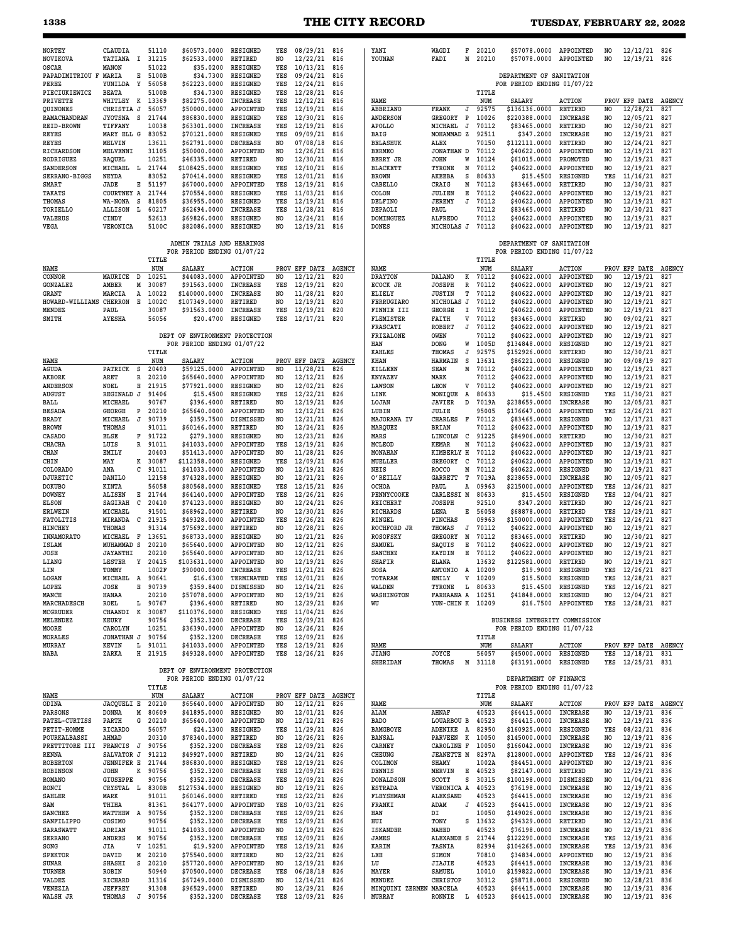# **1338 THE CITY RECORD TUESDAY, FEBRUARY 22, 2022**

| <b>NORTEY</b>                            | CLAUDIA                            | 51110            | \$60573.0000                                                 | <b>RESIGNED</b>                    | YES                   | 08/29/21                         | 816                  | YANI                              | WAGDI                            | F      | 20210          | \$57078.0000 APPOINTED                                      |                                    | N <sub>O</sub>        | 12/12/21 826              |                      |
|------------------------------------------|------------------------------------|------------------|--------------------------------------------------------------|------------------------------------|-----------------------|----------------------------------|----------------------|-----------------------------------|----------------------------------|--------|----------------|-------------------------------------------------------------|------------------------------------|-----------------------|---------------------------|----------------------|
| NOVIKOVA<br>OSCAR                        | TATIANA<br>Ι.<br>MANON             | 31215<br>51022   | \$62533.0000<br>\$35.0200                                    | RETIRED<br>RESIGNED                | NO<br>YES             | 12/22/21<br>10/13/21             | 816<br>816           | YOUNAN                            | FADI                             | М      | 20210          | \$57078.0000                                                | APPOINTED                          | NO.                   | 12/19/21                  | 826                  |
| PAPADIMITRIOU F MARIA<br>PEREZ           | Е<br>YUNILDA<br>Y                  | 5100B<br>56058   | \$34.7300<br>\$62223.0000                                    | RESIGNED<br>RESIGNED               | YES<br>YES            | 09/24/21<br>12/24/21             | 816<br>816           |                                   |                                  |        |                | DEPARTMENT OF SANITATION<br>FOR PERIOD ENDING 01/07/22      |                                    |                       |                           |                      |
| PIECIUKIEWICZ<br>PRIVETTE                | <b>BEATA</b><br>WHITLEY K          | 5100B<br>13369   | \$34.7300<br>\$82275.0000                                    | RESIGNED<br><b>INCREASE</b>        | YES<br>YES            | 12/28/21<br>12/12/21             | 816<br>816           | NAME                              |                                  |        | TITLE<br>NUM   | <b>SALARY</b>                                               | <b>ACTION</b>                      |                       | PROV EFF DATE             | <b>AGENCY</b>        |
| QUINONES<br>RAMACHANDRAN                 | CHRISTIA J<br><b>JYOTSNA</b><br>s  | 56057<br>21744   | \$50000.0000<br>\$86830.0000                                 | APPOINTED<br>RESIGNED              | YES<br>YES            | 12/19/21<br>12/30/21             | 816<br>816           | ABBRIANO<br>ANDERSON              | <b>FRANK</b><br>GREGORY          | J<br>P | 92575<br>10026 | \$136136.0000<br>\$220388.0000                              | RETIRED<br><b>INCREASE</b>         | NO<br>NO              | 12/28/21<br>12/05/21      | 827<br>827           |
| <b>REID-BROWN</b><br><b>REYES</b>        | TIFFANY<br>MARY ELL G              | 10038<br>83052   | \$63301.0000<br>\$70121.0000                                 | <b>INCREASE</b><br><b>RESIGNED</b> | YES<br>YES            | 12/19/21<br>09/09/21             | 816<br>816           | <b>APOLLO</b><br><b>BAIG</b>      | MICHAEL<br>MOHAMMAD Z            | J      | 70112<br>92511 | \$83465.0000<br>\$347.2000                                  | RETIRED<br><b>INCREASE</b>         | NO<br>N <sub>O</sub>  | 12/30/21<br>12/19/21      | 827<br>827           |
| REYES                                    | MELVIN                             | 13611            | \$62791.0000                                                 | <b>DECREASE</b>                    | NO                    | 07/08/18                         | 816                  | <b>BELASHUK</b>                   | ALEX                             |        | 70150<br>70112 | \$112111.0000                                               | RETIRED                            | NO                    | 12/24/21                  | 827                  |
| RICHARDSON<br>RODRIGUEZ                  | MELVENNI<br>RAQUEL                 | 31105<br>10251   | \$50000.0000<br>\$46335.0000                                 | APPOINTED<br><b>RETIRED</b>        | NO.<br>NO.            | 12/26/21<br>12/30/21             | 816<br>816           | <b>BERMEO</b><br><b>BERRY JR</b>  | JONATHAN D<br><b>JOHN</b>        | W      | 10124          | \$40622.0000<br>\$61015.0000                                | APPOINTED<br>PROMOTED              | NO.<br>N <sub>O</sub> | 12/19/21<br>12/19/21      | 827<br>827           |
| <b>SANDERSON</b><br><b>SERRANO-BIGGS</b> | MICHAEL<br>L<br>NEYDA              | 21744<br>83052   | \$108425.0000<br>\$70414.0000                                | RESIGNED<br>RESIGNED               | YES<br>YES            | 12/10/21<br>12/01/21             | 816<br>816           | <b>BLACKETT</b><br><b>BROWN</b>   | TYRONE<br>AKEEBA                 | N<br>s | 70112<br>80633 | \$40622.0000<br>\$15,4500                                   | APPOINTED<br>RESIGNED              | NO<br>YES             | 12/19/21<br>11/16/21      | 827<br>827           |
| SMART                                    | JADE<br>Е                          | 51197            | \$67000.0000                                                 | APPOINTED<br>RESIGNED              | YES                   | 12/19/21                         | 816                  | CABELLO                           | CRAIG                            | М      | 70112          | \$83465.0000                                                | RETIRED                            | N <sub>O</sub>        | 12/30/21                  | 827                  |
| <b>TAKATS</b><br>THOMAS                  | COURTNEY A<br>WA-NONA S            | 21744<br>81805   | \$70554.0000<br>\$36955.0000                                 | RESIGNED                           | YES<br>YES            | 11/03/21<br>12/19/21             | 816<br>816           | COLON<br>DELFINO                  | JULIEN<br><b>JEREMY</b>          | Е<br>J | 70112<br>70112 | \$40622.0000<br>\$40622.0000                                | APPOINTED<br>APPOINTED             | NO<br>NO.             | 12/19/21<br>12/19/21      | 827<br>827           |
| TORIELLO<br>VALERUS                      | ALLISON<br>L<br>CINDY              | 60217<br>52613   | \$62694.0000<br>\$69826.0000                                 | <b>INCREASE</b><br><b>RESIGNED</b> | YES<br>N <sub>O</sub> | 11/28/21<br>12/24/21             | 816<br>816           | DEPAOLI<br><b>DOMINGUEZ</b>       | PAUL<br><b>ALFREDO</b>           |        | 70112<br>70112 | \$83465.0000<br>\$40622.0000                                | RETIRED<br>APPOINTED               | NO<br>N <sub>O</sub>  | 12/30/21<br>12/19/21      | 827<br>827           |
| VEGA                                     | VERONICA                           | 5100C            | \$82086.0000                                                 | RESIGNED                           | NO                    | 12/19/21                         | 816                  | DONES                             | NICHOLAS J                       |        | 70112          | \$40622.0000                                                | APPOINTED                          | NO                    | 12/19/21                  | 827                  |
|                                          |                                    |                  | ADMIN TRIALS AND HEARINGS                                    |                                    |                       |                                  |                      |                                   |                                  |        |                | DEPARTMENT OF SANITATION                                    |                                    |                       |                           |                      |
|                                          |                                    | TITLE            | FOR PERIOD ENDING 01/07/22                                   |                                    |                       |                                  |                      |                                   |                                  |        | TITLE          | FOR PERIOD ENDING 01/07/22                                  |                                    |                       |                           |                      |
| <b>NAME</b><br>CONNOR                    | MAURICE<br>D                       | NUM<br>10251     | <b>SALARY</b><br>\$44083.0000                                | <b>ACTION</b><br>APPOINTED         | N0                    | PROV EFF DATE<br>12/12/21        | <b>AGENCY</b><br>820 | <b>NAME</b><br><b>DRAYTON</b>     | DALANO                           | к      | NUM<br>70112   | <b>SALARY</b><br>\$40622.0000                               | <b>ACTION</b><br>APPOINTED         | N <sub>O</sub>        | PROV EFF DATE<br>12/19/21 | <b>AGENCY</b><br>827 |
| GONZALEZ                                 | AMBER<br>М                         | 30087            | \$91563.0000                                                 | <b>INCREASE</b>                    | YES                   | 12/19/21                         | 820                  | ECOCK JR                          | <b>JOSEPH</b>                    | R      | 70112          | \$40622.0000                                                | APPOINTED                          | NO                    | 12/19/21                  | 827                  |
| GRANT<br>HOWARD-WILLIAMS                 | MARCIA<br>Α<br><b>CHERRON</b><br>Е | 10022<br>1002C   | \$140000.0000<br>\$107349.0000                               | <b>INCREASE</b><br>RETIRED         | NO<br>NO.             | 11/28/21<br>12/19/21             | 820<br>820           | <b>ELIELY</b><br>FERRUGIARO       | <b>JUSTIN</b><br><b>NICHOLAS</b> | т<br>J | 70112<br>70112 | \$40622.0000<br>\$40622.0000                                | APPOINTED<br>APPOINTED             | NO.<br>NO.            | 12/19/21<br>12/19/21      | 827<br>827           |
| MENDEZ<br>SMITH                          | PAUL<br><b>AYESHA</b>              | 30087<br>56056   | \$91563.0000<br>\$20.4700                                    | <b>INCREASE</b><br>RESIGNED        | YES<br>YES            | 12/19/21<br>12/17/21             | 820<br>820           | FINNIE III<br><b>FLEMISTER</b>    | <b>GEORGE</b><br>FAITH           | I<br>V | 70112<br>70112 | \$40622.0000<br>\$83465.0000                                | APPOINTED<br>RETIRED               | NO<br>NO              | 12/19/21<br>09/02/21      | 827<br>827           |
|                                          |                                    |                  |                                                              |                                    |                       |                                  |                      | FRASCATI                          | <b>ROBERT</b>                    | J      | 70112          | \$40622.0000                                                | APPOINTED                          | N <sub>O</sub>        | 12/19/21                  | 827                  |
|                                          |                                    |                  | DEPT OF ENVIRONMENT PROTECTION<br>FOR PERIOD ENDING 01/07/22 |                                    |                       |                                  |                      | FRIZALONE<br>HAN                  | OWEN<br><b>DONG</b>              | W      | 70112<br>1005D | \$40622.0000<br>\$134848.0000                               | APPOINTED<br>RESIGNED              | NO<br>NO              | 12/19/21<br>12/19/21      | 827<br>827           |
|                                          |                                    | TITLE            |                                                              |                                    |                       |                                  |                      | <b>KAHLES</b>                     | THOMAS                           | J      | 92575          | \$152926.0000                                               | RETIRED                            | N <sub>O</sub>        | 12/30/21                  | 827                  |
| NAME<br>AGUDA                            | PATRICK<br>s                       | NUM<br>20403     | <b>SALARY</b><br>\$59125.0000                                | <b>ACTION</b><br>APPOINTED         | NO                    | PROV EFF DATE<br>11/28/21        | <b>AGENCY</b><br>826 | KHAN<br>KILLEEN                   | <b>HARMAIN</b><br><b>SEAN</b>    | s<br>М | 13631<br>70112 | \$86221.0000<br>\$40622.0000                                | RESIGNED<br>APPOINTED              | NO.<br>NO             | 09/08/19<br>12/19/21      | 827<br>827           |
| AKBORK<br><b>ANDERSON</b>                | ARET<br>R<br>NOEL<br>Е             | 20210<br>21915   | \$65640.0000<br>\$77921.0000                                 | APPOINTED<br>RESIGNED              | N <sub>O</sub><br>NO. | 12/12/21<br>12/02/21             | 826<br>826           | <b>KNYAZEV</b><br>LAWSON          | MARK<br>LEON                     | V      | 70112<br>70112 | \$40622.0000<br>\$40622.0000                                | APPOINTED<br>APPOINTED             | N <sub>O</sub><br>NO  | 12/19/21<br>12/19/21      | 827<br>827           |
| <b>AUGUST</b>                            | REGINALD J                         | 91406            | \$15.4500                                                    | RESIGNED                           | YES                   | 12/22/21                         | 826                  | LINK                              | MONIQUE                          | A      | 80633          | \$15,4500                                                   | RESIGNED                           | YES                   | 11/30/21                  | 827                  |
| BALL<br><b>BESADA</b>                    | MICHAEL<br>GEORGE<br>P             | 90767<br>20210   | \$396.4000<br>\$65640.0000                                   | RETIRED<br>APPOINTED               | NO.<br>N <sub>O</sub> | 12/19/21<br>12/12/21             | 826<br>826           | LOJAN<br>LUBIN                    | JAVIER<br>JULIE                  | D      | 7019A<br>95005 | \$238659.0000<br>\$176647.0000                              | <b>INCREASE</b><br>APPOINTED       | NO<br>YES             | 12/05/21<br>12/26/21      | 827<br>827           |
| BRADY                                    | MICHAEL<br>J<br>THOMAS             | 90739<br>91011   | \$359.7500                                                   | DISMISSED<br>RETIRED               | NO<br>NO              | 12/21/21<br>12/24/21             | 826<br>826           | MAJORANA IV                       | <b>CHARLES</b><br><b>BRIAN</b>   | F      | 70112<br>70112 | \$83465.0000                                                | RESIGNED<br>APPOINTED              | NO<br>NO              | 12/17/21                  | 827<br>827           |
| <b>BROWN</b><br>CASADO                   | ELSE<br>F                          | 91722            | \$60146.0000<br>\$279.3000                                   | <b>RESIGNED</b>                    | N <sub>O</sub>        | 12/23/21                         | 826                  | MARQUEZ<br>MARS                   | LINCOLN                          | C      | 91225          | \$40622.0000<br>\$84906.0000                                | <b>RETIRED</b>                     | NO.                   | 12/19/21<br>12/30/21      | 827                  |
| CHACHA<br>CHAN                           | LUIS<br>R<br>EMILY                 | 91011<br>20403   | \$41033.0000<br>\$51413.0000                                 | APPOINTED<br>APPOINTED             | YES<br>NO.            | 12/19/21<br>11/28/21             | 826<br>826           | MCLEOD<br>MONAHAN                 | KEMAR<br>KIMBERLY H              | М      | 70112<br>70112 | \$40622.0000<br>\$40622.0000                                | APPOINTED<br>APPOINTED             | NO.<br>NO             | 12/19/21<br>12/19/21      | 827<br>827           |
| CHIN                                     | MAY<br>к                           | 30087            | \$112358.0000                                                | <b>RESIGNED</b>                    | YES                   | 12/09/21                         | 826                  | MUELLER                           | GREGORY                          | C      | 70112          | \$40622.0000                                                | APPOINTED                          | NO.                   | 12/19/21                  | 827                  |
| COLORADO<br>DJURETIC                     | ANA<br>с<br>DANILO                 | 91011<br>12158   | \$41033.0000<br>\$74328.0000                                 | APPOINTED<br>RESIGNED              | NO.<br>NO             | 12/19/21<br>12/21/21             | 826<br>826           | NEIS<br>O'REILLY                  | <b>ROCCO</b><br><b>GARRETT</b>   | М<br>т | 70112<br>7019A | \$40622.0000<br>\$238659.0000                               | RESIGNED<br><b>INCREASE</b>        | NO.<br>NO             | 12/19/21<br>12/05/21      | 827<br>827           |
| <b>DOKUBO</b><br><b>DOWNEY</b>           | KINTA<br>Е<br><b>ALISEN</b>        | 56058<br>21744   | \$80568.0000<br>\$64140.0000                                 | RESIGNED<br>APPOINTED              | YES<br>YES            | 12/15/21<br>12/26/21             | 826<br>826           | OCHOA<br>PENNYCOOKE               | PAUL<br>CARLESSI M               | Α      | 09963<br>80633 | \$215000.0000<br>\$15.4500                                  | APPOINTED<br>RESIGNED              | YES<br>YES            | 12/26/21<br>12/04/21      | 827<br>827           |
| ELSON                                    | SAGIRAH<br>c                       | 20410            | \$74123.0000                                                 | RESIGNED                           | NO                    | 12/24/21                         | 826                  | REICHERT                          | JOSEPH                           |        | 92510          | \$347.2000                                                  | <b>RETIRED</b>                     | NO                    | 12/26/21                  | 827                  |
| <b>ERLWEIN</b><br>FATOLITIS              | MICHAEL<br>MIRANDA<br>C            | 91501<br>21915   | \$68962,0000<br>\$49328.0000                                 | <b>RETIRED</b><br>APPOINTED        | NO<br>YES             | 12/30/21<br>12/26/21             | 826<br>826           | RICHARDS<br>RINGEL                | LENA<br>PINCHAS                  | Е      | 56058<br>09963 | \$68878.0000<br>\$150000.0000                               | RETIRED<br>APPOINTED               | YES<br>YES            | 12/29/21<br>12/26/21      | 827<br>827           |
| <b>HINCHEY</b>                           | THOMAS                             | 91314            | \$75692.0000                                                 | <b>RETIRED</b>                     | NO.                   | 12/28/21                         | 826                  | ROCHFORD JR                       | THOMAS                           | J      | 70112          | \$40622.0000                                                | APPOINTED                          | NO.                   | 12/19/21                  | 827                  |
| INNAMORATO<br>ISLAM                      | MICHAEL<br>F<br>MUHAMMAD S         | 13651<br>20210   | \$68733.0000<br>\$65640.0000                                 | RESIGNED<br>APPOINTED              | NO<br>N <sub>0</sub>  | 12/21/21<br>12/12/21             | 826<br>826           | ROSOFSKY<br>SAMUEL                | GREGORY<br>SAQUIS                | М<br>Е | 70112<br>70112 | \$83465.0000<br>\$40622.0000                                | RETIRED<br>APPOINTED               | NO<br>N <sub>O</sub>  | 12/30/21<br>12/19/21      | 827<br>827           |
| JOSE<br>LIANG                            | <b>JAYANTHI</b><br>LESTER<br>Y     | 20210<br>20415   | \$65640.0000<br>\$103631.0000                                | APPOINTED<br>APPOINTED             | NO.<br>NO.            | 12/12/21<br>12/19/21             | 826<br>826           | <b>SANCHEZ</b><br>SHAFIR          | KAYDIN<br>ELANA                  | Е      | 70112<br>13632 | \$40622.0000<br>\$122581.0000                               | APPOINTED<br>RETIRED               | NO.<br>NO             | 12/19/21<br>12/19/21      | 827<br>827           |
| LIN                                      | TOMMY                              | 1002F            | \$90000.0000                                                 | <b>INCREASE</b>                    | YES                   | 11/21/21                         | 826                  | SOSA                              | ANTONIO A                        |        | 10209          | \$19.9000                                                   | RESIGNED                           | YES                   | 12/26/21                  | 827                  |
| LOGAN<br>LOPEZ                           | <b>MICHAEL</b><br>A<br>Е<br>JOSE   | 90641<br>90739   | \$16.6300<br>\$359.8400                                      | TERMINATED<br>DISMISSED            | YES<br>NO             | 12/01/21<br>12/14/21             | 826<br>826           | TOTARAM<br>WALDEN                 | EMILY<br>TYRONE                  | V<br>L | 10209<br>80633 | \$15.5000<br>\$15.4500                                      | RESIGNED<br>RESIGNED               | YES<br>YES            | 12/28/21<br>12/16/21      | 827<br>827           |
| MANCE<br>MARCHADESCH                     | <b>HANAA</b>                       | 20210            | \$57078.0000                                                 | APPOINTED                          | NO.                   | 12/19/21                         | 826                  | WASHINGTON                        | FARHAANA A                       |        | 10251          | \$41848.0000                                                | RESIGNED                           | NO                    | 12/04/21                  | 827                  |
| MCGRUDER                                 | ROEL<br>L<br>CHAANDI K             | 90767<br>30087   | \$396.4000<br>\$110376.0000                                  | RETIRED<br>RESIGNED                | NO.<br>YES            | 12/29/21<br>11/04/21             | 826<br>826           | WU                                | YUN-CHIN K 10209                 |        |                | \$16.7500                                                   | APPOINTED                          | YES                   | 12/28/21                  | 827                  |
| MELENDEZ<br>MOORE                        | KEURY<br>CAROLYN                   | 90756<br>10251   | \$352.3200<br>\$36390.0000                                   | DECREASE<br>APPOINTED              | YES<br>NO.            | 12/09/21<br>12/26/21             | 826<br>826           |                                   |                                  |        |                | BUSINESS INTEGRITY COMMISSION<br>FOR PERIOD ENDING 01/07/22 |                                    |                       |                           |                      |
| MORALES                                  | JONATHAN J                         | 90756            | \$352.3200                                                   | <b>DECREASE</b>                    | YES                   | 12/09/21                         | 826                  |                                   |                                  |        | TITLE          |                                                             |                                    |                       | PROV EFF DATE AGENCY      |                      |
| MURRAY<br>NABA                           | KEVIN<br>L<br>ZARKA                | 91011<br>H 21915 | \$41033.0000<br>\$49328.0000                                 | APPOINTED<br>APPOINTED             | YES<br>YES            | 12/19/21<br>12/26/21 826         | 826                  | NAME<br>JIANG                     | JOYCE                            |        | NUM<br>56057   | SALARY<br>\$45000.0000                                      | ACTION<br>RESIGNED                 | YES                   | 12/18/21                  | 831                  |
|                                          |                                    |                  | DEPT OF ENVIRONMENT PROTECTION                               |                                    |                       |                                  |                      | SHERIDAN                          | THOMAS                           |        | M 31118        | \$63191.0000                                                | RESIGNED                           | YES                   | 12/25/21 831              |                      |
|                                          |                                    | TITLE            | FOR PERIOD ENDING 01/07/22                                   |                                    |                       |                                  |                      |                                   |                                  |        |                | DEPARTMENT OF FINANCE<br>FOR PERIOD ENDING 01/07/22         |                                    |                       |                           |                      |
| NAME                                     | JACQUELI E                         | NUM<br>20210     | SALARY<br>\$65640.0000                                       | <b>ACTION</b>                      | NO.                   | PROV EFF DATE AGENCY<br>12/12/21 | 826                  | NAME                              |                                  |        | TITLE          |                                                             |                                    |                       | PROV EFF DATE             | <b>AGENCY</b>        |
| ODINA<br>PARSONS                         | <b>DONNA</b><br>М                  | 80609            | \$41895.0000                                                 | APPOINTED<br>RESIGNED              | NO.                   | 12/01/21                         | 826                  | ALAM                              | AHNAF                            |        | NUM<br>40523   | SALARY<br>\$64415.0000                                      | ACTION<br><b>INCREASE</b>          | NO                    | 12/19/21                  | 836                  |
| PATEL-CURTISS<br>PETIT-HOMME             | PARTH<br>G<br>RICARDO              | 20210<br>56057   | \$65640.0000<br>\$24.1300                                    | APPOINTED<br>RESIGNED              | NO<br>YES             | 12/12/21<br>11/29/21             | 826<br>826           | <b>BADO</b><br><b>BAMGBOYE</b>    | LOUARBOU B<br>ADENIKE A          |        | 40523<br>82950 | \$64415.0000<br>\$160925.0000                               | <b>INCREASE</b><br>RESIGNED        | NO<br>YES             | 12/19/21<br>08/22/21      | 836<br>836           |
| POURKALBASSI                             | AHMAD                              | 20310            | \$78340.0000                                                 | RETIRED                            | NO.                   | 12/26/21                         | 826                  | <b>BANSAL</b>                     | PARVEEN K                        |        | 10050          | \$145000.0000                                               | INCREASE                           | NO                    | 12/19/21                  | 836                  |
| PRETTITORE III<br>RENNA                  | FRANCIS J<br>SALVATOR J            | 90756<br>91212   | \$352.3200<br>\$49927.0000                                   | <b>DECREASE</b><br>RETIRED         | YES<br>NO             | 12/09/21<br>12/24/21             | 826<br>826           | CARNEY<br><b>CHEUNG</b>           | CAROLINE F<br><b>JEANETTE M</b>  |        | 10050<br>8297A | \$166042.0000<br>\$128000.0000                              | <b>INCREASE</b><br>APPOINTED       | NO<br>YES             | 12/19/21<br>12/26/21      | 836<br>836           |
| <b>ROBERTON</b><br><b>ROBINSON</b>       | <b>JENNIFER E</b><br>JOHN<br>K     | 21744<br>90756   | \$86830.0000                                                 | RESIGNED<br><b>DECREASE</b>        | YES<br>YES            | 12/19/21                         | 826<br>826           | COLIMON<br>DENNIS                 | <b>SHAMY</b><br>MERVIN           | Е      | 1002A<br>40523 | \$84451.0000<br>\$82147.0000                                | APPOINTED<br>RETIRED               | NO.<br>NO             | 12/19/21                  | 836<br>836           |
| ROMANO                                   | GIUSEPPE                           | 90756            | \$352.3200<br>\$352.3200                                     | <b>DECREASE</b>                    | YES                   | 12/09/21<br>12/09/21             | 826                  | DONALDSON                         | SCOTT                            | s      | 30315          | \$100198.0000                                               | DISMISSED                          | NO                    | 12/29/21<br>11/04/21      | 836                  |
| RONCI<br>SAHLER                          | CRYSTAL L<br>MARK                  | 8300B<br>91011   | \$127534.0000<br>\$60146.0000                                | RESIGNED<br>RETIRED                | NO.<br>YES            | 12/19/21<br>12/22/21             | 826<br>826           | <b>ESTRADA</b><br>FLEYSHMAN       | VERONICA A<br>ALEKSAND           |        | 40523<br>40523 | \$76198.0000<br>\$64415.0000                                | INCREASE<br><b>INCREASE</b>        | NO<br>NO.             | 12/19/21<br>12/19/21      | 836<br>836           |
| SAM                                      | THIHA                              | 81361            | \$64177.0000                                                 | APPOINTED                          | YES                   | 10/03/21                         | 826                  | FRANKI                            | ADAM                             | J      | 40523          | \$64415.0000                                                | INCREASE                           | NO                    | 12/19/21                  | 836                  |
| SANCHEZ<br>SANFILIPPO                    | MATTHEW A<br>COSIMO                | 90756<br>90756   | \$352.3200<br>\$352.3200                                     | DECREASE<br>DECREASE               | YES<br>YES            | 12/09/21<br>12/09/21             | 826<br>826           | HAN<br>HUI                        | DI<br>TONY                       | s      | 10050<br>13632 | \$149026.0000<br>\$94329.0000                               | <b>INCREASE</b><br>RETIRED         | NO<br>NO.             | 12/19/21<br>12/21/21      | 836<br>836           |
| SARASWATT<br><b>SERRANO</b>              | ADRIAN<br>ANDRES<br>м              | 91011<br>90756   | \$41033.0000<br>\$352.3200                                   | APPOINTED<br><b>DECREASE</b>       | NO.<br>YES            | 12/19/21<br>12/09/21             | 826<br>826           | <b>ISKANDER</b><br>JAMES          | NAHED<br>ALEXANDE S              |        | 40523<br>21744 | \$76198.0000<br>\$122290.0000                               | <b>INCREASE</b><br><b>INCREASE</b> | NO<br>YES             | 12/19/21<br>12/19/21      | 836<br>836           |
| SONG                                     | JIA<br>V                           | 10251            | \$19.9200                                                    | APPOINTED                          | YES                   | 12/19/21                         | 826                  | KARIM                             | TASNIA                           |        | 82994          | \$104265.0000                                               | INCREASE                           | YES                   | 12/19/21                  | 836                  |
| <b>SPEKTOR</b><br>SUNAR                  | DAVID<br>М<br>s<br>SHASHI          | 20210<br>20210   | \$75540.0000<br>\$57720.0000                                 | RETIRED<br>APPOINTED               | NO<br>NO.             | 12/22/21<br>12/19/21             | 826<br>826           | LEE<br>LU                         | SIMON<br><b>JIAJIE</b>           |        | 70810<br>40523 | \$34834.0000<br>\$64415.0000                                | APPOINTED<br><b>INCREASE</b>       | NO.<br>NO             | 12/19/21<br>12/19/21      | 836<br>836           |
| TURNER                                   | ROBIN                              | 50940            | \$70500.0000                                                 | DECREASE                           | YES                   | 06/28/18                         | 826                  | MAYER                             | SAMUEL                           |        | 10010          | \$159822.0000                                               | <b>INCREASE</b>                    | NO                    | 12/19/21                  | 836                  |
| VALDEZ<br>VENEZIA                        | RICHARD<br><b>JEFFREY</b>          | 31316<br>91308   | \$67249.0000<br>\$96529.0000                                 | DISMISSED<br>RETIRED               | NO<br>NO              | 12/14/21<br>12/29/21             | 826<br>826           | MENDEZ<br>MINQUINI ZERMEN MARCELA | CHRISTOP                         |        | 30312<br>40523 | \$58718.0000<br>\$64415.0000                                | RESIGNED<br>INCREASE               | NO<br>NO              | 12/28/21<br>12/19/21      | 836<br>836           |
| WALSH JR                                 | THOMAS                             | J 90756          | \$352.3200 DECREASE                                          |                                    | YES                   | 12/09/21                         | 826                  | MURRAY                            | RONNIE                           |        | L 40523        | \$64415.0000 INCREASE                                       |                                    | NO                    | 12/19/21 836              |                      |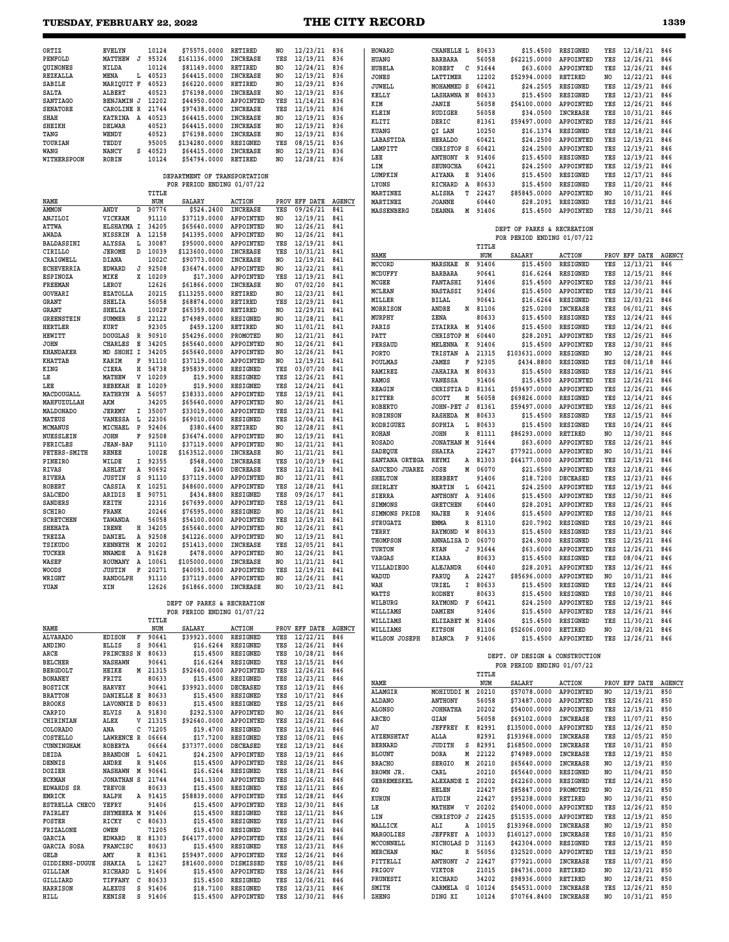# **TUESDAY, FEBRUARY 22, 2022 THE CITY RECORD 1339**

| ORTIZ                 | <b>EVELYN</b>    |              | 10124     | \$75575.0000                 | RETIRED             | NO             | $12/23/21$ 836       |               | HOWARD               | CHANELLE L              | 80633   | \$15,4500                      | RESIGNED            | YES            | 12/18/21             | 846 |
|-----------------------|------------------|--------------|-----------|------------------------------|---------------------|----------------|----------------------|---------------|----------------------|-------------------------|---------|--------------------------------|---------------------|----------------|----------------------|-----|
| PENFOLD               | MATTHEW          | J            | 95324     | \$161136.0000                | <b>INCREASE</b>     | YES            | 12/19/21             | 836           | HUANG                | <b>BARBARA</b>          | 56058   | \$62215.0000                   | APPOINTED           | YES            | 12/26/21             | 846 |
| QUINONES              | NILDA            |              | 10124     | \$81149.0000                 | RETIRED             | NO             | 12/24/21             | 836           | HUBELA               | с<br>ROBERT             | 91644   | \$63.6000                      | APPOINTED           | YES            | 12/26/21             | 846 |
| REZKALLA              | MENA             |              | L 40523   | \$64415.0000                 | <b>INCREASE</b>     | NO             | 12/19/21             | 836           | JONES                | LATTIMER                | 12202   | \$52994.0000                   | RETIRED             | NO             | 12/22/21             | 846 |
| SABILE                | MARIQUIT F       |              | 40523     | \$66220.0000                 | RETIRED             | NO.            | 12/29/21             | 836           | JUWELL               | MOHAMMED S              | 60421   | \$24.2505                      | RESIGNED            | YES            | 12/29/21             | 846 |
| SALTA                 | <b>ALBERT</b>    |              | 40523     | \$76198.0000                 | <b>INCREASE</b>     | NO.            | 12/19/21             | 836           | KELLY                | <b>LASHAWNA N</b>       | 80633   | \$15,4500                      | RESIGNED            | YES            | 12/23/21             | 846 |
| <b>SANTIAGO</b>       | BENJAMIN J       |              | 12202     | \$44950.0000                 | APPOINTED           | YES            | 11/14/21             | 836           | KIM                  | JANIE                   | 56058   | \$54100.0000                   | APPOINTED           | YES            | 12/26/21             | 846 |
| <b>SENATORE</b>       | CAROLINE R       |              | 21744     | \$97438.0000                 | <b>INCREASE</b>     | YES            | 12/19/21             | 836           | KLEIN                | RUDIGER                 | 56058   | \$34.0500                      | <b>INCREASE</b>     | YES            | 10/31/21             | 846 |
| SHAH                  | KATRINA A        |              | 40523     | \$64415.0000                 | <b>INCREASE</b>     | NO.            | 12/19/21             | 836           | KLITI                | DERIC                   | 81361   | \$59497.0000                   | APPOINTED           | YES            | 12/26/21             | 846 |
| SHEIKH                | <b>DELWAR</b>    |              | 40523     | \$64415.0000                 | <b>INCREASE</b>     | NO             | 12/19/21             | 836           | KUANG                |                         | 10250   | \$16.1374                      | RESIGNED            | YES            | 12/18/21             | 846 |
| TANG                  | WENDY            |              | 40523     | \$76198.0000                 | <b>INCREASE</b>     | NO.            | 12/19/21             | 836           |                      | QI LAN                  |         |                                |                     |                |                      |     |
| TOURIAN               | TEDDY            |              | 95005     | \$134280.0000                | RESIGNED            | YES            | 08/15/21             | 836           | LABASTIDA            | <b>HERALDO</b>          | 60421   | \$24,2500                      | APPOINTED           | YES            | 12/19/21             | 846 |
| WANG                  | NANCY            | s            | 40523     | \$64415.0000                 | <b>INCREASE</b>     | NO             | 12/19/21             | 836           | LAMPITT              | CHRISTOP S              | 60421   | \$24,2500                      | APPOINTED           | YES            | 12/19/21             | 846 |
| WITHERSPOON           | <b>ROBIN</b>     |              | 10124     | \$54794.0000                 | RETIRED             | NO.            | 12/28/21             | 836           | LEE                  | ANTHONY<br>$\mathbb{R}$ | 91406   | \$15.4500                      | RESIGNED            | YES            | 12/19/21             | 846 |
|                       |                  |              |           |                              |                     |                |                      |               | LIM                  | <b>SEUNGCHA</b>         | 60421   | \$24.2500                      | APPOINTED           | YES            | 12/19/21             | 846 |
|                       |                  |              |           | DEPARTMENT OF TRANSPORTATION |                     |                |                      |               | LUMPKIN              | AIYANA<br>Е             | 91406   | \$15.4500                      | RESIGNED            | YES            | 12/17/21             | 846 |
|                       |                  |              |           | FOR PERIOD ENDING 01/07/22   |                     |                |                      |               | LYONS                | RICHARD<br>Α            | 80633   | \$15.4500                      | RESIGNED            | YES            | 11/20/21             | 846 |
|                       |                  |              | TITLE     |                              |                     |                |                      |               | MARTINEZ             | т<br><b>ALISHA</b>      | 22427   | \$85845.0000                   | APPOINTED           | NO             | 10/31/21             | 846 |
| NAME                  |                  |              | NUM       | <b>SALARY</b>                | <b>ACTION</b>       |                | PROV EFF DATE        | <b>AGENCY</b> | MARTINEZ             | <b>JOANNE</b>           | 60440   | \$28.2091                      | RESIGNED            | YES            | 10/31/21             | 846 |
| AMMON                 | ANDY             | D            | 90776     | \$524.2400                   | <b>INCREASE</b>     | YES            | 09/26/21             | 841           | MASSENBERG           | <b>DEANNA</b>           | M 91406 | \$15,4500                      | APPOINTED           | YES            | 12/30/21             | 846 |
| <b>ANJILOI</b>        | VICKRAM          |              | 91110     | \$37119.0000                 | APPOINTED           | NO.            | 12/19/21             | 841           |                      |                         |         |                                |                     |                |                      |     |
| ATTWA                 | ELSHAYMA I       |              | 34205     | \$65640.0000                 | APPOINTED           | NO.            | 12/26/21             | 841           |                      |                         |         | DEPT OF PARKS & RECREATION     |                     |                |                      |     |
| AWADA                 | NISSRIN          | A            | 12158     | \$41395.0000                 | APPOINTED           | NO.            | 12/26/21             | 841           |                      |                         |         | FOR PERIOD ENDING 01/07/22     |                     |                |                      |     |
| BALDASSINI            | ALYSSA           | L            | 30087     | \$95000.0000                 | APPOINTED           | YES            | 12/19/21             | 841           |                      |                         | TITLE   |                                |                     |                |                      |     |
| CIRILLO               | <b>JEROME</b>    | D            | 10039     | \$123600.0000                | <b>INCREASE</b>     | YES            | 10/31/21             | 841           | NAME                 |                         | NUM     | SALARY                         | ACTION              |                | PROV EFF DATE AGENCY |     |
| CRAIGWELL             | DIANA            |              | 1002C     | \$90773.0000                 | <b>INCREASE</b>     | NO             | 12/19/21             | 841           | MCCORD               | MARSHAE<br>$\mathbf N$  | 91406   | \$15.4500                      | RESIGNED            | YES            | 12/13/21             | 846 |
| <b>ECHEVERRIA</b>     | <b>EDWARD</b>    |              | J 92508   | \$36474.0000                 | APPOINTED           | NO.            | 12/22/21             | 841           |                      |                         |         |                                |                     |                |                      |     |
| <b>ESPINOZA</b>       | MIKE             | x            | 10209     | \$17.3000                    | APPOINTED           | YES            | 12/19/21             | 841           | MCDUFFY              | <b>BARBARA</b>          | 90641   | \$16.6264                      | RESIGNED            | YES            | 12/15/21             | 846 |
| FREEMAN               | LEROY            |              | 12626     | \$61866.0000                 | <b>INCREASE</b>     | NO.            | 07/02/20             | 841           | MCGEE                | FANTASHI                | 91406   | \$15.4500                      | APPOINTED           | YES            | 12/30/21             | 846 |
| <b>GOVHARI</b>        | <b>EZATOLLA</b>  |              | 20215     | \$113255.0000                | RETIRED             | NO             | 12/23/21             | 841           | <b>MCLEAN</b>        | <b>NASTASSI</b>         | 91406   | \$15.4500                      | APPOINTED           | YES            | 12/30/21             | 846 |
| GRANT                 | SHELIA           |              | 56058     | \$68874.0000                 | <b>RETIRED</b>      | YES            | 12/29/21             | 841           | MILLER               | <b>BILAL</b>            | 90641   | \$16.6264                      | RESIGNED            | YES            | 12/03/21             | 846 |
| GRANT                 | <b>SHELIA</b>    |              | 1002F     | \$65359.0000                 | RETIRED             | NO.            | 12/29/21             | 841           | MORRISON             | ANDRE<br>N              | 81106   | \$25.0200                      | <b>INCREASE</b>     | YES            | 06/01/21             | 846 |
| GREENSTEIN            | <b>SUMMER</b>    | s            | 22122     | \$74989.0000                 | RESIGNED            | NO             | 12/28/21             | 841           | MURPHY               | ZENA                    | 80633   | \$15.4500                      | RESIGNED            | YES            | 12/24/21             | 846 |
| HERTLER               | KURT             |              | 92305     | \$459.1200                   | RETIRED             | NO.            | 11/01/21             | 841           | PARIS                | ZYAIRRA<br>M            | 91406   | \$15.4500                      | RESIGNED            | YES            | 12/24/21             | 846 |
| HEWITT                | DOUGLAS          | $\mathbb{R}$ | 90910     | \$54296.0000                 | PROMOTED            | N <sub>O</sub> | 12/21/21             | 841           | PATT                 | CHRISTOP M              | 60440   | \$28.2091                      | APPOINTED           | YES            | 12/26/21             | 846 |
| <b>JOHN</b>           | <b>CHARLES</b>   | Е            | 34205     | \$65640.0000                 | APPOINTED           | NO             | 12/26/21             | 841           | PERSAUD              | MELENNA<br>к            | 91406   | \$15.4500                      | APPOINTED           | YES            | 12/30/21             | 846 |
| KHANDAKER             | MD SHOHI I       |              | 34205     | \$65640.0000                 | APPOINTED           | NO.            | 12/26/21             | 841           | PORTO                | A<br><b>TRISTAN</b>     | 21315   | \$103631.0000                  | RESIGNED            | NO             | 12/28/21             | 846 |
| KHATTAB               | KARIM            | F            | 91110     | \$37119.0000                 | APPOINTED           | N <sub>O</sub> | 12/19/21             | 841           | POULMAS              | F<br>JAMES              | 92305   | \$434.8800                     | RESIGNED            | YES            | 08/11/18             | 846 |
| KING                  | CIERA            | н            | 54738     | \$95839.0000                 | RESIGNED            | YES            | 03/07/20             | 841           | <b>RAMIREZ</b>       | M<br><b>JAHAIRA</b>     | 80633   | \$15.4500                      | RESIGNED            | YES            | 12/16/21             | 846 |
| LЕ                    | MATHEW           | V            | 10209     | \$19.9000                    | RESIGNED            | YES            | 12/26/21             | 841           |                      |                         | 91406   |                                |                     |                |                      |     |
| LEE                   | REBEKAH          | Е            | 10209     | \$19.9000                    | RESIGNED            | YES            | 12/24/21             | 841           | RAMOS                | VANESSA                 |         | \$15,4500                      | APPOINTED           | YES            | 12/26/21             | 846 |
| MACDOUGALL            | KATHRYN A        |              | 56057     | \$38333.0000                 | APPOINTED           | YES            | 12/19/21             | 841           | <b>REAGIN</b>        | CHRISTIA D              | 81361   | \$59497.0000                   | APPOINTED           | YES            | 12/26/21             | 846 |
| MAHFUZULLAH           | AKM              |              | 34205     | \$65640.0000                 | APPOINTED           | NO             | 12/26/21             | 841           | RITTER               | SCOTT<br>М              | 56058   | \$69826.0000                   | RESIGNED            | YES            | 12/14/21             | 846 |
| MALDONADO             | JEREMY           |              | I 35007   | \$33019.0000                 | APPOINTED           | YES            | 12/23/21             | 841           | <b>ROBERTO</b>       | JOHN-PET J              | 81361   | \$59497.0000                   | APPOINTED           | YES            | 12/26/21             | 846 |
| MATEUS                | VANESSA          | L.           | 22306     | \$69010.0000                 | RESIGNED            | YES            | 12/04/21             | 841           | <b>ROBINSON</b>      | RASHEDA<br>M            | 80633   | \$15.4500                      | RESIGNED            | YES            | 12/15/21             | 846 |
| MCMANUS               | MICHAEL          | $\mathbf{P}$ | 92406     | \$380.6400                   | RETIRED             | NO             | 12/28/21             | 841           | RODRIGUEZ            | SOPHIA<br>L             | 80633   | \$15.4500                      | RESIGNED            | YES            | 10/24/21             | 846 |
| NUESSLEIN             | <b>JOHN</b>      | F            | 92508     | \$36474.0000                 | APPOINTED           | NO.            | 12/19/21             | 841           | ROHAN                | R<br><b>JOHN</b>        | 81111   | \$86293.0000                   | RETIRED             | NO             | 12/30/21             | 846 |
| PERICLES              | <b>JEAN-BAP</b>  |              | 91110     | \$37119.0000                 | APPOINTED           | NO.            | 12/21/21             | 841           | <b>ROSADO</b>        | JONATHAN M              | 91644   | \$63.6000                      | APPOINTED           | YES            | 12/26/21             | 846 |
| <b>PETERS-SMITH</b>   | RENEE            |              | 1002E     | \$163512.0000                | <b>INCREASE</b>     | NO             | 11/21/21             | 841           | SADEQUE              | SHAIKA                  | 22427   | \$77921.0000                   | APPOINTED           | NO             | 10/31/21             | 846 |
| <b>PINEIRO</b>        | WILDE            |              | I 92355   | \$548.0000                   | <b>INCREASE</b>     | YES            | 10/20/19             | 841           | SANTANA ORTEGA       | REYMI<br>A              | 81303   | \$64177.0000                   | APPOINTED           | YES            | 12/19/21             | 846 |
| RIVAS                 | <b>ASHLEY</b>    | A            | 90692     | \$24.3400                    | <b>DECREASE</b>     | YES            | 12/12/21             | 841           | SAUCEDO JUAREZ       | <b>JOSE</b><br>М        | 06070   | \$21,6500                      | APPOINTED           | YES            | 12/18/21             | 846 |
| <b>RIVERA</b>         | <b>JUSTIN</b>    | s            | 91110     | \$37119.0000                 | APPOINTED           | NO.            | 12/21/21             | 841           | <b>SHELTON</b>       | <b>HERBERT</b>          | 91406   | \$18.7200                      | DECEASED            | YES            | 12/23/21             | 846 |
| <b>ROBERT</b>         | CASSIA           | к            | 10251     | \$48600.0000                 | APPOINTED           | YES            | 12/28/21             | 841           | <b>SHIRLEY</b>       | MARTIN<br>L             | 60421   | \$24,2500                      | APPOINTED           | YES            | 12/19/21             | 846 |
| SALCEDO               | ARIDIS           | Е            | 90751     | \$434.8800                   | RESIGNED            | YES            | 09/26/17             | 841           | <b>SIERRA</b>        | ANTHONY<br>A            | 91406   | \$15,4500                      | APPOINTED           | YES            | 12/30/21             | 846 |
| SANDERS               | KEITH            |              | 22316     | \$67699.0000                 | APPOINTED           | YES            | 12/19/21             | 841           | SIMMONS              | <b>GRETCHEN</b>         | 60440   | \$28.2091                      | APPOINTED           | YES            | 12/26/21             | 846 |
| <b>SCHIRO</b>         | FRANK            |              | 20246     | \$76595.0000                 | RESIGNED            | NO             | 12/26/21             | 841           | SIMMONS PRIDE        | NAJEE<br>R              | 91406   | \$15,4500                      | APPOINTED           | YES            | 12/30/21             | 846 |
| <b>SCRETCHEN</b>      | TAWANDA          |              | 56058     | \$54100.0000                 | APPOINTED           | YES            | 12/19/21             | 841           | <b>STRUGATZ</b>      | EMMA<br>R               | 81310   | \$20.7902                      | RESIGNED            | YES            | 10/29/21             | 846 |
| SHEHATA               | IRENE            | н            | 34205     | \$65640.0000                 | APPOINTED           | N <sub>O</sub> | 12/26/21             | 841           | TERRY                | W                       | 80633   | \$15,4500                      | RESIGNED            | YES            | 11/23/21             | 846 |
| TREZZA                | DANIEL           | А            | 92508     | \$41226.0000                 | APPOINTED           | NO.            | 12/19/21             | 841           | THOMPSON             | RAYMOND                 |         |                                |                     |                |                      |     |
| TSIKUDO               | <b>KENNETH</b>   | M            | 20202     | \$51413.0000                 | INCREASE            | YES            | 12/05/21             | 841           |                      | ANNALISA D              | 06070   | \$24,9000                      | RESIGNED            | YES            | 12/25/21             | 846 |
| TUCKER                | <b>NNAMDE</b>    | А            | 91628     | \$478.0000                   | APPOINTED           | N <sub>O</sub> | 12/26/21             | 841           | TURTON               | <b>RYAN</b><br>J        | 91644   | \$63.6000                      | APPOINTED           | YES            | 12/26/21             | 846 |
| WASEF                 | ROUMANY          | A            | 10061     | \$105000.0000                | <b>INCREASE</b>     | NO.            | 11/21/21             | 841           | <b>VARGAS</b>        | KIARA                   | 80633   | \$15,4500                      | RESIGNED            | YES            | 08/04/21             | 846 |
| WOODS                 | <b>JUSTIN</b>    | F            | 20271     | \$40091.0000                 | APPOINTED           | YES            | 12/19/21             | 841           | VILLADIEGO           | ALEJANDR                | 60440   |                                | \$28.2091 APPOINTED | YES            | 12/26/21             | 846 |
| WRIGHT                | RANDOLPH         |              | 91110     | \$37119.0000 APPOINTED       |                     | NO             | 12/26/21 841         |               | WADUD                | FARUQ<br>$\mathbf{A}$   | 22427   | \$85696.0000                   | APPOINTED           | N <sub>O</sub> | 10/31/21             | 846 |
| YUAN                  | XIN              |              | 12626     | \$61866.0000 INCREASE        |                     | NO             | 10/23/21 841         |               | WAH                  | URIEL                   | I 80633 | \$15.4500 RESIGNED             |                     |                | YES 12/24/21 846     |     |
|                       |                  |              |           |                              |                     |                |                      |               | WATTS                | RODNEY                  | 80633   | \$15.4500                      | RESIGNED            | YES            | 10/30/21 846         |     |
|                       |                  |              |           | DEPT OF PARKS & RECREATION   |                     |                |                      |               | WILBURG              | RAYMOND                 | F 60421 | \$24,2500                      | APPOINTED           | YES            | 12/19/21             | 846 |
|                       |                  |              |           | FOR PERIOD ENDING 01/07/22   |                     |                |                      |               | WILLIAMS             | DAMIEN                  | 91406   | \$15.4500                      | APPOINTED           | YES            | 12/26/21             | 846 |
|                       |                  |              | TITLE     |                              |                     |                |                      |               | WILLIAMS             | ELIZABET M 91406        |         | \$15.4500                      | RESIGNED            | YES            | 11/30/21 846         |     |
| NAME                  |                  |              | NUM       | <b>SALARY</b>                | <b>ACTION</b>       |                | PROV EFF DATE AGENCY |               | WILLIAMS             | KITSON                  | 81106   | \$52606.0000                   | RETIRED             | NO             | 12/08/21 846         |     |
| <b>ALVARADO</b>       | <b>EDISON</b>    | F            | 90641     | \$39923.0000                 | RESIGNED            | YES            | 12/22/21             | 846           | <b>WILSON JOSEPH</b> | <b>BIANCA</b>           | P 91406 |                                | \$15.4500 APPOINTED |                | YES 12/26/21 846     |     |
| ANDINO                | ELLIS            | s            | 90641     | \$16.6264                    | RESIGNED            | YES            | 12/26/21 846         |               |                      |                         |         |                                |                     |                |                      |     |
| ARCE                  | PRINCESS N 80633 |              |           | \$15.4500                    | RESIGNED            | YES            | 10/28/21 846         |               |                      |                         |         | DEPT. OF DESIGN & CONSTRUCTION |                     |                |                      |     |
| BELCHER               | NASHAWN          |              | 90641     | \$16.6264                    | RESIGNED            | YES            | 12/15/21 846         |               |                      |                         |         | FOR PERIOD ENDING 01/07/22     |                     |                |                      |     |
| <b>BERGDOLT</b>       | <b>HEIKE</b>     |              | M 21315   | \$92640.0000                 | APPOINTED           | YES            | 12/26/21 846         |               |                      |                         | TITLE   |                                |                     |                |                      |     |
| <b>BONANEY</b>        | FRITZ            |              | 80633     | \$15.4500                    | <b>RESIGNED</b>     | YES            | 12/23/21 846         |               | NAME                 |                         | NUM     | SALARY                         | ACTION              |                | PROV EFF DATE AGENCY |     |
| <b>BOSTICK</b>        | <b>HARVEY</b>    |              | 90641     | \$39923.0000                 | DECEASED            | YES            | 12/19/21 846         |               |                      |                         | 20210   |                                |                     |                |                      |     |
| <b>BRATTON</b>        | DANIELLE E 80633 |              |           | \$15.4500                    | RESIGNED            | YES            | 10/17/21 846         |               | ALAMGIR              | MOHIUDDI M              |         | \$57078.0000 APPOINTED         |                     | NO             | 12/19/21 850         |     |
| BROOKS                | LAVONNIE D       |              | 80633     | \$15.4500                    | RESIGNED            | YES            | 12/25/21 846         |               | ALDANO               | <b>ANTHONY</b>          | 56058   | \$73487.0000                   | APPOINTED           | YES            | 12/26/21 850         |     |
| CARPIO                | ELVIS            | A            | 91830     | \$292.5300                   | APPOINTED           | NO             | 12/26/21             | 846           | <b>ALONSO</b>        | <b>JOHNATHA</b>         | 20202   | \$54000.0000 APPOINTED         |                     | YES            | 12/19/21 850         |     |
| CHIRINIAN             | ALEX             |              | V 21315   | \$92640.0000                 | APPOINTED           | YES            | 12/26/21 846         |               | ARCEO                | GIAN                    | 56058   | \$69102.0000                   | INCREASE            | YES            | 11/07/21 850         |     |
| COLORADO              | ANA              |              | $C$ 71205 | \$19,4700                    | RESIGNED            | YES            | 12/19/21             | 846           | AU                   | JEFFREY K 82991         |         | \$135000.0000                  | APPOINTED           | YES            | 12/26/21 850         |     |
| COSTELLO              | LAWRENCE R       |              | 06664     | \$17.7200                    | RESIGNED            | YES            | 12/06/21             | 846           | AYZENSHTAT           | ALLA                    | 82991   | \$193968.0000                  | <b>INCREASE</b>     | YES            | 12/05/21             | 850 |
| CUNNINGHAM            | ROBERTA          |              | 06664     | \$37377.0000                 | DECEASED            | YES            | 12/19/21 846         |               | <b>BERNARD</b>       | JUDITH                  | S 82991 | \$168500.0000                  | <b>INCREASE</b>     | YES            | 10/31/21             | 850 |
| DEIDA                 | BRANDON L 60421  |              |           | \$24.2500                    | APPOINTED           | YES            | 12/19/21 846         |               | <b>BLOUNT</b>        | DORA<br>М               | 22122   | \$74989.0000                   | <b>INCREASE</b>     | YES            | 12/19/21             | 850 |
| DENNIS                | ANDRE            |              | R 91406   | \$15.4500                    | APPOINTED           | YES            | 12/26/21             | 846           | <b>BRACHO</b>        | SERGIO<br>М             | 20210   | \$65640.0000                   | <b>INCREASE</b>     | NO             | 12/19/21             | 850 |
| DOZIER                | NASHAWN M 90641  |              |           | \$16.6264                    | RESIGNED            | YES            | 11/18/21 846         |               | BROWN JR.            | CARL                    | 20210   | \$65640.0000                   | RESIGNED            | NO             | 11/04/21             | 850 |
| <b>ECKMAN</b>         | JONATHAN S 21744 |              |           | \$41.3300                    | APPOINTED           | YES            | 12/26/21             | 846           | GEBREMESKEL          | ALEXANDE Z 20202        |         | \$62260.0000                   | RESIGNED            | YES            | 12/24/21             | 850 |
| EDWARDS SR            | <b>TREVOR</b>    |              | 80633     | \$15.4500                    | RESIGNED            | YES            | 12/11/21             | 846           | КO                   | HELEN                   | 22427   | \$85847.0000                   | PROMOTED            | NO             | 12/26/21             | 850 |
| EMRICK                | RALPH            |              | A 91415   | \$58839.0000                 | APPOINTED           | YES            | 12/28/21 846         |               | KURUN                | AYDIN                   | 22427   | \$95238.0000                   | RETIRED             | NO             | 12/30/21             | 850 |
| ESTRELLA CHECO        | YEFRY            |              | 91406     | \$15.4500                    | APPOINTED           | YES            | 12/30/21 846         |               | LE                   | MATHEW<br>V             | 20202   | \$54000.0000                   | APPOINTED           | YES            | 12/26/21             | 850 |
| <b>FAIRLEY</b>        | SHYMEEKA M 91406 |              |           | \$15.4500                    | RESIGNED            | YES            | 12/11/21 846         |               | LIN                  | CHRISTOP J              | 22425   | \$51535.0000                   | APPOINTED           | YES            | 12/19/21             | 850 |
| <b>FOSTER</b>         | RICKY            |              | $C$ 80633 | \$15.4500                    | RESIGNED            | YES            | 11/27/21 846         |               | MALLICK              | ALI<br>Α                | 10015   |                                | <b>INCREASE</b>     |                |                      | 850 |
| <b>FRIZALONE</b>      | <b>OWEN</b>      |              | 71205     | \$19.4700                    | RESIGNED            | YES            | 12/19/21 846         |               |                      |                         |         | \$193968.0000                  |                     | NO             | 12/19/21             |     |
| <b>GARCIA</b>         | EDWARD H 81303   |              |           | \$64177.0000                 | APPOINTED           | YES            | 12/26/21 846         |               | MARGOLIES            | JEFFREY A               | 10033   | \$160127.0000                  | <b>INCREASE</b>     | YES            | 10/31/21             | 850 |
| GARCIA SOSA           | FRANCISC         |              | 80633     | \$15.4500                    | RESIGNED            | YES            | 12/23/21 846         |               | MCCONNELL            | NICHOLAS D              | 31163   | \$42304.0000                   | RESIGNED            | YES            | 12/15/21             | 850 |
| GELB                  | AMY              |              | R 81361   | \$59497.0000                 | APPOINTED           | YES            | 12/26/21 846         |               | MERCHAN              | MAC                     | R 56056 | \$32520.0000                   | APPOINTED           | YES            | 12/19/21             | 850 |
| <b>GIDDIENS-DUGUE</b> | SHAKIA L 12627   |              |           | \$81600.0000                 | DISMISSED           | YES            | 10/05/21 846         |               | PITTELLI             | ANTHONY<br>J            | 22427   | \$77921.0000                   | <b>INCREASE</b>     | YES            | 11/07/21             | 850 |
| GILLIAM               | RICHARD          |              | L 91406   | \$15.4500                    | APPOINTED           | YES            | 12/26/21 846         |               | PRIGOV               | VIKTOR                  | 21015   | \$84736.0000                   | RETIRED             | NO             | 12/23/21             | 850 |
| <b>GILLIARD</b>       | TIFFANY          |              | $C$ 80633 | \$15.4500                    | RESIGNED            | YES            | 12/06/21 846         |               | PRUNESTI             | RICHARD                 | 34202   | \$98936.0000                   | RETIRED             | NO             | 12/28/21 850         |     |
| <b>HARRISON</b>       | ALEXUS           |              | S 91406   | \$18.7100                    | <b>RESIGNED</b>     |                | YES 12/23/21 846     |               | SMITH                | CARMELA G 10124         |         | \$54531.0000                   | <b>INCREASE</b>     | YES            | 12/26/21 850         |     |
| HILL                  | KENISE S 91406   |              |           |                              | \$15.4500 APPOINTED |                | YES 12/30/21 846     |               | ZHENG                | DING XI                 | 10124   | \$70764.8400 INCREASE          |                     | NO             | 10/31/21 850         |     |